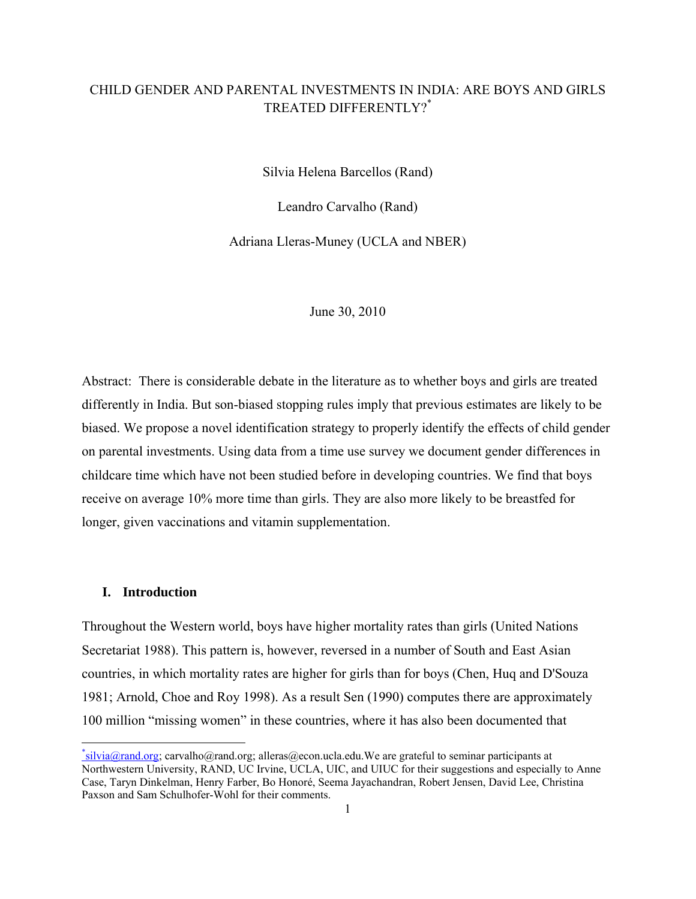# CHILD GENDER AND PARENTAL INVESTMENTS IN INDIA: ARE BOYS AND GIRLS TREATED DIFFERENTLY?\*

Silvia Helena Barcellos (Rand)

Leandro Carvalho (Rand)

Adriana Lleras-Muney (UCLA and NBER)

### June 30, 2010

Abstract: There is considerable debate in the literature as to whether boys and girls are treated differently in India. But son-biased stopping rules imply that previous estimates are likely to be biased. We propose a novel identification strategy to properly identify the effects of child gender on parental investments. Using data from a time use survey we document gender differences in childcare time which have not been studied before in developing countries. We find that boys receive on average 10% more time than girls. They are also more likely to be breastfed for longer, given vaccinations and vitamin supplementation.

#### **I. Introduction**

Throughout the Western world, boys have higher mortality rates than girls (United Nations Secretariat 1988). This pattern is, however, reversed in a number of South and East Asian countries, in which mortality rates are higher for girls than for boys (Chen, Huq and D'Souza 1981; Arnold, Choe and Roy 1998). As a result Sen (1990) computes there are approximately 100 million "missing women" in these countries, where it has also been documented that

<sup>\*</sup>silvia@rand.org; carvalho@rand.org; alleras@econ.ucla.edu.We are grateful to seminar participants at Northwestern University, RAND, UC Irvine, UCLA, UIC, and UIUC for their suggestions and especially to Anne Case, Taryn Dinkelman, Henry Farber, Bo Honoré, Seema Jayachandran, Robert Jensen, David Lee, Christina Paxson and Sam Schulhofer-Wohl for their comments.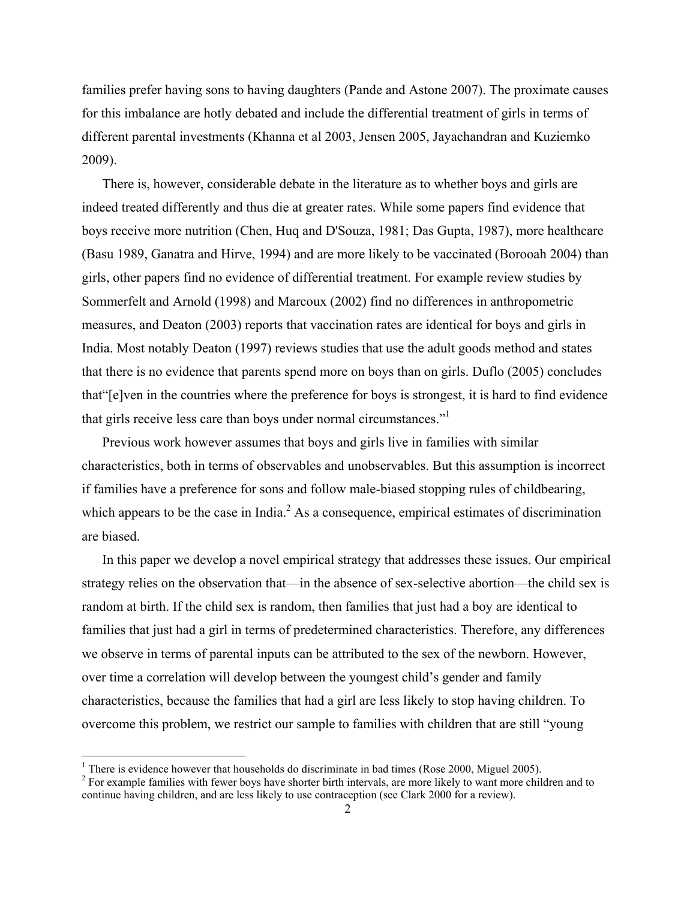families prefer having sons to having daughters (Pande and Astone 2007). The proximate causes for this imbalance are hotly debated and include the differential treatment of girls in terms of different parental investments (Khanna et al 2003, Jensen 2005, Jayachandran and Kuziemko 2009).

There is, however, considerable debate in the literature as to whether boys and girls are indeed treated differently and thus die at greater rates. While some papers find evidence that boys receive more nutrition (Chen, Huq and D'Souza, 1981; Das Gupta, 1987), more healthcare (Basu 1989, Ganatra and Hirve, 1994) and are more likely to be vaccinated (Borooah 2004) than girls, other papers find no evidence of differential treatment. For example review studies by Sommerfelt and Arnold (1998) and Marcoux (2002) find no differences in anthropometric measures, and Deaton (2003) reports that vaccination rates are identical for boys and girls in India. Most notably Deaton (1997) reviews studies that use the adult goods method and states that there is no evidence that parents spend more on boys than on girls. Duflo (2005) concludes that"[e]ven in the countries where the preference for boys is strongest, it is hard to find evidence that girls receive less care than boys under normal circumstances."1

Previous work however assumes that boys and girls live in families with similar characteristics, both in terms of observables and unobservables. But this assumption is incorrect if families have a preference for sons and follow male-biased stopping rules of childbearing, which appears to be the case in India. $<sup>2</sup>$  As a consequence, empirical estimates of discrimination</sup> are biased.

In this paper we develop a novel empirical strategy that addresses these issues. Our empirical strategy relies on the observation that—in the absence of sex-selective abortion—the child sex is random at birth. If the child sex is random, then families that just had a boy are identical to families that just had a girl in terms of predetermined characteristics. Therefore, any differences we observe in terms of parental inputs can be attributed to the sex of the newborn. However, over time a correlation will develop between the youngest child's gender and family characteristics, because the families that had a girl are less likely to stop having children. To overcome this problem, we restrict our sample to families with children that are still "young

<sup>&</sup>lt;sup>1</sup> There is evidence however that households do discriminate in bad times (Rose 2000, Miguel 2005).

 $2^{2}$  For example families with fewer boys have shorter birth intervals, are more likely to want more children and to continue having children, and are less likely to use contraception (see Clark 2000 for a review).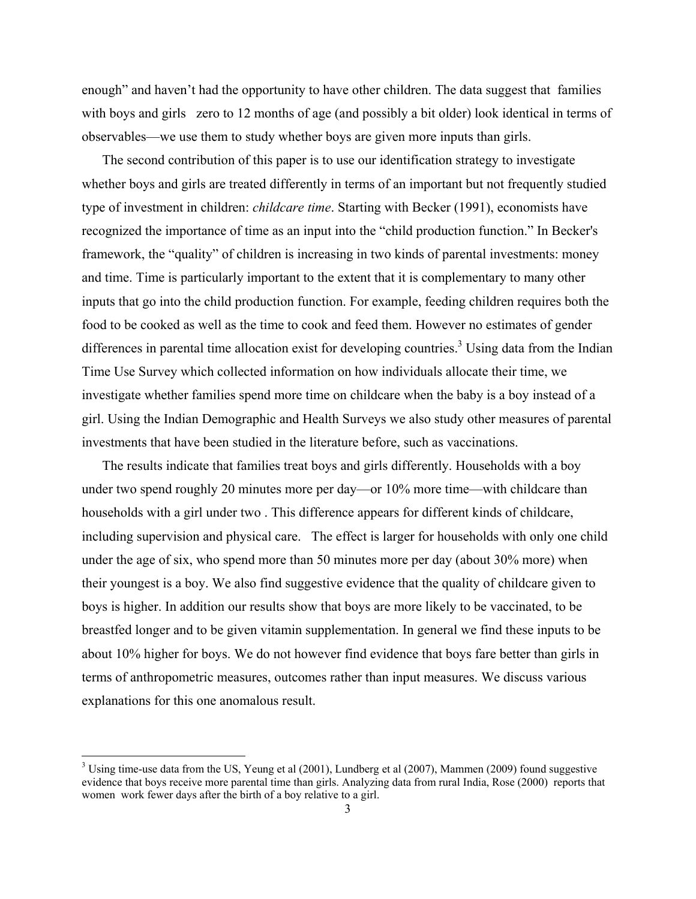enough" and haven't had the opportunity to have other children. The data suggest that families with boys and girls zero to 12 months of age (and possibly a bit older) look identical in terms of observables—we use them to study whether boys are given more inputs than girls.

The second contribution of this paper is to use our identification strategy to investigate whether boys and girls are treated differently in terms of an important but not frequently studied type of investment in children: *childcare time*. Starting with Becker (1991), economists have recognized the importance of time as an input into the "child production function." In Becker's framework, the "quality" of children is increasing in two kinds of parental investments: money and time. Time is particularly important to the extent that it is complementary to many other inputs that go into the child production function. For example, feeding children requires both the food to be cooked as well as the time to cook and feed them. However no estimates of gender differences in parental time allocation exist for developing countries.<sup>3</sup> Using data from the Indian Time Use Survey which collected information on how individuals allocate their time, we investigate whether families spend more time on childcare when the baby is a boy instead of a girl. Using the Indian Demographic and Health Surveys we also study other measures of parental investments that have been studied in the literature before, such as vaccinations.

The results indicate that families treat boys and girls differently. Households with a boy under two spend roughly 20 minutes more per day—or 10% more time—with childcare than households with a girl under two . This difference appears for different kinds of childcare, including supervision and physical care. The effect is larger for households with only one child under the age of six, who spend more than 50 minutes more per day (about 30% more) when their youngest is a boy. We also find suggestive evidence that the quality of childcare given to boys is higher. In addition our results show that boys are more likely to be vaccinated, to be breastfed longer and to be given vitamin supplementation. In general we find these inputs to be about 10% higher for boys. We do not however find evidence that boys fare better than girls in terms of anthropometric measures, outcomes rather than input measures. We discuss various explanations for this one anomalous result.

 $3$  Using time-use data from the US, Yeung et al (2001), Lundberg et al (2007), Mammen (2009) found suggestive evidence that boys receive more parental time than girls. Analyzing data from rural India, Rose (2000) reports that women work fewer days after the birth of a boy relative to a girl.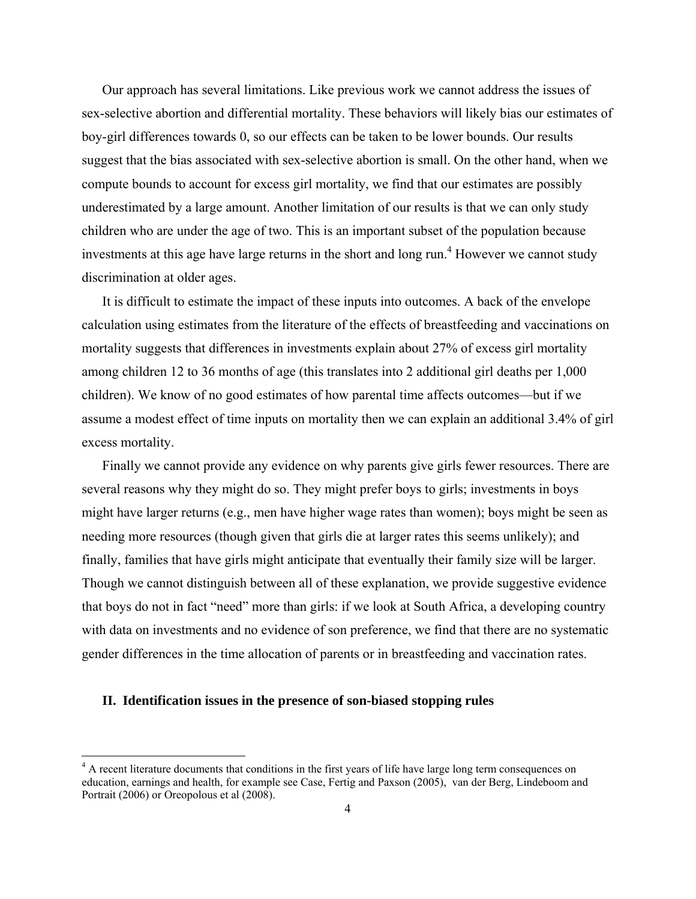Our approach has several limitations. Like previous work we cannot address the issues of sex-selective abortion and differential mortality. These behaviors will likely bias our estimates of boy-girl differences towards 0, so our effects can be taken to be lower bounds. Our results suggest that the bias associated with sex-selective abortion is small. On the other hand, when we compute bounds to account for excess girl mortality, we find that our estimates are possibly underestimated by a large amount. Another limitation of our results is that we can only study children who are under the age of two. This is an important subset of the population because investments at this age have large returns in the short and long run.<sup>4</sup> However we cannot study discrimination at older ages.

It is difficult to estimate the impact of these inputs into outcomes. A back of the envelope calculation using estimates from the literature of the effects of breastfeeding and vaccinations on mortality suggests that differences in investments explain about 27% of excess girl mortality among children 12 to 36 months of age (this translates into 2 additional girl deaths per 1,000 children). We know of no good estimates of how parental time affects outcomes—but if we assume a modest effect of time inputs on mortality then we can explain an additional 3.4% of girl excess mortality.

Finally we cannot provide any evidence on why parents give girls fewer resources. There are several reasons why they might do so. They might prefer boys to girls; investments in boys might have larger returns (e.g., men have higher wage rates than women); boys might be seen as needing more resources (though given that girls die at larger rates this seems unlikely); and finally, families that have girls might anticipate that eventually their family size will be larger. Though we cannot distinguish between all of these explanation, we provide suggestive evidence that boys do not in fact "need" more than girls: if we look at South Africa, a developing country with data on investments and no evidence of son preference, we find that there are no systematic gender differences in the time allocation of parents or in breastfeeding and vaccination rates.

#### **II. Identification issues in the presence of son-biased stopping rules**

<sup>&</sup>lt;sup>4</sup> A recent literature documents that conditions in the first years of life have large long term consequences on education, earnings and health, for example see Case, Fertig and Paxson (2005), van der Berg, Lindeboom and Portrait (2006) or Oreopolous et al (2008).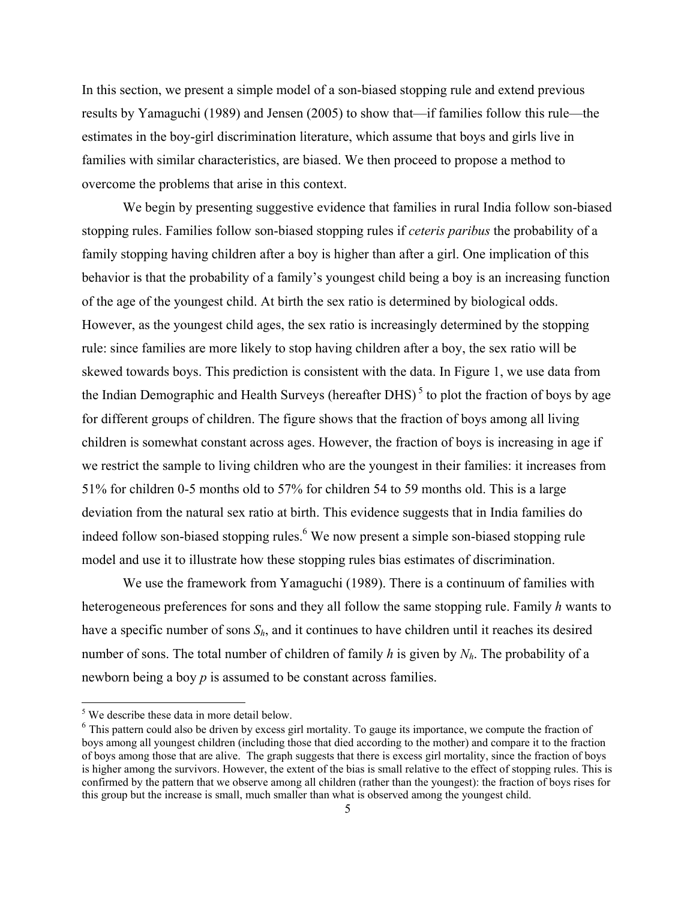In this section, we present a simple model of a son-biased stopping rule and extend previous results by Yamaguchi (1989) and Jensen (2005) to show that—if families follow this rule—the estimates in the boy-girl discrimination literature, which assume that boys and girls live in families with similar characteristics, are biased. We then proceed to propose a method to overcome the problems that arise in this context.

We begin by presenting suggestive evidence that families in rural India follow son-biased stopping rules. Families follow son-biased stopping rules if *ceteris paribus* the probability of a family stopping having children after a boy is higher than after a girl. One implication of this behavior is that the probability of a family's youngest child being a boy is an increasing function of the age of the youngest child. At birth the sex ratio is determined by biological odds. However, as the youngest child ages, the sex ratio is increasingly determined by the stopping rule: since families are more likely to stop having children after a boy, the sex ratio will be skewed towards boys. This prediction is consistent with the data. In Figure 1, we use data from the Indian Demographic and Health Surveys (hereafter DHS)<sup>5</sup> to plot the fraction of boys by age for different groups of children. The figure shows that the fraction of boys among all living children is somewhat constant across ages. However, the fraction of boys is increasing in age if we restrict the sample to living children who are the youngest in their families: it increases from 51% for children 0-5 months old to 57% for children 54 to 59 months old. This is a large deviation from the natural sex ratio at birth. This evidence suggests that in India families do indeed follow son-biased stopping rules.<sup>6</sup> We now present a simple son-biased stopping rule model and use it to illustrate how these stopping rules bias estimates of discrimination.

We use the framework from Yamaguchi (1989). There is a continuum of families with heterogeneous preferences for sons and they all follow the same stopping rule. Family *h* wants to have a specific number of sons  $S_h$ , and it continues to have children until it reaches its desired number of sons. The total number of children of family *h* is given by *Nh*. The probability of a newborn being a boy *p* is assumed to be constant across families.

<sup>&</sup>lt;sup>5</sup> We describe these data in more detail below.

<sup>&</sup>lt;sup>6</sup> This pattern could also be driven by excess girl mortality. To gauge its importance, we compute the fraction of boys among all youngest children (including those that died according to the mother) and compare it to the fraction of boys among those that are alive. The graph suggests that there is excess girl mortality, since the fraction of boys is higher among the survivors. However, the extent of the bias is small relative to the effect of stopping rules. This is confirmed by the pattern that we observe among all children (rather than the youngest): the fraction of boys rises for this group but the increase is small, much smaller than what is observed among the youngest child.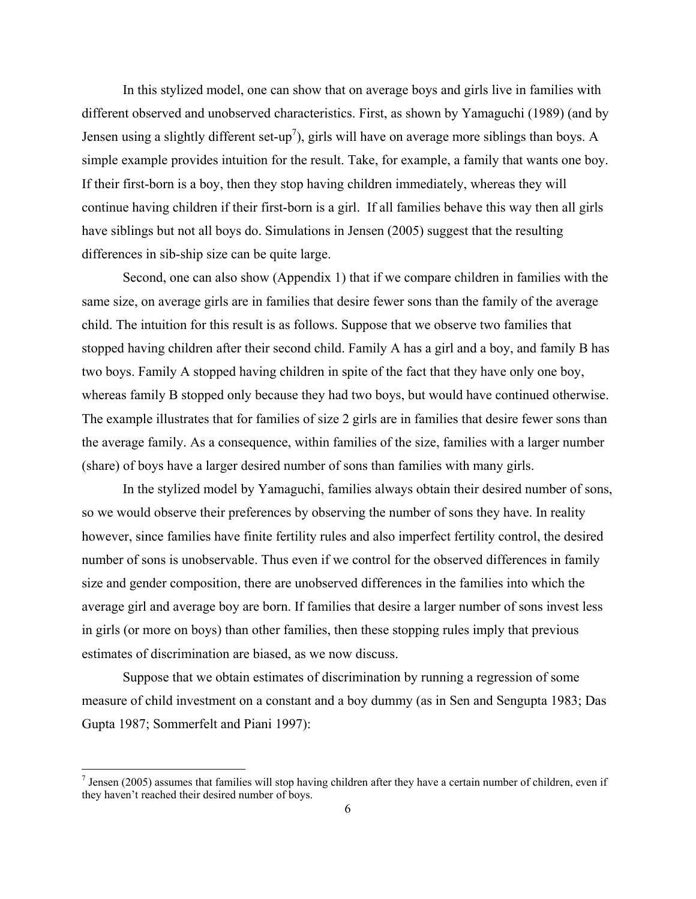In this stylized model, one can show that on average boys and girls live in families with different observed and unobserved characteristics. First, as shown by Yamaguchi (1989) (and by Jensen using a slightly different set-up<sup>7</sup>), girls will have on average more siblings than boys. A simple example provides intuition for the result. Take, for example, a family that wants one boy. If their first-born is a boy, then they stop having children immediately, whereas they will continue having children if their first-born is a girl. If all families behave this way then all girls have siblings but not all boys do. Simulations in Jensen (2005) suggest that the resulting differences in sib-ship size can be quite large.

Second, one can also show (Appendix 1) that if we compare children in families with the same size, on average girls are in families that desire fewer sons than the family of the average child. The intuition for this result is as follows. Suppose that we observe two families that stopped having children after their second child. Family A has a girl and a boy, and family B has two boys. Family A stopped having children in spite of the fact that they have only one boy, whereas family B stopped only because they had two boys, but would have continued otherwise. The example illustrates that for families of size 2 girls are in families that desire fewer sons than the average family. As a consequence, within families of the size, families with a larger number (share) of boys have a larger desired number of sons than families with many girls.

In the stylized model by Yamaguchi, families always obtain their desired number of sons, so we would observe their preferences by observing the number of sons they have. In reality however, since families have finite fertility rules and also imperfect fertility control, the desired number of sons is unobservable. Thus even if we control for the observed differences in family size and gender composition, there are unobserved differences in the families into which the average girl and average boy are born. If families that desire a larger number of sons invest less in girls (or more on boys) than other families, then these stopping rules imply that previous estimates of discrimination are biased, as we now discuss.

Suppose that we obtain estimates of discrimination by running a regression of some measure of child investment on a constant and a boy dummy (as in Sen and Sengupta 1983; Das Gupta 1987; Sommerfelt and Piani 1997):

 $<sup>7</sup>$  Jensen (2005) assumes that families will stop having children after they have a certain number of children, even if</sup> they haven't reached their desired number of boys.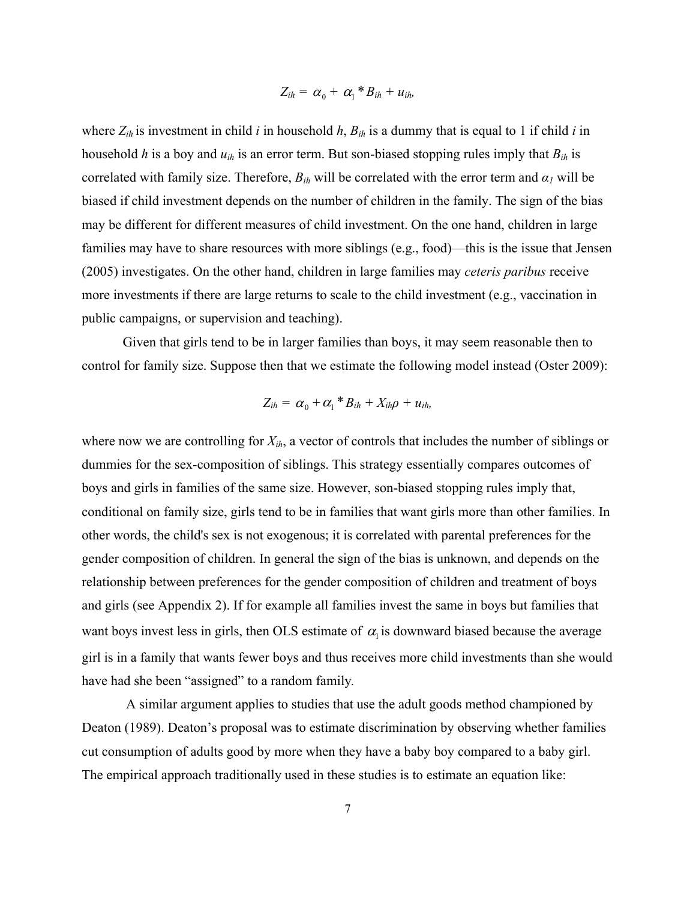$$
Z_{ih} = \alpha_0 + \alpha_1 * B_{ih} + u_{ih},
$$

where  $Z_{ih}$  is investment in child *i* in household *h*,  $B_{ih}$  is a dummy that is equal to 1 if child *i* in household *h* is a boy and *uih* is an error term. But son-biased stopping rules imply that *Bih* is correlated with family size. Therefore,  $B_{ih}$  will be correlated with the error term and  $\alpha_l$  will be biased if child investment depends on the number of children in the family. The sign of the bias may be different for different measures of child investment. On the one hand, children in large families may have to share resources with more siblings (e.g., food)—this is the issue that Jensen (2005) investigates. On the other hand, children in large families may *ceteris paribus* receive more investments if there are large returns to scale to the child investment (e.g., vaccination in public campaigns, or supervision and teaching).

Given that girls tend to be in larger families than boys, it may seem reasonable then to control for family size. Suppose then that we estimate the following model instead (Oster 2009):

$$
Z_{ih} = \alpha_0 + \alpha_1 * B_{ih} + X_{ih}\rho + u_{ih},
$$

where now we are controlling for *Xih*, a vector of controls that includes the number of siblings or dummies for the sex-composition of siblings. This strategy essentially compares outcomes of boys and girls in families of the same size. However, son-biased stopping rules imply that, conditional on family size, girls tend to be in families that want girls more than other families. In other words, the child's sex is not exogenous; it is correlated with parental preferences for the gender composition of children. In general the sign of the bias is unknown, and depends on the relationship between preferences for the gender composition of children and treatment of boys and girls (see Appendix 2). If for example all families invest the same in boys but families that want boys invest less in girls, then OLS estimate of  $\alpha_i$  is downward biased because the average girl is in a family that wants fewer boys and thus receives more child investments than she would have had she been "assigned" to a random family*.* 

 A similar argument applies to studies that use the adult goods method championed by Deaton (1989). Deaton's proposal was to estimate discrimination by observing whether families cut consumption of adults good by more when they have a baby boy compared to a baby girl. The empirical approach traditionally used in these studies is to estimate an equation like: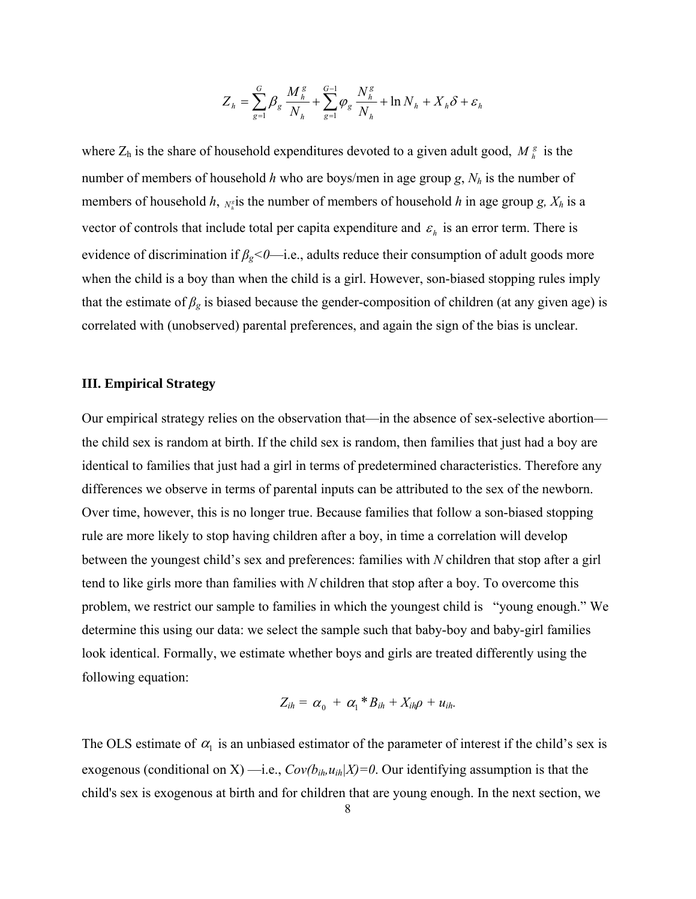$$
Z_{h} = \sum_{g=1}^{G} \beta_{g} \frac{M_{h}^{g}}{N_{h}} + \sum_{g=1}^{G-1} \varphi_{g} \frac{N_{h}^{g}}{N_{h}} + \ln N_{h} + X_{h} \delta + \varepsilon_{h}
$$

where  $Z_h$  is the share of household expenditures devoted to a given adult good,  $M_h^g$  is the number of members of household *h* who are boys/men in age group  $g$ ,  $N_h$  is the number of members of household *h*,  $N_h^s$  is the number of members of household *h* in age group *g*,  $X_h$  is a vector of controls that include total per capita expenditure and  $\varepsilon_h$  is an error term. There is evidence of discrimination if *βg<0*—i.e., adults reduce their consumption of adult goods more when the child is a boy than when the child is a girl. However, son-biased stopping rules imply that the estimate of  $\beta_g$  is biased because the gender-composition of children (at any given age) is correlated with (unobserved) parental preferences, and again the sign of the bias is unclear.

### **III. Empirical Strategy**

Our empirical strategy relies on the observation that—in the absence of sex-selective abortion the child sex is random at birth. If the child sex is random, then families that just had a boy are identical to families that just had a girl in terms of predetermined characteristics. Therefore any differences we observe in terms of parental inputs can be attributed to the sex of the newborn. Over time, however, this is no longer true. Because families that follow a son-biased stopping rule are more likely to stop having children after a boy, in time a correlation will develop between the youngest child's sex and preferences: families with *N* children that stop after a girl tend to like girls more than families with *N* children that stop after a boy. To overcome this problem, we restrict our sample to families in which the youngest child is "young enough." We determine this using our data: we select the sample such that baby-boy and baby-girl families look identical. Formally, we estimate whether boys and girls are treated differently using the following equation:

$$
Z_{ih} = \alpha_0 + \alpha_1 * B_{ih} + X_{ih}\rho + u_{ih}.
$$

The OLS estimate of  $\alpha_1$  is an unbiased estimator of the parameter of interest if the child's sex is exogenous (conditional on X) —i.e.,  $Cov(b_{ih},u_{ih}|X)=0$ . Our identifying assumption is that the child's sex is exogenous at birth and for children that are young enough. In the next section, we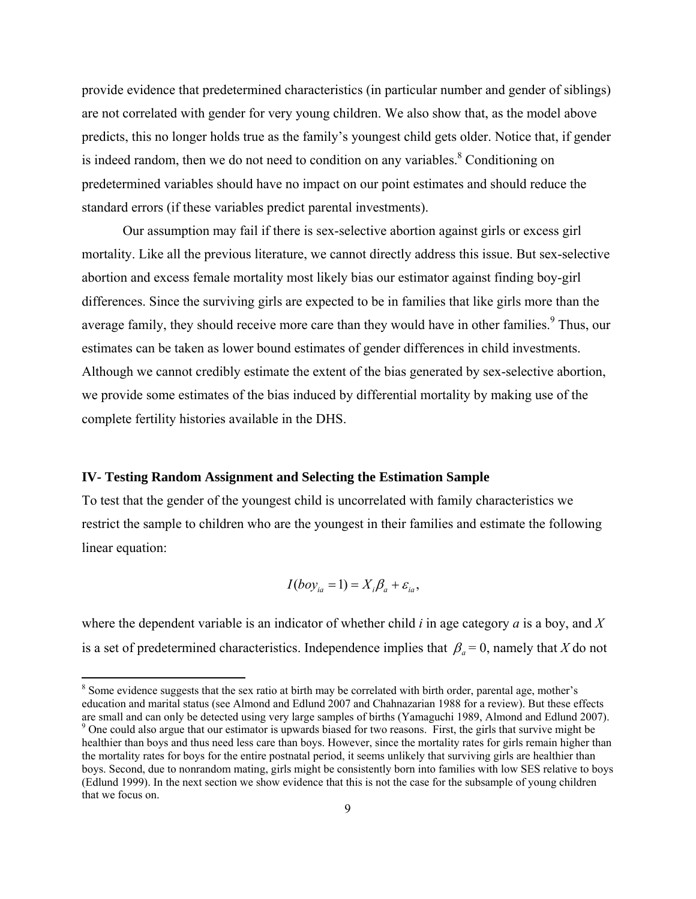provide evidence that predetermined characteristics (in particular number and gender of siblings) are not correlated with gender for very young children. We also show that, as the model above predicts, this no longer holds true as the family's youngest child gets older. Notice that, if gender is indeed random, then we do not need to condition on any variables. $8$  Conditioning on predetermined variables should have no impact on our point estimates and should reduce the standard errors (if these variables predict parental investments).

Our assumption may fail if there is sex-selective abortion against girls or excess girl mortality. Like all the previous literature, we cannot directly address this issue. But sex-selective abortion and excess female mortality most likely bias our estimator against finding boy-girl differences. Since the surviving girls are expected to be in families that like girls more than the average family, they should receive more care than they would have in other families.<sup>9</sup> Thus, our estimates can be taken as lower bound estimates of gender differences in child investments. Although we cannot credibly estimate the extent of the bias generated by sex-selective abortion, we provide some estimates of the bias induced by differential mortality by making use of the complete fertility histories available in the DHS.

### **IV- Testing Random Assignment and Selecting the Estimation Sample**

To test that the gender of the youngest child is uncorrelated with family characteristics we restrict the sample to children who are the youngest in their families and estimate the following linear equation:

$$
I(boy_{ia}=1)=X_i\beta_a+\varepsilon_{ia},
$$

where the dependent variable is an indicator of whether child *i* in age category *a* is a boy, and *X* is a set of predetermined characteristics. Independence implies that  $\beta_a = 0$ , namely that *X* do not

<sup>&</sup>lt;sup>8</sup> Some evidence suggests that the sex ratio at birth may be correlated with birth order, parental age, mother's education and marital status (see Almond and Edlund 2007 and Chahnazarian 1988 for a review). But these effects are small and can only be detected using very large samples of births (Yamaguchi 1989, Almond and Edlund 2007).

<sup>&</sup>lt;sup>9</sup> One could also argue that our estimator is upwards biased for two reasons. First, the girls that survive might be healthier than boys and thus need less care than boys. However, since the mortality rates for girls remain higher than the mortality rates for boys for the entire postnatal period, it seems unlikely that surviving girls are healthier than boys. Second, due to nonrandom mating, girls might be consistently born into families with low SES relative to boys (Edlund 1999). In the next section we show evidence that this is not the case for the subsample of young children that we focus on.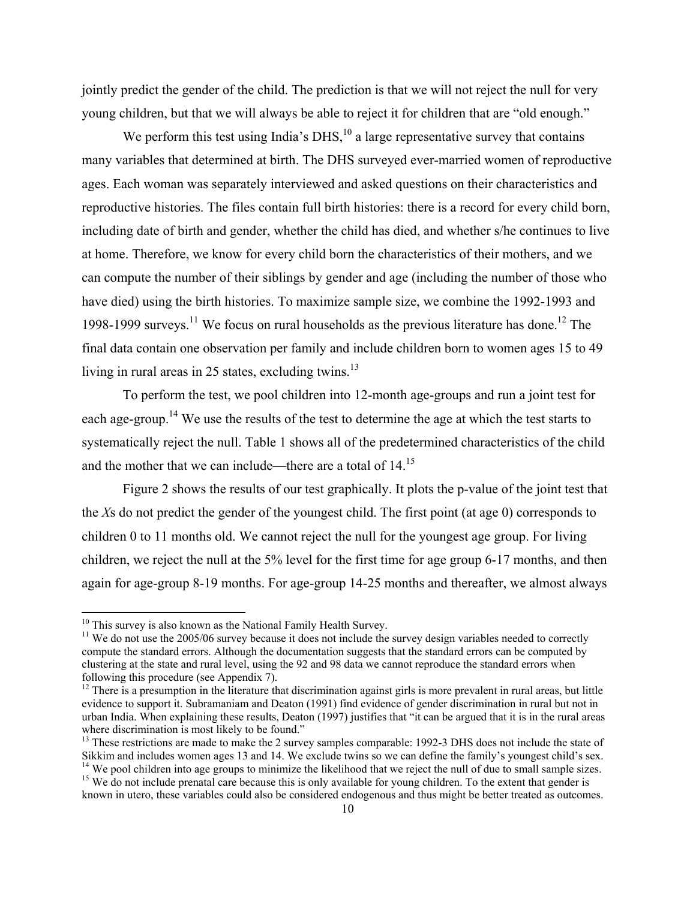jointly predict the gender of the child. The prediction is that we will not reject the null for very young children, but that we will always be able to reject it for children that are "old enough."

We perform this test using India's DHS, $^{10}$  a large representative survey that contains many variables that determined at birth. The DHS surveyed ever-married women of reproductive ages. Each woman was separately interviewed and asked questions on their characteristics and reproductive histories. The files contain full birth histories: there is a record for every child born, including date of birth and gender, whether the child has died, and whether s/he continues to live at home. Therefore, we know for every child born the characteristics of their mothers, and we can compute the number of their siblings by gender and age (including the number of those who have died) using the birth histories. To maximize sample size, we combine the 1992-1993 and 1998-1999 surveys.<sup>11</sup> We focus on rural households as the previous literature has done.<sup>12</sup> The final data contain one observation per family and include children born to women ages 15 to 49 living in rural areas in 25 states, excluding twins. $^{13}$ 

To perform the test, we pool children into 12-month age-groups and run a joint test for each age-group.<sup>14</sup> We use the results of the test to determine the age at which the test starts to systematically reject the null. Table 1 shows all of the predetermined characteristics of the child and the mother that we can include—there are a total of  $14.15$ 

Figure 2 shows the results of our test graphically. It plots the p-value of the joint test that the *X*s do not predict the gender of the youngest child. The first point (at age 0) corresponds to children 0 to 11 months old. We cannot reject the null for the youngest age group. For living children, we reject the null at the 5% level for the first time for age group 6-17 months, and then again for age-group 8-19 months. For age-group 14-25 months and thereafter, we almost always

 $10$  This survey is also known as the National Family Health Survey.

 $11$  We do not use the 2005/06 survey because it does not include the survey design variables needed to correctly compute the standard errors. Although the documentation suggests that the standard errors can be computed by clustering at the state and rural level, using the 92 and 98 data we cannot reproduce the standard errors when following this procedure (see Appendix 7).

 $12$  There is a presumption in the literature that discrimination against girls is more prevalent in rural areas, but little evidence to support it. Subramaniam and Deaton (1991) find evidence of gender discrimination in rural but not in urban India. When explaining these results, Deaton (1997) justifies that "it can be argued that it is in the rural areas where discrimination is most likely to be found."

<sup>&</sup>lt;sup>13</sup> These restrictions are made to make the 2 survey samples comparable: 1992-3 DHS does not include the state of Sikkim and includes women ages 13 and 14. We exclude twins so we can define the family's youngest child's sex. <sup>14</sup> We pool children into age groups to minimize the likelihood that we reject the null of due to small sample sizes.

<sup>&</sup>lt;sup>15</sup> We do not include prenatal care because this is only available for young children. To the extent that gender is known in utero, these variables could also be considered endogenous and thus might be better treated as outcomes.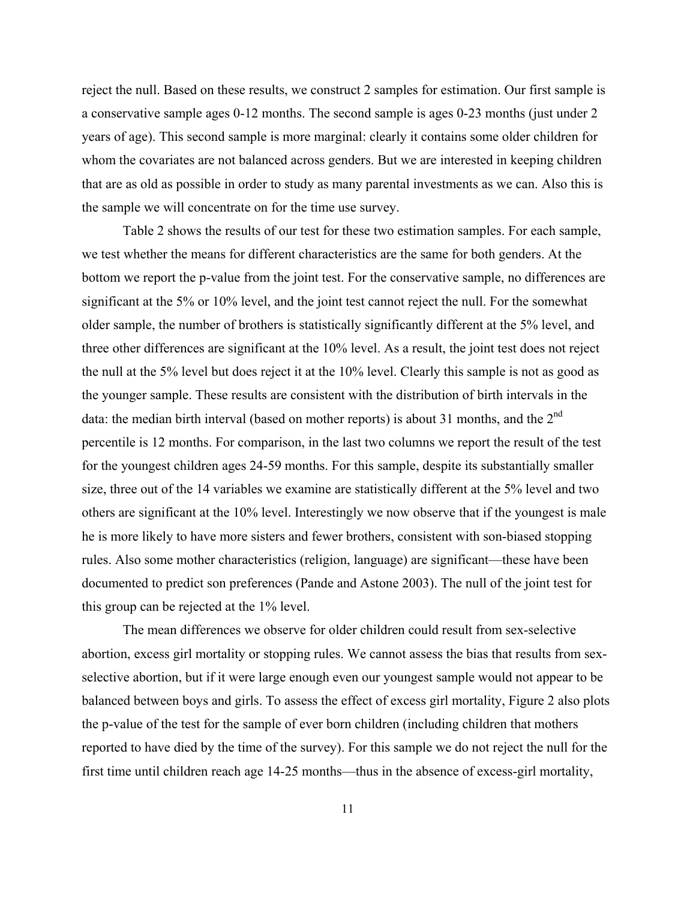reject the null. Based on these results, we construct 2 samples for estimation. Our first sample is a conservative sample ages 0-12 months. The second sample is ages 0-23 months (just under 2 years of age). This second sample is more marginal: clearly it contains some older children for whom the covariates are not balanced across genders. But we are interested in keeping children that are as old as possible in order to study as many parental investments as we can. Also this is the sample we will concentrate on for the time use survey.

Table 2 shows the results of our test for these two estimation samples. For each sample, we test whether the means for different characteristics are the same for both genders. At the bottom we report the p-value from the joint test. For the conservative sample, no differences are significant at the 5% or 10% level, and the joint test cannot reject the null. For the somewhat older sample, the number of brothers is statistically significantly different at the 5% level, and three other differences are significant at the 10% level. As a result, the joint test does not reject the null at the 5% level but does reject it at the 10% level. Clearly this sample is not as good as the younger sample. These results are consistent with the distribution of birth intervals in the data: the median birth interval (based on mother reports) is about 31 months, and the 2<sup>nd</sup> percentile is 12 months. For comparison, in the last two columns we report the result of the test for the youngest children ages 24-59 months. For this sample, despite its substantially smaller size, three out of the 14 variables we examine are statistically different at the 5% level and two others are significant at the 10% level. Interestingly we now observe that if the youngest is male he is more likely to have more sisters and fewer brothers, consistent with son-biased stopping rules. Also some mother characteristics (religion, language) are significant—these have been documented to predict son preferences (Pande and Astone 2003). The null of the joint test for this group can be rejected at the 1% level.

The mean differences we observe for older children could result from sex-selective abortion, excess girl mortality or stopping rules. We cannot assess the bias that results from sexselective abortion, but if it were large enough even our youngest sample would not appear to be balanced between boys and girls. To assess the effect of excess girl mortality, Figure 2 also plots the p-value of the test for the sample of ever born children (including children that mothers reported to have died by the time of the survey). For this sample we do not reject the null for the first time until children reach age 14-25 months—thus in the absence of excess-girl mortality,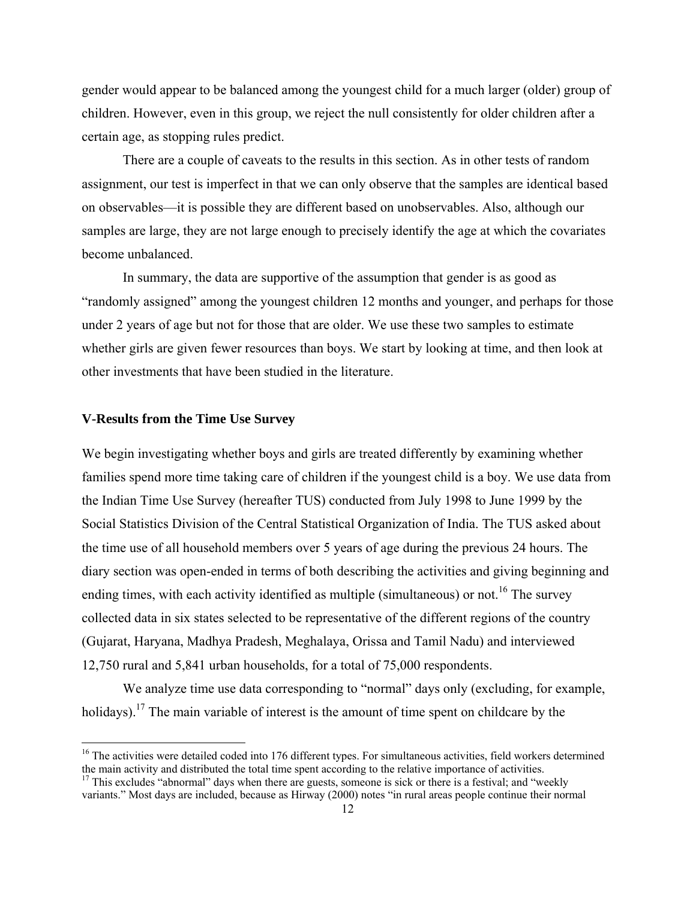gender would appear to be balanced among the youngest child for a much larger (older) group of children. However, even in this group, we reject the null consistently for older children after a certain age, as stopping rules predict.

There are a couple of caveats to the results in this section. As in other tests of random assignment, our test is imperfect in that we can only observe that the samples are identical based on observables—it is possible they are different based on unobservables. Also, although our samples are large, they are not large enough to precisely identify the age at which the covariates become unbalanced.

In summary, the data are supportive of the assumption that gender is as good as "randomly assigned" among the youngest children 12 months and younger, and perhaps for those under 2 years of age but not for those that are older. We use these two samples to estimate whether girls are given fewer resources than boys. We start by looking at time, and then look at other investments that have been studied in the literature.

### **V-Results from the Time Use Survey**

We begin investigating whether boys and girls are treated differently by examining whether families spend more time taking care of children if the youngest child is a boy. We use data from the Indian Time Use Survey (hereafter TUS) conducted from July 1998 to June 1999 by the Social Statistics Division of the Central Statistical Organization of India. The TUS asked about the time use of all household members over 5 years of age during the previous 24 hours. The diary section was open-ended in terms of both describing the activities and giving beginning and ending times, with each activity identified as multiple (simultaneous) or not.<sup>16</sup> The survey collected data in six states selected to be representative of the different regions of the country (Gujarat, Haryana, Madhya Pradesh, Meghalaya, Orissa and Tamil Nadu) and interviewed 12,750 rural and 5,841 urban households, for a total of 75,000 respondents.

We analyze time use data corresponding to "normal" days only (excluding, for example, holidays).<sup>17</sup> The main variable of interest is the amount of time spent on childcare by the

<sup>&</sup>lt;sup>16</sup> The activities were detailed coded into 176 different types. For simultaneous activities, field workers determined the main activity and distributed the total time spent according to the relative importance of activities.  $17$  This excludes "abnormal" days when there are guests, someone is sick or there is a festival; and "weekly variants." Most days are included, because as Hirway (2000) notes "in rural areas people continue their normal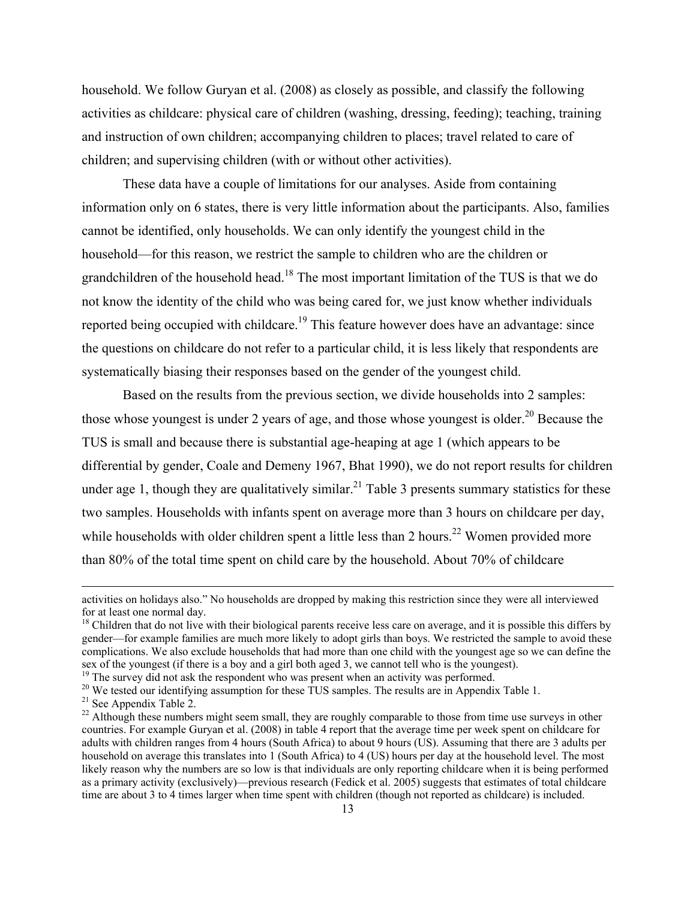household. We follow Guryan et al. (2008) as closely as possible, and classify the following activities as childcare: physical care of children (washing, dressing, feeding); teaching, training and instruction of own children; accompanying children to places; travel related to care of children; and supervising children (with or without other activities).

These data have a couple of limitations for our analyses. Aside from containing information only on 6 states, there is very little information about the participants. Also, families cannot be identified, only households. We can only identify the youngest child in the household—for this reason, we restrict the sample to children who are the children or grandchildren of the household head.<sup>18</sup> The most important limitation of the TUS is that we do not know the identity of the child who was being cared for, we just know whether individuals reported being occupied with childcare.<sup>19</sup> This feature however does have an advantage: since the questions on childcare do not refer to a particular child, it is less likely that respondents are systematically biasing their responses based on the gender of the youngest child.

Based on the results from the previous section, we divide households into 2 samples: those whose youngest is under 2 years of age, and those whose youngest is older.<sup>20</sup> Because the TUS is small and because there is substantial age-heaping at age 1 (which appears to be differential by gender, Coale and Demeny 1967, Bhat 1990), we do not report results for children under age 1, though they are qualitatively similar.<sup>21</sup> Table 3 presents summary statistics for these two samples. Households with infants spent on average more than 3 hours on childcare per day, while households with older children spent a little less than 2 hours.<sup>22</sup> Women provided more than 80% of the total time spent on child care by the household. About 70% of childcare

<u> 1989 - Johann Stein, marwolaethau a gweledydd a ganlad y ganlad y ganlad y ganlad y ganlad y ganlad y ganlad</u>

activities on holidays also." No households are dropped by making this restriction since they were all interviewed for at least one normal day.

 $<sup>18</sup>$  Children that do not live with their biological parents receive less care on average, and it is possible this differs by</sup> gender—for example families are much more likely to adopt girls than boys. We restricted the sample to avoid these complications. We also exclude households that had more than one child with the youngest age so we can define the sex of the youngest (if there is a boy and a girl both aged 3, we cannot tell who is the youngest).<br><sup>19</sup> The survey did not ask the respondent who was present when an activity was performed.

<sup>&</sup>lt;sup>20</sup> We tested our identifying assumption for these TUS samples. The results are in Appendix Table 1.

<sup>&</sup>lt;sup>21</sup> See Appendix Table 2.

<sup>&</sup>lt;sup>22</sup> Although these numbers might seem small, they are roughly comparable to those from time use surveys in other countries. For example Guryan et al. (2008) in table 4 report that the average time per week spent on childcare for adults with children ranges from 4 hours (South Africa) to about 9 hours (US). Assuming that there are 3 adults per household on average this translates into 1 (South Africa) to 4 (US) hours per day at the household level. The most likely reason why the numbers are so low is that individuals are only reporting childcare when it is being performed as a primary activity (exclusively)—previous research (Fedick et al. 2005) suggests that estimates of total childcare time are about 3 to 4 times larger when time spent with children (though not reported as childcare) is included.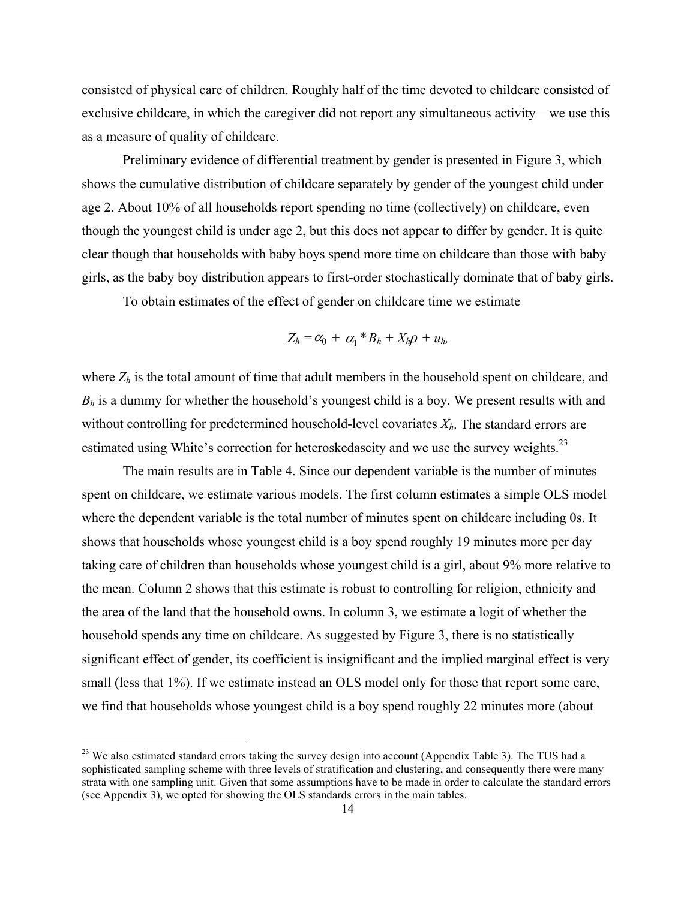consisted of physical care of children. Roughly half of the time devoted to childcare consisted of exclusive childcare, in which the caregiver did not report any simultaneous activity—we use this as a measure of quality of childcare.

Preliminary evidence of differential treatment by gender is presented in Figure 3, which shows the cumulative distribution of childcare separately by gender of the youngest child under age 2. About 10% of all households report spending no time (collectively) on childcare, even though the youngest child is under age 2, but this does not appear to differ by gender. It is quite clear though that households with baby boys spend more time on childcare than those with baby girls, as the baby boy distribution appears to first-order stochastically dominate that of baby girls.

To obtain estimates of the effect of gender on childcare time we estimate

$$
Z_h = \alpha_0 + \alpha_1 * B_h + X_h \rho + u_h,
$$

where  $Z_h$  is the total amount of time that adult members in the household spent on childcare, and *Bh* is a dummy for whether the household's youngest child is a boy. We present results with and without controlling for predetermined household-level covariates *Xh*. The standard errors are estimated using White's correction for heteroskedascity and we use the survey weights. $^{23}$ 

The main results are in Table 4. Since our dependent variable is the number of minutes spent on childcare, we estimate various models. The first column estimates a simple OLS model where the dependent variable is the total number of minutes spent on childcare including 0s. It shows that households whose youngest child is a boy spend roughly 19 minutes more per day taking care of children than households whose youngest child is a girl, about 9% more relative to the mean. Column 2 shows that this estimate is robust to controlling for religion, ethnicity and the area of the land that the household owns. In column 3, we estimate a logit of whether the household spends any time on childcare. As suggested by Figure 3, there is no statistically significant effect of gender, its coefficient is insignificant and the implied marginal effect is very small (less that 1%). If we estimate instead an OLS model only for those that report some care, we find that households whose youngest child is a boy spend roughly 22 minutes more (about

<sup>&</sup>lt;sup>23</sup> We also estimated standard errors taking the survey design into account (Appendix Table 3). The TUS had a sophisticated sampling scheme with three levels of stratification and clustering, and consequently there were many strata with one sampling unit. Given that some assumptions have to be made in order to calculate the standard errors (see Appendix 3), we opted for showing the OLS standards errors in the main tables.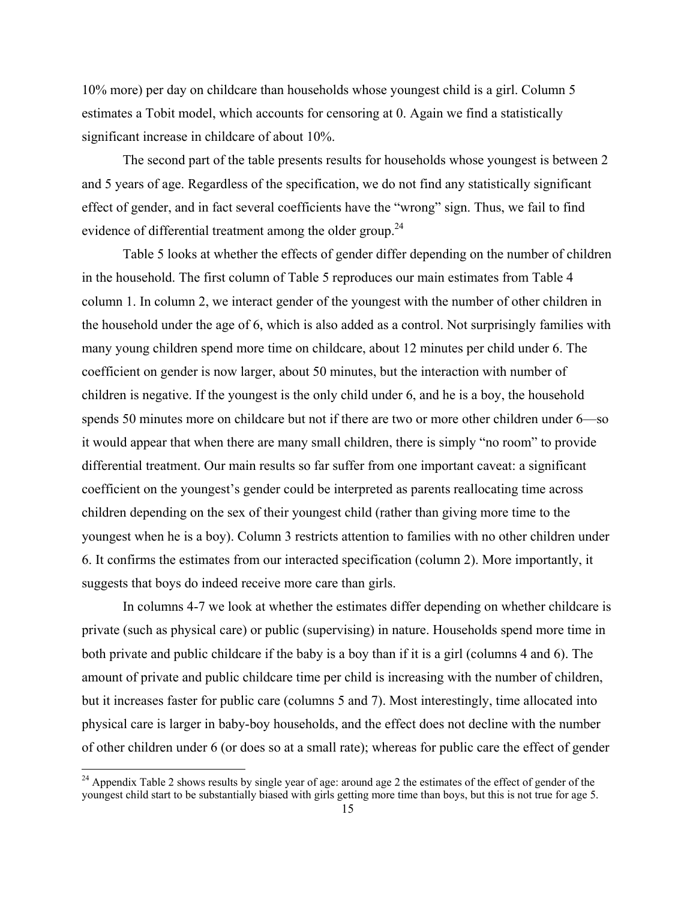10% more) per day on childcare than households whose youngest child is a girl. Column 5 estimates a Tobit model, which accounts for censoring at 0. Again we find a statistically significant increase in childcare of about 10%.

The second part of the table presents results for households whose youngest is between 2 and 5 years of age. Regardless of the specification, we do not find any statistically significant effect of gender, and in fact several coefficients have the "wrong" sign. Thus, we fail to find evidence of differential treatment among the older group.<sup>24</sup>

Table 5 looks at whether the effects of gender differ depending on the number of children in the household. The first column of Table 5 reproduces our main estimates from Table 4 column 1. In column 2, we interact gender of the youngest with the number of other children in the household under the age of 6, which is also added as a control. Not surprisingly families with many young children spend more time on childcare, about 12 minutes per child under 6. The coefficient on gender is now larger, about 50 minutes, but the interaction with number of children is negative. If the youngest is the only child under 6, and he is a boy, the household spends 50 minutes more on childcare but not if there are two or more other children under 6—so it would appear that when there are many small children, there is simply "no room" to provide differential treatment. Our main results so far suffer from one important caveat: a significant coefficient on the youngest's gender could be interpreted as parents reallocating time across children depending on the sex of their youngest child (rather than giving more time to the youngest when he is a boy). Column 3 restricts attention to families with no other children under 6. It confirms the estimates from our interacted specification (column 2). More importantly, it suggests that boys do indeed receive more care than girls.

In columns 4-7 we look at whether the estimates differ depending on whether childcare is private (such as physical care) or public (supervising) in nature. Households spend more time in both private and public childcare if the baby is a boy than if it is a girl (columns 4 and 6). The amount of private and public childcare time per child is increasing with the number of children, but it increases faster for public care (columns 5 and 7). Most interestingly, time allocated into physical care is larger in baby-boy households, and the effect does not decline with the number of other children under 6 (or does so at a small rate); whereas for public care the effect of gender

 $24$  Appendix Table 2 shows results by single year of age: around age 2 the estimates of the effect of gender of the youngest child start to be substantially biased with girls getting more time than boys, but this is not true for age 5.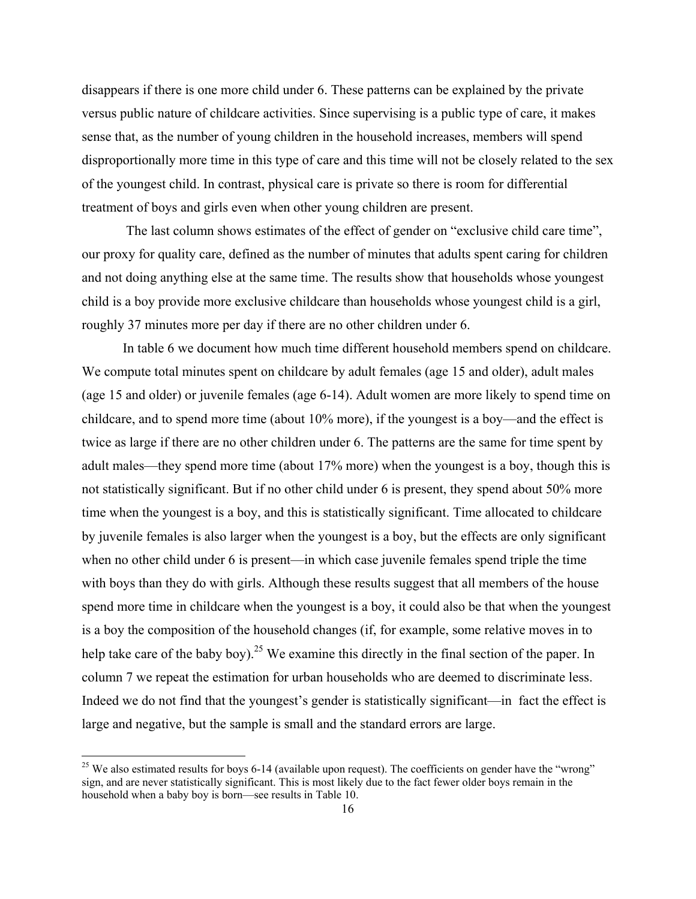disappears if there is one more child under 6. These patterns can be explained by the private versus public nature of childcare activities. Since supervising is a public type of care, it makes sense that, as the number of young children in the household increases, members will spend disproportionally more time in this type of care and this time will not be closely related to the sex of the youngest child. In contrast, physical care is private so there is room for differential treatment of boys and girls even when other young children are present.

 The last column shows estimates of the effect of gender on "exclusive child care time", our proxy for quality care, defined as the number of minutes that adults spent caring for children and not doing anything else at the same time. The results show that households whose youngest child is a boy provide more exclusive childcare than households whose youngest child is a girl, roughly 37 minutes more per day if there are no other children under 6.

In table 6 we document how much time different household members spend on childcare. We compute total minutes spent on childcare by adult females (age 15 and older), adult males (age 15 and older) or juvenile females (age 6-14). Adult women are more likely to spend time on childcare, and to spend more time (about 10% more), if the youngest is a boy—and the effect is twice as large if there are no other children under 6. The patterns are the same for time spent by adult males—they spend more time (about 17% more) when the youngest is a boy, though this is not statistically significant. But if no other child under 6 is present, they spend about 50% more time when the youngest is a boy, and this is statistically significant. Time allocated to childcare by juvenile females is also larger when the youngest is a boy, but the effects are only significant when no other child under 6 is present—in which case juvenile females spend triple the time with boys than they do with girls. Although these results suggest that all members of the house spend more time in childcare when the youngest is a boy, it could also be that when the youngest is a boy the composition of the household changes (if, for example, some relative moves in to help take care of the baby boy).<sup>25</sup> We examine this directly in the final section of the paper. In column 7 we repeat the estimation for urban households who are deemed to discriminate less. Indeed we do not find that the youngest's gender is statistically significant—in fact the effect is large and negative, but the sample is small and the standard errors are large.

<sup>&</sup>lt;sup>25</sup> We also estimated results for boys 6-14 (available upon request). The coefficients on gender have the "wrong" sign, and are never statistically significant. This is most likely due to the fact fewer older boys remain in the household when a baby boy is born—see results in Table 10.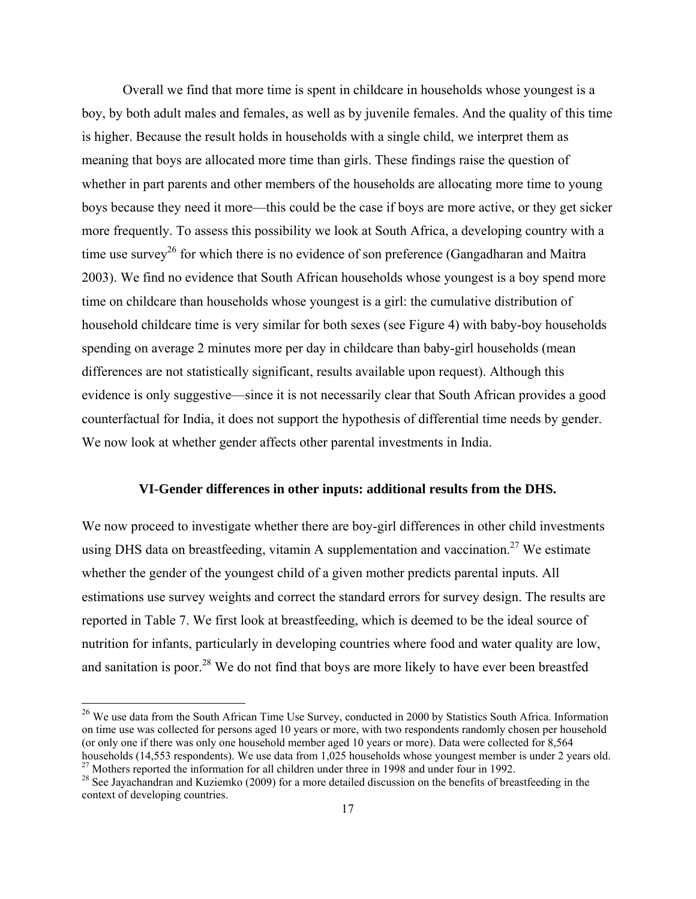Overall we find that more time is spent in childcare in households whose youngest is a boy, by both adult males and females, as well as by juvenile females. And the quality of this time is higher. Because the result holds in households with a single child, we interpret them as meaning that boys are allocated more time than girls. These findings raise the question of whether in part parents and other members of the households are allocating more time to young boys because they need it more—this could be the case if boys are more active, or they get sicker more frequently. To assess this possibility we look at South Africa, a developing country with a time use survey<sup>26</sup> for which there is no evidence of son preference (Gangadharan and Maitra) 2003). We find no evidence that South African households whose youngest is a boy spend more time on childcare than households whose youngest is a girl: the cumulative distribution of household childcare time is very similar for both sexes (see Figure 4) with baby-boy households spending on average 2 minutes more per day in childcare than baby-girl households (mean differences are not statistically significant, results available upon request). Although this evidence is only suggestive—since it is not necessarily clear that South African provides a good counterfactual for India, it does not support the hypothesis of differential time needs by gender. We now look at whether gender affects other parental investments in India.

### **VI-Gender differences in other inputs: additional results from the DHS.**

We now proceed to investigate whether there are boy-girl differences in other child investments using DHS data on breastfeeding, vitamin A supplementation and vaccination.<sup>27</sup> We estimate whether the gender of the youngest child of a given mother predicts parental inputs. All estimations use survey weights and correct the standard errors for survey design. The results are reported in Table 7. We first look at breastfeeding, which is deemed to be the ideal source of nutrition for infants, particularly in developing countries where food and water quality are low, and sanitation is poor.<sup>28</sup> We do not find that boys are more likely to have ever been breastfed

 $^{26}$  We use data from the South African Time Use Survey, conducted in 2000 by Statistics South Africa. Information on time use was collected for persons aged 10 years or more, with two respondents randomly chosen per household (or only one if there was only one household member aged 10 years or more). Data were collected for 8,564 households (14,553 respondents). We use data from 1,025 households whose youngest member is under 2 years old.

<sup>&</sup>lt;sup>27</sup> Mothers reported the information for all children under three in 1998 and under four in 1992.

<sup>&</sup>lt;sup>28</sup> See Jayachandran and Kuziemko (2009) for a more detailed discussion on the benefits of breastfeeding in the context of developing countries.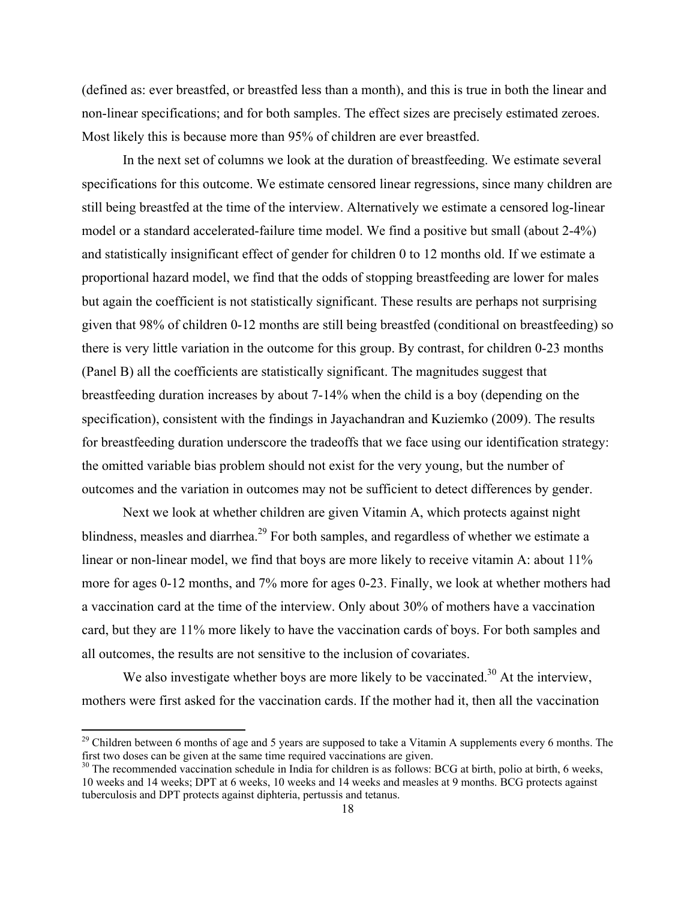(defined as: ever breastfed, or breastfed less than a month), and this is true in both the linear and non-linear specifications; and for both samples. The effect sizes are precisely estimated zeroes. Most likely this is because more than 95% of children are ever breastfed.

In the next set of columns we look at the duration of breastfeeding. We estimate several specifications for this outcome. We estimate censored linear regressions, since many children are still being breastfed at the time of the interview. Alternatively we estimate a censored log-linear model or a standard accelerated-failure time model. We find a positive but small (about 2-4%) and statistically insignificant effect of gender for children 0 to 12 months old. If we estimate a proportional hazard model, we find that the odds of stopping breastfeeding are lower for males but again the coefficient is not statistically significant. These results are perhaps not surprising given that 98% of children 0-12 months are still being breastfed (conditional on breastfeeding) so there is very little variation in the outcome for this group. By contrast, for children 0-23 months (Panel B) all the coefficients are statistically significant. The magnitudes suggest that breastfeeding duration increases by about 7-14% when the child is a boy (depending on the specification), consistent with the findings in Jayachandran and Kuziemko (2009). The results for breastfeeding duration underscore the tradeoffs that we face using our identification strategy: the omitted variable bias problem should not exist for the very young, but the number of outcomes and the variation in outcomes may not be sufficient to detect differences by gender.

Next we look at whether children are given Vitamin A, which protects against night blindness, measles and diarrhea.<sup>29</sup> For both samples, and regardless of whether we estimate a linear or non-linear model, we find that boys are more likely to receive vitamin A: about 11% more for ages 0-12 months, and 7% more for ages 0-23. Finally, we look at whether mothers had a vaccination card at the time of the interview. Only about 30% of mothers have a vaccination card, but they are 11% more likely to have the vaccination cards of boys. For both samples and all outcomes, the results are not sensitive to the inclusion of covariates.

We also investigate whether boys are more likely to be vaccinated.<sup>30</sup> At the interview, mothers were first asked for the vaccination cards. If the mother had it, then all the vaccination

<sup>&</sup>lt;sup>29</sup> Children between 6 months of age and 5 years are supposed to take a Vitamin A supplements every 6 months. The first two doses can be given at the same time required vaccinations are given.

 $30$  The recommended vaccination schedule in India for children is as follows: BCG at birth, polio at birth, 6 weeks, 10 weeks and 14 weeks; DPT at 6 weeks, 10 weeks and 14 weeks and measles at 9 months. BCG protects against tuberculosis and DPT protects against diphteria, pertussis and tetanus.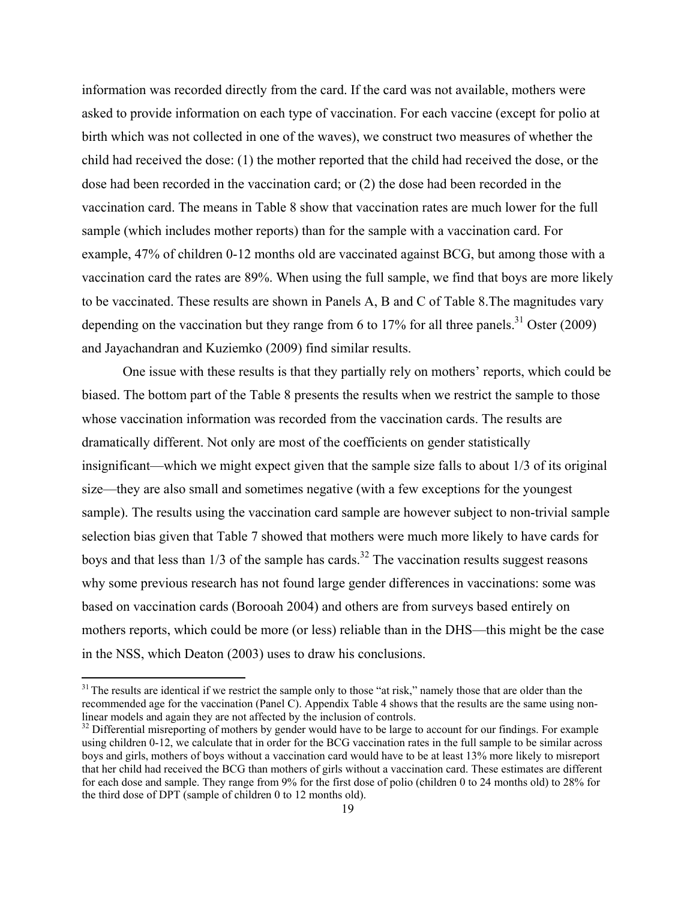information was recorded directly from the card. If the card was not available, mothers were asked to provide information on each type of vaccination. For each vaccine (except for polio at birth which was not collected in one of the waves), we construct two measures of whether the child had received the dose: (1) the mother reported that the child had received the dose, or the dose had been recorded in the vaccination card; or (2) the dose had been recorded in the vaccination card. The means in Table 8 show that vaccination rates are much lower for the full sample (which includes mother reports) than for the sample with a vaccination card. For example, 47% of children 0-12 months old are vaccinated against BCG, but among those with a vaccination card the rates are 89%. When using the full sample, we find that boys are more likely to be vaccinated. These results are shown in Panels A, B and C of Table 8.The magnitudes vary depending on the vaccination but they range from 6 to 17% for all three panels.<sup>31</sup> Oster (2009) and Jayachandran and Kuziemko (2009) find similar results.

One issue with these results is that they partially rely on mothers' reports, which could be biased. The bottom part of the Table 8 presents the results when we restrict the sample to those whose vaccination information was recorded from the vaccination cards. The results are dramatically different. Not only are most of the coefficients on gender statistically insignificant—which we might expect given that the sample size falls to about 1/3 of its original size—they are also small and sometimes negative (with a few exceptions for the youngest sample). The results using the vaccination card sample are however subject to non-trivial sample selection bias given that Table 7 showed that mothers were much more likely to have cards for boys and that less than  $1/3$  of the sample has cards.<sup>32</sup> The vaccination results suggest reasons why some previous research has not found large gender differences in vaccinations: some was based on vaccination cards (Borooah 2004) and others are from surveys based entirely on mothers reports, which could be more (or less) reliable than in the DHS—this might be the case in the NSS, which Deaton (2003) uses to draw his conclusions.

 $31$ <sup>31</sup> The results are identical if we restrict the sample only to those "at risk," namely those that are older than the recommended age for the vaccination (Panel C). Appendix Table 4 shows that the results are the same using nonlinear models and again they are not affected by the inclusion of controls.<br><sup>32</sup> Differential misreporting of mothers by gender would have to be large to account for our findings. For example

using children 0-12, we calculate that in order for the BCG vaccination rates in the full sample to be similar across boys and girls, mothers of boys without a vaccination card would have to be at least 13% more likely to misreport that her child had received the BCG than mothers of girls without a vaccination card. These estimates are different for each dose and sample. They range from 9% for the first dose of polio (children 0 to 24 months old) to 28% for the third dose of DPT (sample of children 0 to 12 months old).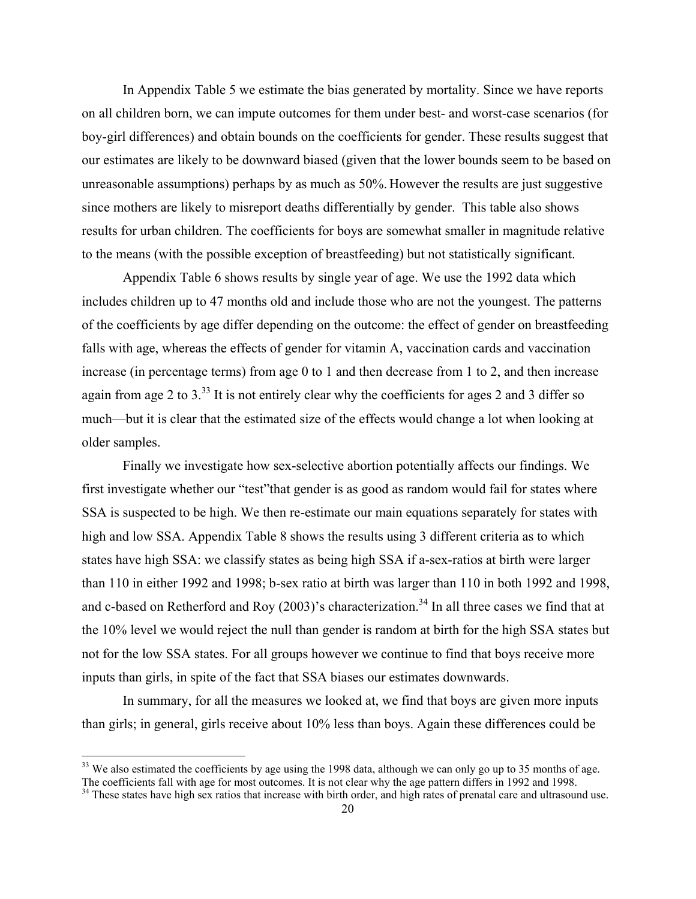In Appendix Table 5 we estimate the bias generated by mortality. Since we have reports on all children born, we can impute outcomes for them under best- and worst-case scenarios (for boy-girl differences) and obtain bounds on the coefficients for gender. These results suggest that our estimates are likely to be downward biased (given that the lower bounds seem to be based on unreasonable assumptions) perhaps by as much as 50%. However the results are just suggestive since mothers are likely to misreport deaths differentially by gender. This table also shows results for urban children. The coefficients for boys are somewhat smaller in magnitude relative to the means (with the possible exception of breastfeeding) but not statistically significant.

Appendix Table 6 shows results by single year of age. We use the 1992 data which includes children up to 47 months old and include those who are not the youngest. The patterns of the coefficients by age differ depending on the outcome: the effect of gender on breastfeeding falls with age, whereas the effects of gender for vitamin A, vaccination cards and vaccination increase (in percentage terms) from age 0 to 1 and then decrease from 1 to 2, and then increase again from age 2 to 3.<sup>33</sup> It is not entirely clear why the coefficients for ages 2 and 3 differ so much—but it is clear that the estimated size of the effects would change a lot when looking at older samples.

Finally we investigate how sex-selective abortion potentially affects our findings. We first investigate whether our "test"that gender is as good as random would fail for states where SSA is suspected to be high. We then re-estimate our main equations separately for states with high and low SSA. Appendix Table 8 shows the results using 3 different criteria as to which states have high SSA: we classify states as being high SSA if a-sex-ratios at birth were larger than 110 in either 1992 and 1998; b-sex ratio at birth was larger than 110 in both 1992 and 1998, and c-based on Retherford and Roy  $(2003)$ 's characterization.<sup>34</sup> In all three cases we find that at the 10% level we would reject the null than gender is random at birth for the high SSA states but not for the low SSA states. For all groups however we continue to find that boys receive more inputs than girls, in spite of the fact that SSA biases our estimates downwards.

In summary, for all the measures we looked at, we find that boys are given more inputs than girls; in general, girls receive about 10% less than boys. Again these differences could be

 $33$  We also estimated the coefficients by age using the 1998 data, although we can only go up to 35 months of age.<br>The coefficients fall with age for most outcomes. It is not clear why the age pattern differs in 1992 and

<sup>&</sup>lt;sup>34</sup> These states have high sex ratios that increase with birth order, and high rates of prenatal care and ultrasound use.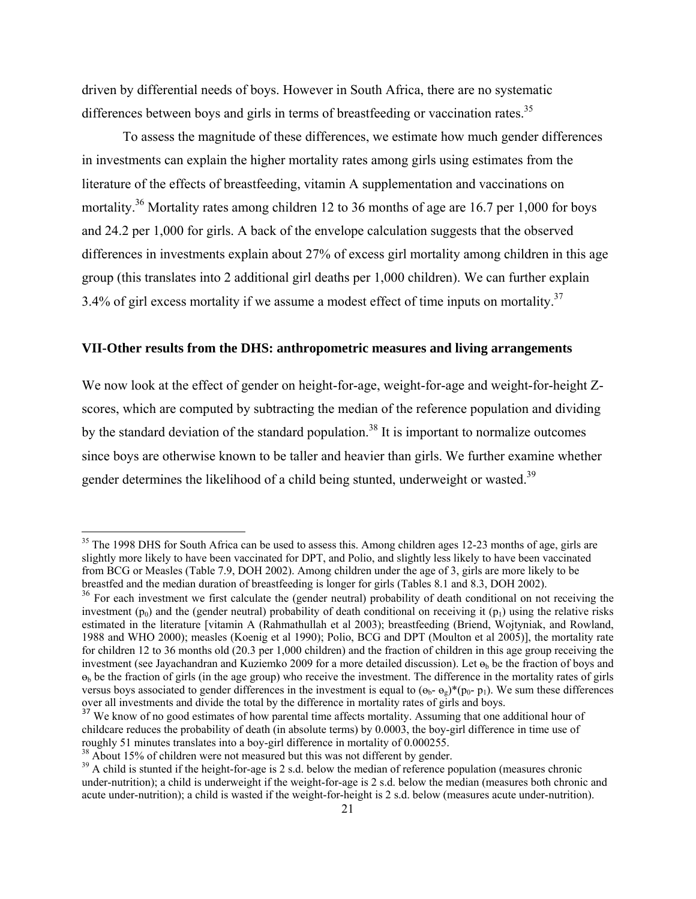driven by differential needs of boys. However in South Africa, there are no systematic differences between boys and girls in terms of breastfeeding or vaccination rates.<sup>35</sup>

To assess the magnitude of these differences, we estimate how much gender differences in investments can explain the higher mortality rates among girls using estimates from the literature of the effects of breastfeeding, vitamin A supplementation and vaccinations on mortality.<sup>36</sup> Mortality rates among children 12 to 36 months of age are 16.7 per 1,000 for boys and 24.2 per 1,000 for girls. A back of the envelope calculation suggests that the observed differences in investments explain about 27% of excess girl mortality among children in this age group (this translates into 2 additional girl deaths per 1,000 children). We can further explain 3.4% of girl excess mortality if we assume a modest effect of time inputs on mortality.<sup>37</sup>

#### **VII-Other results from the DHS: anthropometric measures and living arrangements**

We now look at the effect of gender on height-for-age, weight-for-age and weight-for-height Zscores, which are computed by subtracting the median of the reference population and dividing by the standard deviation of the standard population.<sup>38</sup> It is important to normalize outcomes since boys are otherwise known to be taller and heavier than girls. We further examine whether gender determines the likelihood of a child being stunted, underweight or wasted.<sup>39</sup>

<sup>&</sup>lt;sup>35</sup> The 1998 DHS for South Africa can be used to assess this. Among children ages 12-23 months of age, girls are slightly more likely to have been vaccinated for DPT, and Polio, and slightly less likely to have been vaccinated from BCG or Measles (Table 7.9, DOH 2002). Among children under the age of 3, girls are more likely to be breastfed and the median duration of breastfeeding is longer for girls (Tables 8.1 and 8.3, DOH 2002).

<sup>&</sup>lt;sup>36</sup> For each investment we first calculate the (gender neutral) probability of death conditional on not receiving the investment  $(p_0)$  and the (gender neutral) probability of death conditional on receiving it  $(p_1)$  using the relative risks estimated in the literature [vitamin A (Rahmathullah et al 2003); breastfeeding (Briend, Wojtyniak, and Rowland, 1988 and WHO 2000); measles (Koenig et al 1990); Polio, BCG and DPT (Moulton et al 2005)], the mortality rate for children 12 to 36 months old (20.3 per 1,000 children) and the fraction of children in this age group receiving the investment (see Jayachandran and Kuziemko 2009 for a more detailed discussion). Let  $\theta_b$  be the fraction of boys and  $\mathbf{e}_b$  be the fraction of girls (in the age group) who receive the investment. The difference in the mortality rates of girls versus boys associated to gender differences in the investment is equal to  $(\theta_b - \theta_g)^*(p_0 - p_1)$ . We sum these differences over all investments and divide the total by the difference in mortality rates of girls and boys.

<sup>&</sup>lt;sup>37</sup> We know of no good estimates of how parental time affects mortality. Assuming that one additional hour of childcare reduces the probability of death (in absolute terms) by 0.0003, the boy-girl difference in time use of roughly 51 minutes translates into a boy-girl difference in mortality of 0.000255.

<sup>&</sup>lt;sup>38</sup> About 15% of children were not measured but this was not different by gender.

<sup>&</sup>lt;sup>39</sup> A child is stunted if the height-for-age is 2 s.d. below the median of reference population (measures chronic under-nutrition); a child is underweight if the weight-for-age is 2 s.d. below the median (measures both chronic and acute under-nutrition); a child is wasted if the weight-for-height is 2 s.d. below (measures acute under-nutrition).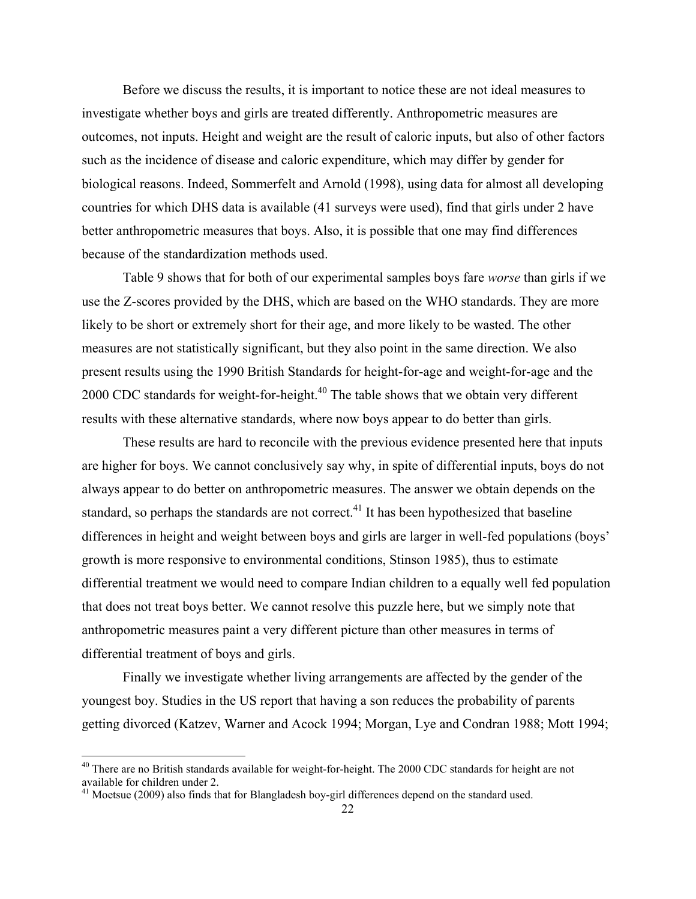Before we discuss the results, it is important to notice these are not ideal measures to investigate whether boys and girls are treated differently. Anthropometric measures are outcomes, not inputs. Height and weight are the result of caloric inputs, but also of other factors such as the incidence of disease and caloric expenditure, which may differ by gender for biological reasons. Indeed, Sommerfelt and Arnold (1998), using data for almost all developing countries for which DHS data is available (41 surveys were used), find that girls under 2 have better anthropometric measures that boys. Also, it is possible that one may find differences because of the standardization methods used.

Table 9 shows that for both of our experimental samples boys fare *worse* than girls if we use the Z-scores provided by the DHS, which are based on the WHO standards. They are more likely to be short or extremely short for their age, and more likely to be wasted. The other measures are not statistically significant, but they also point in the same direction. We also present results using the 1990 British Standards for height-for-age and weight-for-age and the 2000 CDC standards for weight-for-height. $40$  The table shows that we obtain very different results with these alternative standards, where now boys appear to do better than girls.

These results are hard to reconcile with the previous evidence presented here that inputs are higher for boys. We cannot conclusively say why, in spite of differential inputs, boys do not always appear to do better on anthropometric measures. The answer we obtain depends on the standard, so perhaps the standards are not correct.<sup>41</sup> It has been hypothesized that baseline differences in height and weight between boys and girls are larger in well-fed populations (boys' growth is more responsive to environmental conditions, Stinson 1985), thus to estimate differential treatment we would need to compare Indian children to a equally well fed population that does not treat boys better. We cannot resolve this puzzle here, but we simply note that anthropometric measures paint a very different picture than other measures in terms of differential treatment of boys and girls.

Finally we investigate whether living arrangements are affected by the gender of the youngest boy. Studies in the US report that having a son reduces the probability of parents getting divorced (Katzev, Warner and Acock 1994; Morgan, Lye and Condran 1988; Mott 1994;

<sup>&</sup>lt;sup>40</sup> There are no British standards available for weight-for-height. The 2000 CDC standards for height are not available for children under 2.

<sup>&</sup>lt;sup>41</sup> Moetsue (2009) also finds that for Blangladesh boy-girl differences depend on the standard used.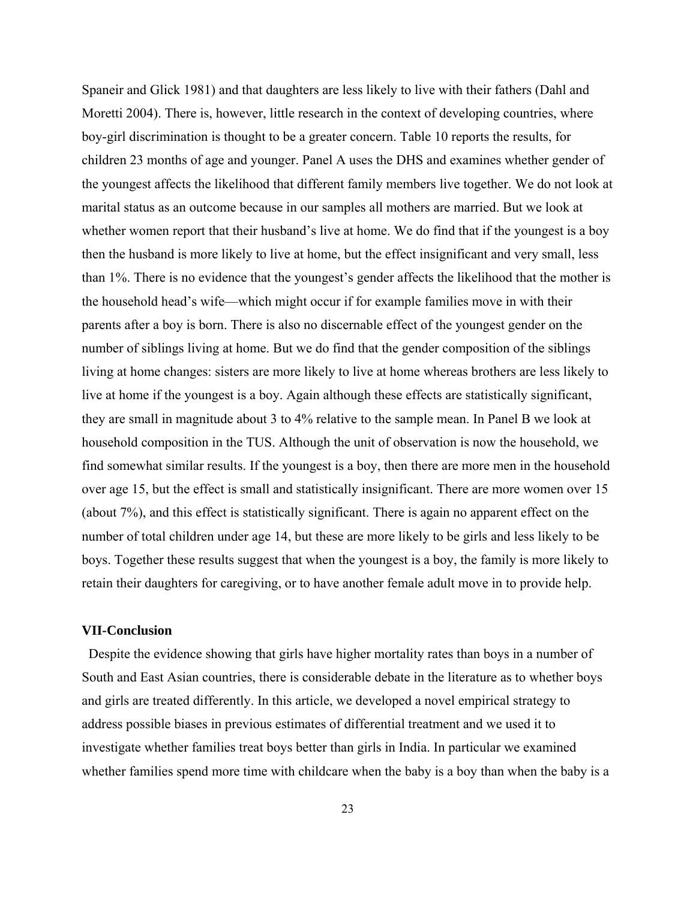Spaneir and Glick 1981) and that daughters are less likely to live with their fathers (Dahl and Moretti 2004). There is, however, little research in the context of developing countries, where boy-girl discrimination is thought to be a greater concern. Table 10 reports the results, for children 23 months of age and younger. Panel A uses the DHS and examines whether gender of the youngest affects the likelihood that different family members live together. We do not look at marital status as an outcome because in our samples all mothers are married. But we look at whether women report that their husband's live at home. We do find that if the youngest is a boy then the husband is more likely to live at home, but the effect insignificant and very small, less than 1%. There is no evidence that the youngest's gender affects the likelihood that the mother is the household head's wife—which might occur if for example families move in with their parents after a boy is born. There is also no discernable effect of the youngest gender on the number of siblings living at home. But we do find that the gender composition of the siblings living at home changes: sisters are more likely to live at home whereas brothers are less likely to live at home if the youngest is a boy. Again although these effects are statistically significant, they are small in magnitude about 3 to 4% relative to the sample mean. In Panel B we look at household composition in the TUS. Although the unit of observation is now the household, we find somewhat similar results. If the youngest is a boy, then there are more men in the household over age 15, but the effect is small and statistically insignificant. There are more women over 15 (about 7%), and this effect is statistically significant. There is again no apparent effect on the number of total children under age 14, but these are more likely to be girls and less likely to be boys. Together these results suggest that when the youngest is a boy, the family is more likely to retain their daughters for caregiving, or to have another female adult move in to provide help.

# **VII-Conclusion**

 Despite the evidence showing that girls have higher mortality rates than boys in a number of South and East Asian countries, there is considerable debate in the literature as to whether boys and girls are treated differently. In this article, we developed a novel empirical strategy to address possible biases in previous estimates of differential treatment and we used it to investigate whether families treat boys better than girls in India. In particular we examined whether families spend more time with childcare when the baby is a boy than when the baby is a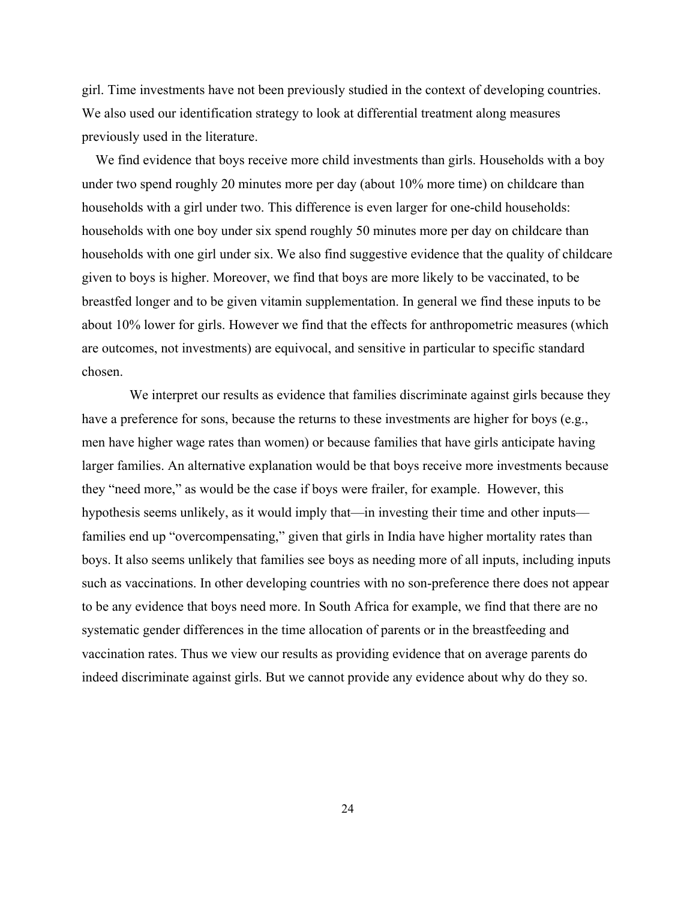girl. Time investments have not been previously studied in the context of developing countries. We also used our identification strategy to look at differential treatment along measures previously used in the literature.

 We find evidence that boys receive more child investments than girls. Households with a boy under two spend roughly 20 minutes more per day (about 10% more time) on childcare than households with a girl under two. This difference is even larger for one-child households: households with one boy under six spend roughly 50 minutes more per day on childcare than households with one girl under six. We also find suggestive evidence that the quality of childcare given to boys is higher. Moreover, we find that boys are more likely to be vaccinated, to be breastfed longer and to be given vitamin supplementation. In general we find these inputs to be about 10% lower for girls. However we find that the effects for anthropometric measures (which are outcomes, not investments) are equivocal, and sensitive in particular to specific standard chosen.

 We interpret our results as evidence that families discriminate against girls because they have a preference for sons, because the returns to these investments are higher for boys (e.g., men have higher wage rates than women) or because families that have girls anticipate having larger families. An alternative explanation would be that boys receive more investments because they "need more," as would be the case if boys were frailer, for example. However, this hypothesis seems unlikely, as it would imply that—in investing their time and other inputs families end up "overcompensating," given that girls in India have higher mortality rates than boys. It also seems unlikely that families see boys as needing more of all inputs, including inputs such as vaccinations. In other developing countries with no son-preference there does not appear to be any evidence that boys need more. In South Africa for example, we find that there are no systematic gender differences in the time allocation of parents or in the breastfeeding and vaccination rates. Thus we view our results as providing evidence that on average parents do indeed discriminate against girls. But we cannot provide any evidence about why do they so.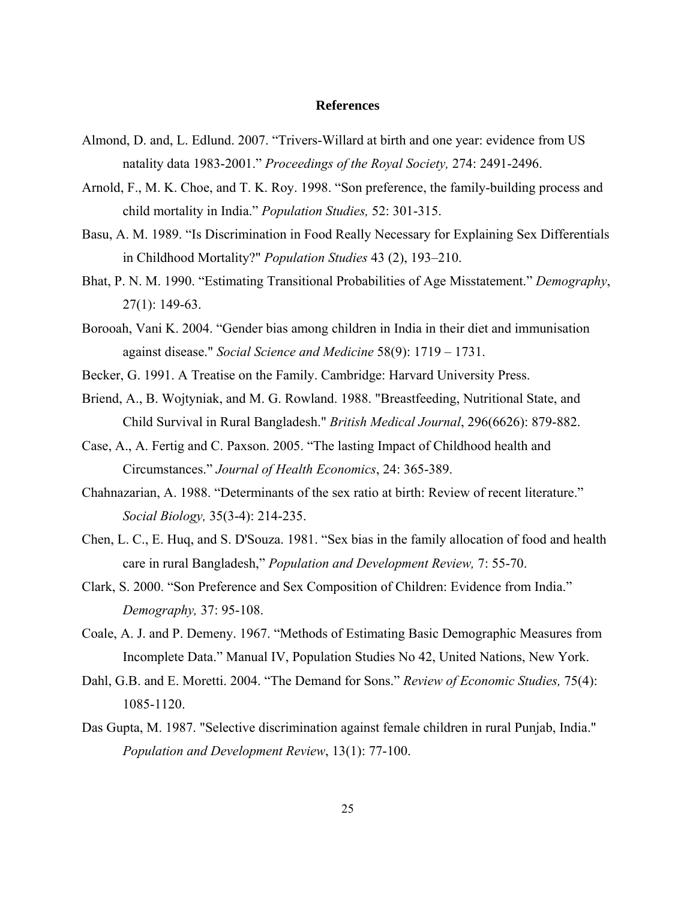### **References**

- Almond, D. and, L. Edlund. 2007. "Trivers-Willard at birth and one year: evidence from US natality data 1983-2001." *Proceedings of the Royal Society,* 274: 2491-2496.
- Arnold, F., M. K. Choe, and T. K. Roy. 1998. "Son preference, the family-building process and child mortality in India." *Population Studies,* 52: 301-315.
- Basu, A. M. 1989. "Is Discrimination in Food Really Necessary for Explaining Sex Differentials in Childhood Mortality?" *Population Studies* 43 (2), 193–210.
- Bhat, P. N. M. 1990. "Estimating Transitional Probabilities of Age Misstatement." *Demography*, 27(1): 149-63.
- Borooah, Vani K. 2004. "Gender bias among children in India in their diet and immunisation against disease." *Social Science and Medicine* 58(9): 1719 – 1731.
- Becker, G. 1991. A Treatise on the Family. Cambridge: Harvard University Press.
- Briend, A., B. Wojtyniak, and M. G. Rowland. 1988. "Breastfeeding, Nutritional State, and Child Survival in Rural Bangladesh." *British Medical Journal*, 296(6626): 879-882.
- Case, A., A. Fertig and C. Paxson. 2005. "The lasting Impact of Childhood health and Circumstances." *Journal of Health Economics*, 24: 365-389.
- Chahnazarian, A. 1988. "Determinants of the sex ratio at birth: Review of recent literature." *Social Biology,* 35(3-4): 214-235.
- Chen, L. C., E. Huq, and S. D'Souza. 1981. "Sex bias in the family allocation of food and health care in rural Bangladesh," *Population and Development Review,* 7: 55-70.
- Clark, S. 2000. "Son Preference and Sex Composition of Children: Evidence from India." *Demography,* 37: 95-108.
- Coale, A. J. and P. Demeny. 1967. "Methods of Estimating Basic Demographic Measures from Incomplete Data." Manual IV, Population Studies No 42, United Nations, New York.
- Dahl, G.B. and E. Moretti. 2004. "The Demand for Sons." *Review of Economic Studies,* 75(4): 1085-1120.
- Das Gupta, M. 1987. "Selective discrimination against female children in rural Punjab, India." *Population and Development Review*, 13(1): 77-100.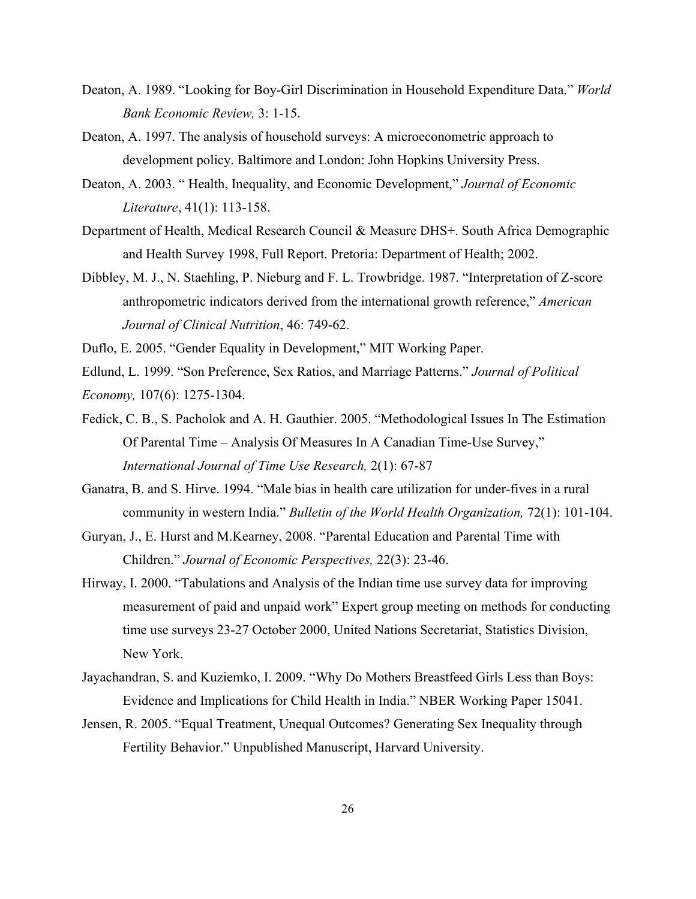- Deaton, A. 1989. "Looking for Boy-Girl Discrimination in Household Expenditure Data." *World Bank Economic Review,* 3: 1-15.
- Deaton, A. 1997. The analysis of household surveys: A microeconometric approach to development policy. Baltimore and London: John Hopkins University Press.
- Deaton, A. 2003. " Health, Inequality, and Economic Development," *Journal of Economic Literature*, 41(1): 113-158.
- Department of Health, Medical Research Council & Measure DHS+. South Africa Demographic and Health Survey 1998, Full Report. Pretoria: Department of Health; 2002.
- Dibbley, M. J., N. Staehling, P. Nieburg and F. L. Trowbridge. 1987. "Interpretation of Z-score anthropometric indicators derived from the international growth reference," *American Journal of Clinical Nutrition*, 46: 749-62.

Duflo, E. 2005. "Gender Equality in Development," MIT Working Paper.

Edlund, L. 1999. "Son Preference, Sex Ratios, and Marriage Patterns." *Journal of Political* 

*Economy,* 107(6): 1275-1304.

- Fedick, C. B., S. Pacholok and A. H. Gauthier. 2005. "Methodological Issues In The Estimation Of Parental Time – Analysis Of Measures In A Canadian Time-Use Survey," *International Journal of Time Use Research,* 2(1): 67-87
- Ganatra, B. and S. Hirve. 1994. "Male bias in health care utilization for under-fives in a rural community in western India." *Bulletin of the World Health Organization,* 72(1): 101-104.
- Guryan, J., E. Hurst and M.Kearney, 2008. "Parental Education and Parental Time with Children." *Journal of Economic Perspectives,* 22(3): 23-46.
- Hirway, I. 2000. "Tabulations and Analysis of the Indian time use survey data for improving measurement of paid and unpaid work" Expert group meeting on methods for conducting time use surveys 23-27 October 2000, United Nations Secretariat, Statistics Division, New York.
- Jayachandran, S. and Kuziemko, I. 2009. "Why Do Mothers Breastfeed Girls Less than Boys: Evidence and Implications for Child Health in India." NBER Working Paper 15041.
- Jensen, R. 2005. "Equal Treatment, Unequal Outcomes? Generating Sex Inequality through Fertility Behavior." Unpublished Manuscript, Harvard University.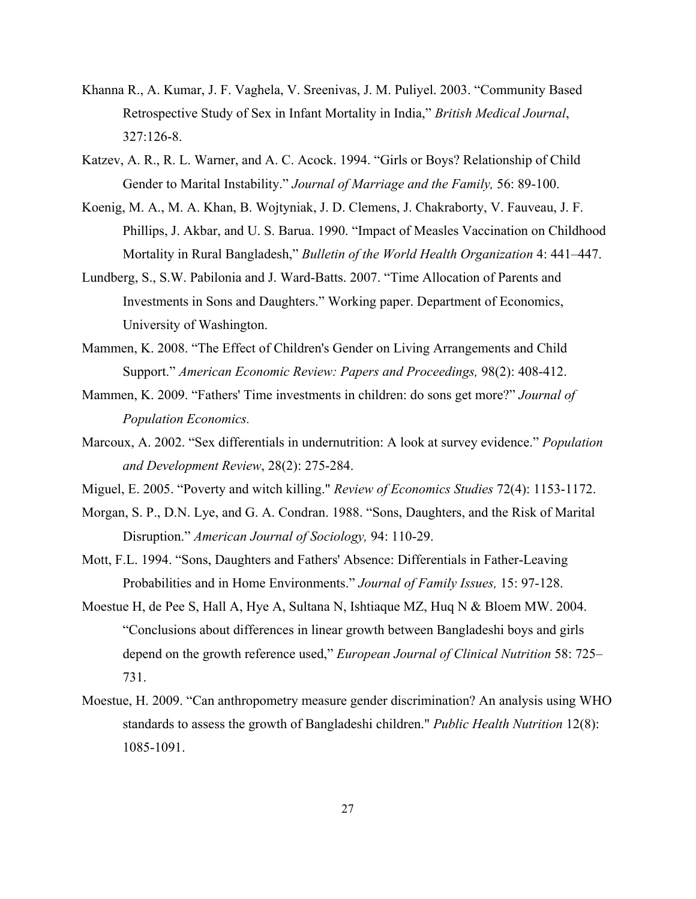- Khanna R., A. Kumar, J. F. Vaghela, V. Sreenivas, J. M. Puliyel. 2003. "Community Based Retrospective Study of Sex in Infant Mortality in India," *British Medical Journal*, 327:126-8.
- Katzev, A. R., R. L. Warner, and A. C. Acock. 1994. "Girls or Boys? Relationship of Child Gender to Marital Instability." *Journal of Marriage and the Family,* 56: 89-100.
- Koenig, M. A., M. A. Khan, B. Wojtyniak, J. D. Clemens, J. Chakraborty, V. Fauveau, J. F. Phillips, J. Akbar, and U. S. Barua. 1990. "Impact of Measles Vaccination on Childhood Mortality in Rural Bangladesh," *Bulletin of the World Health Organization* 4: 441–447.
- Lundberg, S., S.W. Pabilonia and J. Ward-Batts. 2007. "Time Allocation of Parents and Investments in Sons and Daughters." Working paper. Department of Economics, University of Washington.
- Mammen, K. 2008. "The Effect of Children's Gender on Living Arrangements and Child Support." *American Economic Review: Papers and Proceedings,* 98(2): 408-412.
- Mammen, K. 2009. "Fathers' Time investments in children: do sons get more?" *Journal of Population Economics.*
- Marcoux, A. 2002. "Sex differentials in undernutrition: A look at survey evidence." *Population and Development Review*, 28(2): 275-284.
- Miguel, E. 2005. "Poverty and witch killing." *Review of Economics Studies* 72(4): 1153-1172.
- Morgan, S. P., D.N. Lye, and G. A. Condran. 1988. "Sons, Daughters, and the Risk of Marital Disruption." *American Journal of Sociology,* 94: 110-29.
- Mott, F.L. 1994. "Sons, Daughters and Fathers' Absence: Differentials in Father-Leaving Probabilities and in Home Environments." *Journal of Family Issues,* 15: 97-128.
- Moestue H, de Pee S, Hall A, Hye A, Sultana N, Ishtiaque MZ, Huq N & Bloem MW. 2004. "Conclusions about differences in linear growth between Bangladeshi boys and girls depend on the growth reference used," *European Journal of Clinical Nutrition* 58: 725– 731.
- Moestue, H. 2009. "Can anthropometry measure gender discrimination? An analysis using WHO standards to assess the growth of Bangladeshi children." *Public Health Nutrition* 12(8): 1085-1091.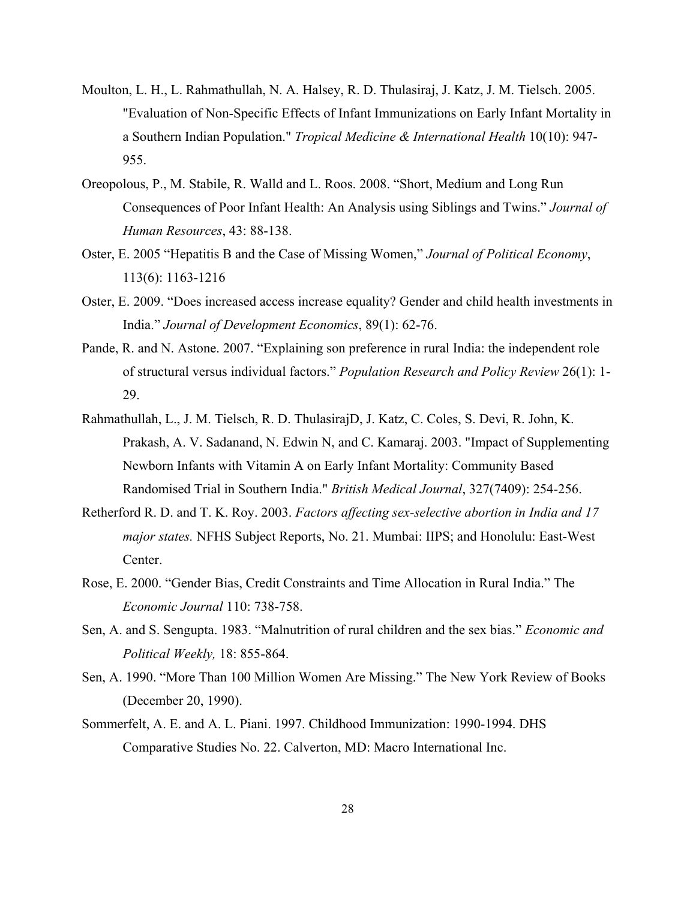- Moulton, L. H., L. Rahmathullah, N. A. Halsey, R. D. Thulasiraj, J. Katz, J. M. Tielsch. 2005. "Evaluation of Non-Specific Effects of Infant Immunizations on Early Infant Mortality in a Southern Indian Population." *Tropical Medicine & International Health* 10(10): 947- 955.
- Oreopolous, P., M. Stabile, R. Walld and L. Roos. 2008. "Short, Medium and Long Run Consequences of Poor Infant Health: An Analysis using Siblings and Twins." *Journal of Human Resources*, 43: 88-138.
- Oster, E. 2005 "Hepatitis B and the Case of Missing Women," *Journal of Political Economy*, 113(6): 1163-1216
- Oster, E. 2009. "Does increased access increase equality? Gender and child health investments in India." *Journal of Development Economics*, 89(1): 62-76.
- Pande, R. and N. Astone. 2007. "Explaining son preference in rural India: the independent role of structural versus individual factors." *Population Research and Policy Review* 26(1): 1- 29.
- Rahmathullah, L., J. M. Tielsch, R. D. ThulasirajD, J. Katz, C. Coles, S. Devi, R. John, K. Prakash, A. V. Sadanand, N. Edwin N, and C. Kamaraj. 2003. "Impact of Supplementing Newborn Infants with Vitamin A on Early Infant Mortality: Community Based Randomised Trial in Southern India." *British Medical Journal*, 327(7409): 254-256.
- Retherford R. D. and T. K. Roy. 2003. *Factors affecting sex-selective abortion in India and 17 major states.* NFHS Subject Reports, No. 21. Mumbai: IIPS; and Honolulu: East-West Center.
- Rose, E. 2000. "Gender Bias, Credit Constraints and Time Allocation in Rural India." The *Economic Journal* 110: 738-758.
- Sen, A. and S. Sengupta. 1983. "Malnutrition of rural children and the sex bias." *Economic and Political Weekly,* 18: 855-864.
- Sen, A. 1990. "More Than 100 Million Women Are Missing." The New York Review of Books (December 20, 1990).
- Sommerfelt, A. E. and A. L. Piani. 1997. Childhood Immunization: 1990-1994. DHS Comparative Studies No. 22. Calverton, MD: Macro International Inc.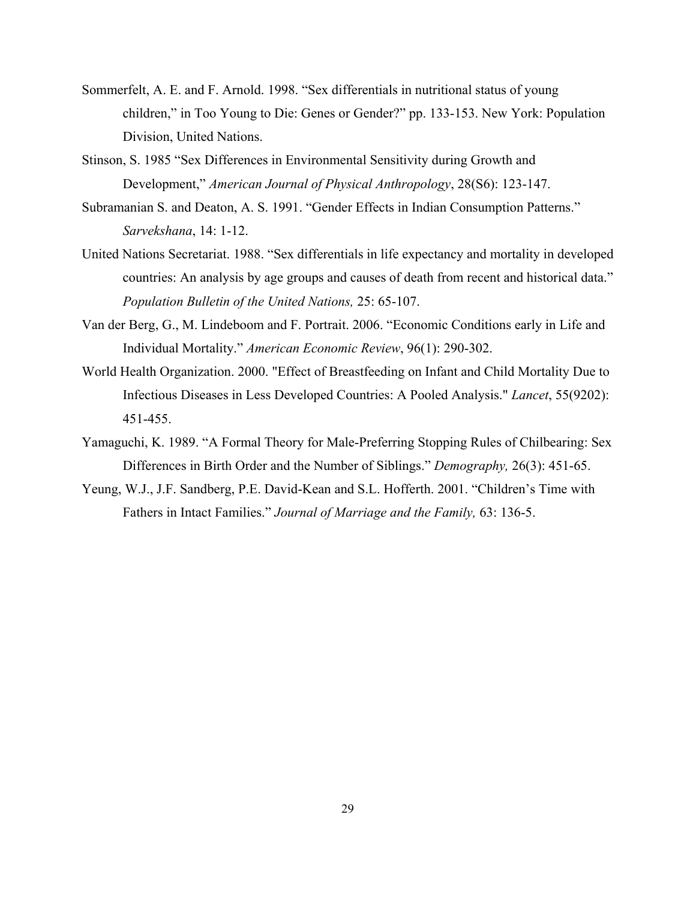- Sommerfelt, A. E. and F. Arnold. 1998. "Sex differentials in nutritional status of young children," in Too Young to Die: Genes or Gender?" pp. 133-153. New York: Population Division, United Nations.
- Stinson, S. 1985 "Sex Differences in Environmental Sensitivity during Growth and Development," *American Journal of Physical Anthropology*, 28(S6): 123-147.
- Subramanian S. and Deaton, A. S. 1991. "Gender Effects in Indian Consumption Patterns." *Sarvekshana*, 14: 1-12.
- United Nations Secretariat. 1988. "Sex differentials in life expectancy and mortality in developed countries: An analysis by age groups and causes of death from recent and historical data." *Population Bulletin of the United Nations,* 25: 65-107.
- Van der Berg, G., M. Lindeboom and F. Portrait. 2006. "Economic Conditions early in Life and Individual Mortality." *American Economic Review*, 96(1): 290-302.
- World Health Organization. 2000. "Effect of Breastfeeding on Infant and Child Mortality Due to Infectious Diseases in Less Developed Countries: A Pooled Analysis." *Lancet*, 55(9202): 451-455.
- Yamaguchi, K. 1989. "A Formal Theory for Male-Preferring Stopping Rules of Chilbearing: Sex Differences in Birth Order and the Number of Siblings." *Demography,* 26(3): 451-65.
- Yeung, W.J., J.F. Sandberg, P.E. David-Kean and S.L. Hofferth. 2001. "Children's Time with Fathers in Intact Families." *Journal of Marriage and the Family,* 63: 136-5.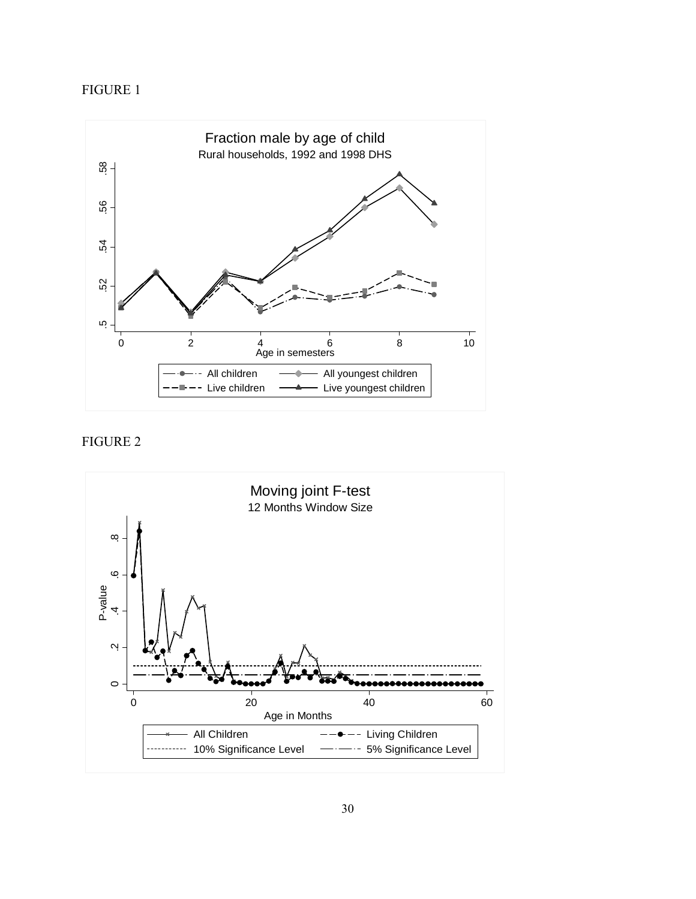# FIGURE 1



# FIGURE 2

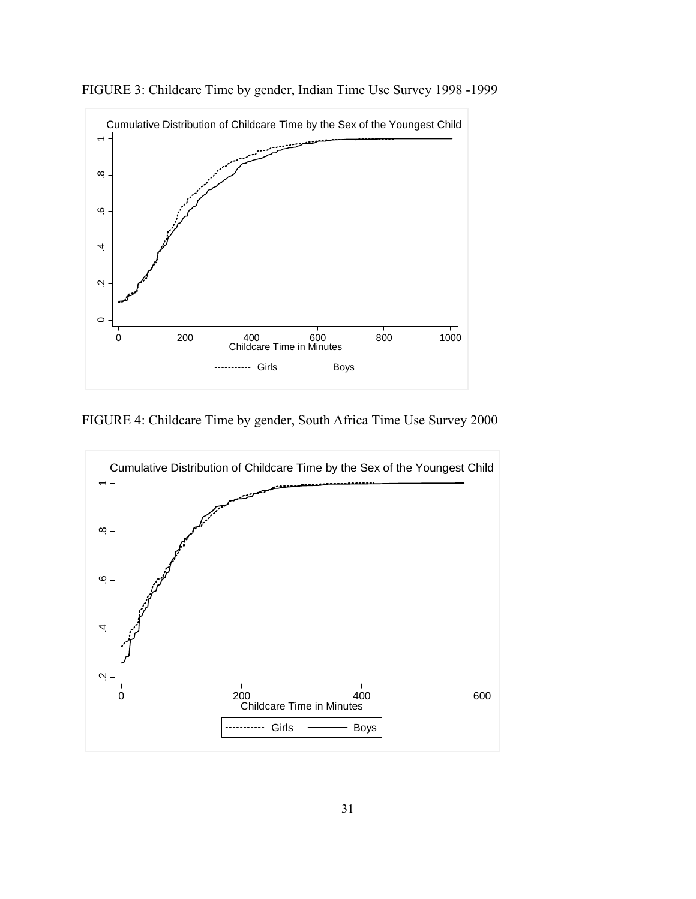

FIGURE 3: Childcare Time by gender, Indian Time Use Survey 1998 -1999

FIGURE 4: Childcare Time by gender, South Africa Time Use Survey 2000

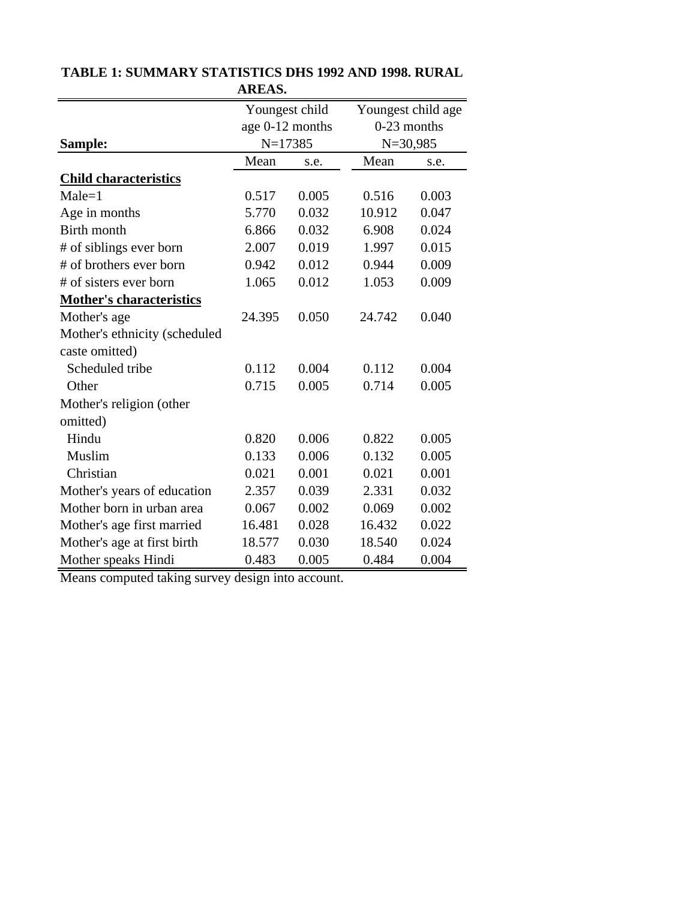|                                 | Youngest child  |       |               | Youngest child age |  |
|---------------------------------|-----------------|-------|---------------|--------------------|--|
|                                 | age 0-12 months |       | $0-23$ months |                    |  |
| Sample:                         | $N=17385$       |       |               | $N = 30,985$       |  |
|                                 | Mean            | s.e.  | Mean          | s.e.               |  |
| <b>Child characteristics</b>    |                 |       |               |                    |  |
| $Male = 1$                      | 0.517           | 0.005 | 0.516         | 0.003              |  |
| Age in months                   | 5.770           | 0.032 | 10.912        | 0.047              |  |
| Birth month                     | 6.866           | 0.032 | 6.908         | 0.024              |  |
| # of siblings ever born         | 2.007           | 0.019 | 1.997         | 0.015              |  |
| # of brothers ever born         | 0.942           | 0.012 | 0.944         | 0.009              |  |
| # of sisters ever born          | 1.065           | 0.012 | 1.053         | 0.009              |  |
| <b>Mother's characteristics</b> |                 |       |               |                    |  |
| Mother's age                    | 24.395          | 0.050 | 24.742        | 0.040              |  |
| Mother's ethnicity (scheduled   |                 |       |               |                    |  |
| caste omitted)                  |                 |       |               |                    |  |
| Scheduled tribe                 | 0.112           | 0.004 | 0.112         | 0.004              |  |
| Other                           | 0.715           | 0.005 | 0.714         | 0.005              |  |
| Mother's religion (other        |                 |       |               |                    |  |
| omitted)                        |                 |       |               |                    |  |
| Hindu                           | 0.820           | 0.006 | 0.822         | 0.005              |  |
| Muslim                          | 0.133           | 0.006 | 0.132         | 0.005              |  |
| Christian                       | 0.021           | 0.001 | 0.021         | 0.001              |  |
| Mother's years of education     | 2.357           | 0.039 | 2.331         | 0.032              |  |
| Mother born in urban area       | 0.067           | 0.002 | 0.069         | 0.002              |  |
| Mother's age first married      | 16.481          | 0.028 | 16.432        | 0.022              |  |
| Mother's age at first birth     | 18.577          | 0.030 | 18.540        | 0.024              |  |
| Mother speaks Hindi             | 0.483           | 0.005 | 0.484         | 0.004              |  |

# **TABLE 1: SUMMARY STATISTICS DHS 1992 AND 1998. RURAL AREAS.**

Means computed taking survey design into account.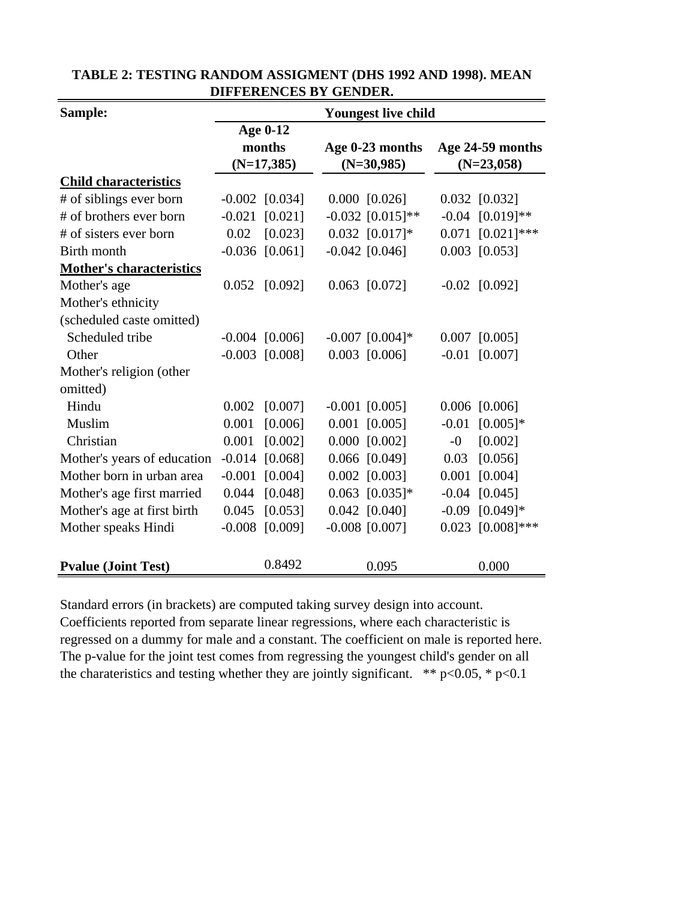| Sample:                         | <b>Youngest live child</b> |                  |  |                    |              |                       |  |  |  |
|---------------------------------|----------------------------|------------------|--|--------------------|--------------|-----------------------|--|--|--|
|                                 |                            | <b>Age 0-12</b>  |  |                    |              |                       |  |  |  |
|                                 |                            | months           |  | Age 0-23 months    |              | Age 24-59 months      |  |  |  |
|                                 |                            | $(N=17,385)$     |  | $(N=30,985)$       | $(N=23,058)$ |                       |  |  |  |
| <b>Child characteristics</b>    |                            |                  |  |                    |              |                       |  |  |  |
| # of siblings ever born         |                            | $-0.002$ [0.034] |  | $0.000$ [0.026]    |              | $0.032$ [0.032]       |  |  |  |
| # of brothers ever born         | $-0.021$                   | [0.021]          |  | $-0.032$ [0.015]** |              | $-0.04$ $[0.019]**$   |  |  |  |
| # of sisters ever born          | 0.02                       | [0.023]          |  | $0.032$ [0.017]*   |              | $0.071$ $[0.021]$ *** |  |  |  |
| Birth month                     |                            | $-0.036$ [0.061] |  | $-0.042$ [0.046]   |              | $0.003$ [0.053]       |  |  |  |
| <b>Mother's characteristics</b> |                            |                  |  |                    |              |                       |  |  |  |
| Mother's age                    |                            | $0.052$ [0.092]  |  | $0.063$ [0.072]    |              | $-0.02$ [0.092]       |  |  |  |
| Mother's ethnicity              |                            |                  |  |                    |              |                       |  |  |  |
| (scheduled caste omitted)       |                            |                  |  |                    |              |                       |  |  |  |
| Scheduled tribe                 |                            | $-0.004$ [0.006] |  | $-0.007$ [0.004]*  |              | $0.007$ [0.005]       |  |  |  |
| Other                           |                            | $-0.003$ [0.008] |  | $0.003$ [0.006]    | $-0.01$      | [0.007]               |  |  |  |
| Mother's religion (other        |                            |                  |  |                    |              |                       |  |  |  |
| omitted)                        |                            |                  |  |                    |              |                       |  |  |  |
| Hindu                           | 0.002                      | [0.007]          |  | $-0.001$ [0.005]   |              | $0.006$ [0.006]       |  |  |  |
| Muslim                          | 0.001                      | [0.006]          |  | $0.001$ [0.005]    | $-0.01$      | $[0.005]$ *           |  |  |  |
| Christian                       | 0.001                      | [0.002]          |  | $0.000$ $[0.002]$  | $-0$         | [0.002]               |  |  |  |
| Mother's years of education     | $-0.014$                   | [0.068]          |  | $0.066$ [0.049]    | 0.03         | [0.056]               |  |  |  |
| Mother born in urban area       | $-0.001$                   | [0.004]          |  | $0.002$ [0.003]    |              | $0.001$ [0.004]       |  |  |  |
| Mother's age first married      | 0.044                      | [0.048]          |  | $0.063$ [0.035]*   |              | $-0.04$ [0.045]       |  |  |  |
| Mother's age at first birth     | 0.045                      | [0.053]          |  | $0.042$ [0.040]    | $-0.09$      | $[0.049]$ *           |  |  |  |
| Mother speaks Hindi             | $-0.008$                   | [0.009]          |  | $-0.008$ [0.007]   |              | $0.023$ [0.008]***    |  |  |  |
|                                 |                            |                  |  |                    |              |                       |  |  |  |
| <b>Pvalue (Joint Test)</b>      |                            | 0.8492           |  | 0.095              |              | 0.000                 |  |  |  |

| TABLE 2: TESTING RANDOM ASSIGMENT (DHS 1992 AND 1998). MEAN |
|-------------------------------------------------------------|
| DIFFERENCES BY GENDER.                                      |

Standard errors (in brackets) are computed taking survey design into account. Coefficients reported from separate linear regressions, where each characteristic is regressed on a dummy for male and a constant. The coefficient on male is reported here. The p-value for the joint test comes from regressing the youngest child's gender on all the charateristics and testing whether they are jointly significant. \*\*  $p<0.05$ , \*  $p<0.1$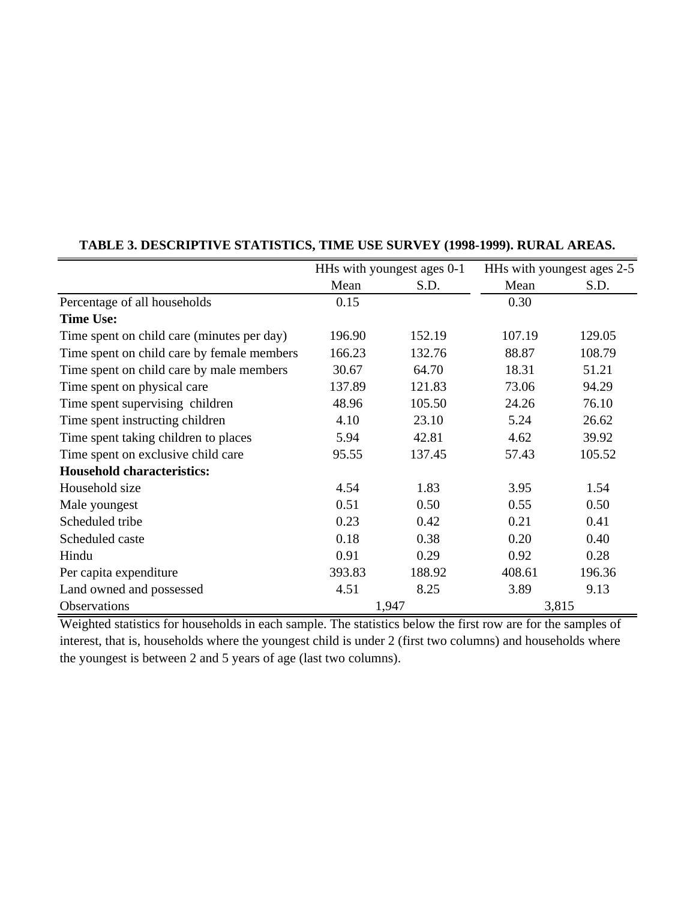|                                            |        | HHs with youngest ages 0-1 |        | HHs with youngest ages 2-5 |
|--------------------------------------------|--------|----------------------------|--------|----------------------------|
|                                            | Mean   | S.D.                       | Mean   | S.D.                       |
| Percentage of all households               | 0.15   |                            | 0.30   |                            |
| <b>Time Use:</b>                           |        |                            |        |                            |
| Time spent on child care (minutes per day) | 196.90 | 152.19                     | 107.19 | 129.05                     |
| Time spent on child care by female members | 166.23 | 132.76                     | 88.87  | 108.79                     |
| Time spent on child care by male members   | 30.67  | 64.70                      | 18.31  | 51.21                      |
| Time spent on physical care                | 137.89 | 121.83                     | 73.06  | 94.29                      |
| Time spent supervising children            | 48.96  | 105.50                     | 24.26  | 76.10                      |
| Time spent instructing children            | 4.10   | 23.10                      | 5.24   | 26.62                      |
| Time spent taking children to places       | 5.94   | 42.81                      | 4.62   | 39.92                      |
| Time spent on exclusive child care         | 95.55  | 137.45                     | 57.43  | 105.52                     |
| <b>Household characteristics:</b>          |        |                            |        |                            |
| Household size                             | 4.54   | 1.83                       | 3.95   | 1.54                       |
| Male youngest                              | 0.51   | 0.50                       | 0.55   | 0.50                       |
| Scheduled tribe                            | 0.23   | 0.42                       | 0.21   | 0.41                       |
| Scheduled caste                            | 0.18   | 0.38                       | 0.20   | 0.40                       |
| Hindu                                      | 0.91   | 0.29                       | 0.92   | 0.28                       |
| Per capita expenditure                     | 393.83 | 188.92                     | 408.61 | 196.36                     |
| Land owned and possessed                   | 4.51   | 8.25                       | 3.89   | 9.13                       |
| Observations                               |        | 1,947                      |        | 3,815                      |

# **TABLE 3. DESCRIPTIVE STATISTICS, TIME USE SURVEY (1998-1999). RURAL AREAS.**

Weighted statistics for households in each sample. The statistics below the first row are for the samples of interest, that is, households where the youngest child is under 2 (first two columns) and households where the youngest is between 2 and 5 years of age (last two columns).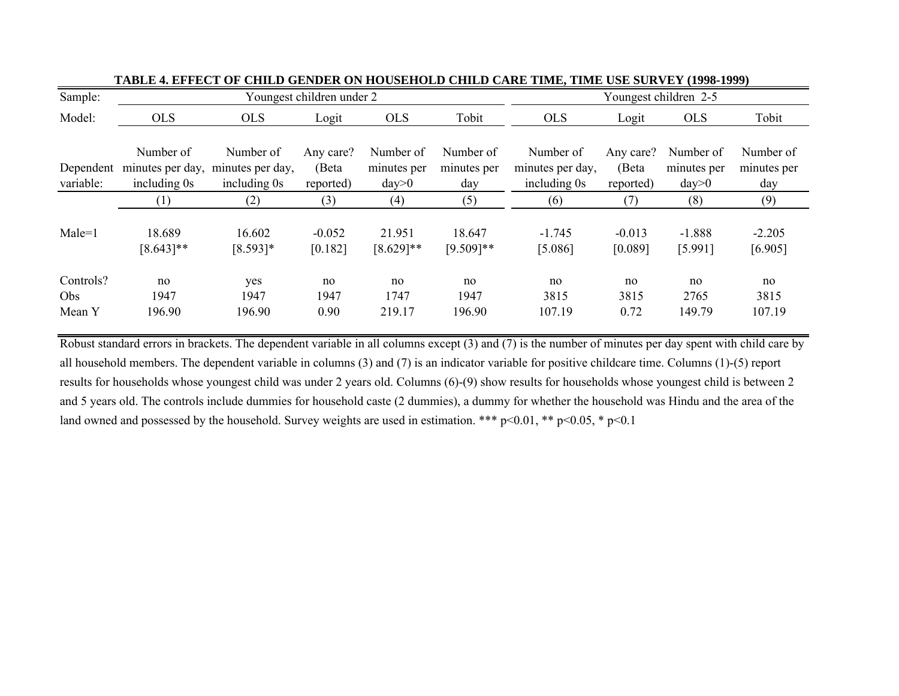| Sample:                    |                           |                                                                | Youngest children under 2       |                                   |                                 | Youngest children 2-5                         |                                 |                                   |                                 |  |  |
|----------------------------|---------------------------|----------------------------------------------------------------|---------------------------------|-----------------------------------|---------------------------------|-----------------------------------------------|---------------------------------|-----------------------------------|---------------------------------|--|--|
| Model:                     | <b>OLS</b>                | <b>OLS</b>                                                     | Logit                           | <b>OLS</b>                        | Tobit                           | <b>OLS</b>                                    | Logit                           | <b>OLS</b>                        | Tobit                           |  |  |
| Dependent<br>variable:     | Number of<br>including 0s | Number of<br>minutes per day, minutes per day,<br>including 0s | Any care?<br>(Beta<br>reported) | Number of<br>minutes per<br>day>0 | Number of<br>minutes per<br>day | Number of<br>minutes per day,<br>including 0s | Any care?<br>(Beta<br>reported) | Number of<br>minutes per<br>day>0 | Number of<br>minutes per<br>day |  |  |
|                            | (1)                       | (2)                                                            | (3)                             | (4)                               | (5)                             | (6)                                           | (7)                             | (8)                               | (9)                             |  |  |
| $Male=1$                   | 18.689<br>$[8.643]$ **    | 16.602<br>$[8.593]*$                                           | $-0.052$<br>[0.182]             | 21.951<br>$[8.629]$ **            | 18.647<br>$[9.509]**$           | $-1.745$<br>[5.086]                           | $-0.013$<br>[0.089]             | $-1.888$<br>[5.991]               | $-2.205$<br>[6.905]             |  |  |
| Controls?<br>Obs<br>Mean Y | no<br>1947<br>196.90      | yes<br>1947<br>196.90                                          | no<br>1947<br>0.90              | no<br>1747<br>219.17              | no<br>1947<br>196.90            | no<br>3815<br>107.19                          | no<br>3815<br>0.72              | no<br>2765<br>149.79              | no<br>3815<br>107.19            |  |  |

**TABLE 4. EFFECT OF CHILD GENDER ON HOUSEHOLD CHILD CARE TIME, TIME USE SURVEY (1998-1999)** 

Robust standard errors in brackets. The dependent variable in all columns except (3) and (7) is the number of minutes per day spent with child care by all household members. The dependent variable in columns (3) and (7) is an indicator variable for positive childcare time. Columns (1)-(5) report results for households whose youngest child was under 2 years old. Columns (6)-(9) show results for households whose youngest child is between 2 and 5 years old. The controls include dummies for household caste (2 dummies), a dummy for whether the household was Hindu and the area of the land owned and possessed by the household. Survey weights are used in estimation. \*\*\* p<0.01, \*\* p<0.05, \* p<0.1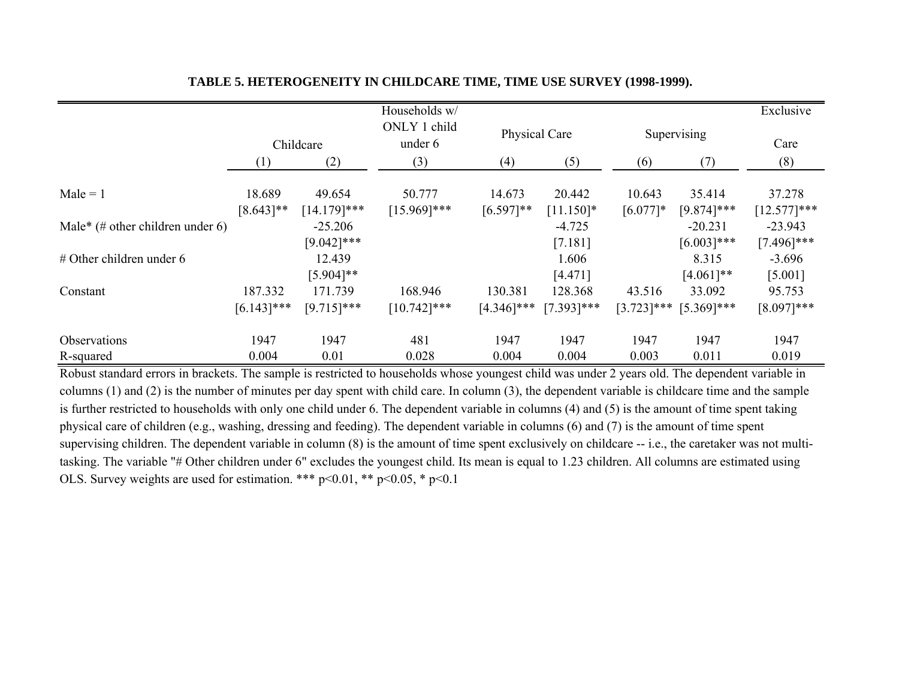|                                  |                          |                            | Households w/             |                          |                          |                         |                            | Exclusive                  |
|----------------------------------|--------------------------|----------------------------|---------------------------|--------------------------|--------------------------|-------------------------|----------------------------|----------------------------|
|                                  | Childcare                |                            | ONLY 1 child<br>under 6   | Physical Care            |                          |                         | Supervising                | Care                       |
|                                  | (1)                      | (2)                        | (3)                       | (4)                      | (5)                      | (6)                     | (7)                        | (8)                        |
| $Male = 1$                       | 18.689<br>$[8.643]$ **   | 49.654<br>$[14.179]$ ***   | 50.777<br>$[15.969]$ ***  | 14.673<br>$[6.597]**$    | 20.442<br>$[11.150]*$    | 10.643<br>$[6.077]$ *   | 35.414<br>$[9.874]$ ***    | 37.278<br>$[12.577]***$    |
| Male* (# other children under 6) |                          | $-25.206$<br>$[9.042]$ *** |                           |                          | $-4.725$<br>[7.181]      |                         | $-20.231$<br>$[6.003]$ *** | $-23.943$<br>$[7.496]$ *** |
| $#$ Other children under 6       |                          | 12.439<br>$[5.904]$ **     |                           |                          | 1.606<br>[4.471]         |                         | 8.315<br>$[4.061]**$       | $-3.696$<br>[5.001]        |
| Constant                         | 187.332<br>$[6.143]$ *** | 171.739<br>$[9.715]$ ***   | 168.946<br>$[10.742]$ *** | 130.381<br>$[4.346]$ *** | 128.368<br>$[7.393]$ *** | 43.516<br>$[3.723]$ *** | 33.092<br>$[5.369]$ ***    | 95.753<br>$[8.097]***$     |
| Observations                     | 1947                     | 1947                       | 481                       | 1947                     | 1947                     | 1947                    | 1947                       | 1947                       |
| R-squared                        | 0.004                    | 0.01                       | 0.028                     | 0.004                    | 0.004                    | 0.003                   | 0.011                      | 0.019                      |

### **TABLE 5. HETEROGENEITY IN CHILDCARE TIME, TIME USE SURVEY (1998-1999).**

Robust standard errors in brackets. The sample is restricted to households whose youngest child was under 2 years old. The dependent variable in columns (1) and (2) is the number of minutes per day spent with child care. In column (3), the dependent variable is childcare time and the sample is further restricted to households with only one child under 6. The dependent variable in columns (4) and (5) is the amount of time spent taking physical care of children (e.g., washing, dressing and feeding). The dependent variable in columns (6) and (7) is the amount of time spent supervising children. The dependent variable in column (8) is the amount of time spent exclusively on childcare -- i.e., the caretaker was not multitasking. The variable "# Other children under 6" excludes the youngest child. Its mean is equal to 1.23 children. All columns are estimated using OLS. Survey weights are used for estimation. \*\*\*  $p<0.01$ , \*\*  $p<0.05$ , \*  $p<0.1$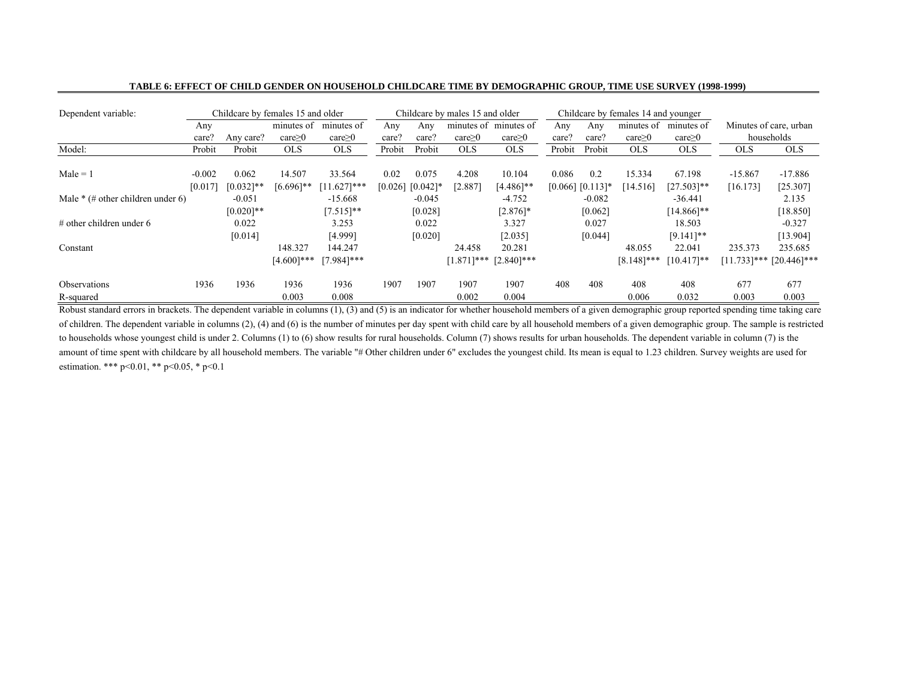| Dependent variable:                 | Childcare by females 15 and older<br>Childcare by males 15 and older<br>Childcare by females 14 and younger |                       |                        |                         |                 |                      |                  |                        |                  |                    |                     |                        |                       |                               |
|-------------------------------------|-------------------------------------------------------------------------------------------------------------|-----------------------|------------------------|-------------------------|-----------------|----------------------|------------------|------------------------|------------------|--------------------|---------------------|------------------------|-----------------------|-------------------------------|
|                                     | Any                                                                                                         |                       | minutes of             | minutes of              | Any             | Any                  |                  | minutes of minutes of  | Any              | Any                | minutes of          | minutes of             |                       | Minutes of care, urban        |
|                                     | care?                                                                                                       | Any care?             | $care \geq 0$          | $care \geq 0$           | care?           | care?                | $care \geq 0$    | $care \geq 0$          | care?            | care?              | care <sub>2</sub> 0 | $care \geq 0$          |                       | households                    |
| Model:                              | Probit                                                                                                      | Probit                | <b>OLS</b>             | <b>OLS</b>              | Probit          | Probit               | <b>OLS</b>       | <b>OLS</b>             | Probit           | Probit             | <b>OLS</b>          | <b>OLS</b>             | <b>OLS</b>            | <b>OLS</b>                    |
| $Male = 1$                          | $-0.002$<br>[0.017]                                                                                         | 0.062<br>$[0.032]$ ** | 14.507<br>$[6.696]$ ** | 33.564<br>$[11.627]***$ | 0.02<br>[0.026] | 0.075<br>$[0.042]$ * | 4.208<br>[2.887] | 10.104<br>$[4.486]$ ** | 0.086<br>[0.066] | 0.2<br>$[0.113]$ * | 15.334<br>[14.516]  | 67.198<br>$[27.503]**$ | $-15.867$<br>[16.173] | $-17.886$<br>[25.307]         |
| Male $*(\#$ other children under 6) |                                                                                                             | $-0.051$              |                        | $-15.668$               |                 | $-0.045$             |                  | $-4.752$               |                  | $-0.082$           |                     | $-36.441$              |                       | 2.135                         |
|                                     |                                                                                                             | $[0.020]$ **          |                        | $[7.515]**$             |                 | [0.028]              |                  | $[2.876]$ *            |                  | [0.062]            |                     | $[14.866]$ **          |                       | [18.850]                      |
| $\#$ other children under 6         |                                                                                                             | 0.022                 |                        | 3.253                   |                 | 0.022                |                  | 3.327                  |                  | 0.027              |                     | 18.503                 |                       | $-0.327$                      |
|                                     |                                                                                                             | [0.014]               |                        | [4.999]                 |                 | [0.020]              |                  | [2.035]                |                  | [0.044]            |                     | $[9.141]$ **           |                       | [13.904]                      |
| Constant                            |                                                                                                             |                       | 148.327                | 144.247                 |                 |                      | 24.458           | 20.281                 |                  |                    | 48.055              | 22.041                 | 235.373               | 235.685                       |
|                                     |                                                                                                             |                       | $[4.600]$ ***          | $[7.984]$ ***           |                 |                      | $[1.871]$ ***    | $[2.840]$ ***          |                  |                    | $[8.148]$ ***       | $[10.417]**$           |                       | $[11.733]$ *** $[20.446]$ *** |
| <b>Observations</b>                 | 1936                                                                                                        | 1936                  | 1936<br>0.003          | 1936<br>0.008           | 1907            | 1907                 | 1907<br>0.002    | 1907<br>0.004          | 408              | 408                | 408<br>0.006        | 408<br>0.032           | 677<br>0.003          | 677<br>0.003                  |
| R-squared                           |                                                                                                             |                       |                        |                         |                 |                      |                  |                        |                  |                    |                     |                        |                       |                               |

#### **TABLE 6: EFFECT OF CHILD GENDER ON HOUSEHOLD CHILDCARE TIME BY DEMOGRAPHIC GROUP, TIME USE SURVEY (1998-1999)**

Robust standard errors in brackets. The dependent variable in columns (1), (3) and (5) is an indicator for whether household members of a given demographic group reported spending time taking care of children. The dependent variable in columns (2), (4) and (6) is the number of minutes per day spent with child care by all household members of a given demographic group. The sample is restricted to households whose youngest child is under 2. Columns (1) to (6) show results for rural households. Column (7) shows results for urban households. The dependent variable in column (7) is the amount of time spent with childcare by all household members. The variable "# Other children under 6" excludes the youngest child. Its mean is equal to 1.23 children. Survey weights are used for estimation. \*\*\* p<0.01, \*\* p<0.05, \* p<0.1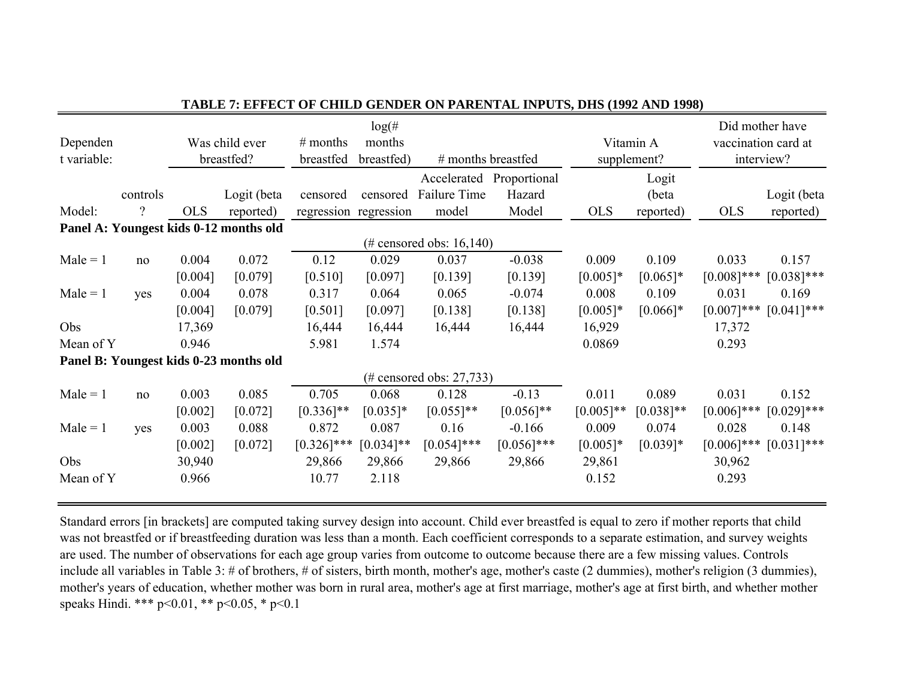| Dependen<br>t variable: | Was child ever<br>breastfed? |            |                                        | $log($ #<br>$#$ months<br>months<br>breastfed<br>breastfed)<br># months breastfed |                       |                             |                          | Vitamin A<br>supplement? | Did mother have<br>vaccination card at<br>interview? |               |               |
|-------------------------|------------------------------|------------|----------------------------------------|-----------------------------------------------------------------------------------|-----------------------|-----------------------------|--------------------------|--------------------------|------------------------------------------------------|---------------|---------------|
|                         |                              |            |                                        |                                                                                   |                       |                             | Accelerated Proportional |                          | Logit                                                |               |               |
|                         | controls                     |            | Logit (beta                            | censored                                                                          | censored              | Failure Time                | Hazard                   |                          | (beta                                                |               | Logit (beta   |
| Model:                  | ?                            | <b>OLS</b> | reported)                              |                                                                                   | regression regression | model                       | Model                    | <b>OLS</b>               | reported)                                            | <b>OLS</b>    | reported)     |
|                         |                              |            | Panel A: Youngest kids 0-12 months old |                                                                                   |                       |                             |                          |                          |                                                      |               |               |
|                         |                              |            |                                        |                                                                                   |                       | (# censored obs: $16,140$ ) |                          |                          |                                                      |               |               |
| $Male = 1$              | no                           | 0.004      | 0.072                                  | 0.12                                                                              | 0.029                 | 0.037                       | $-0.038$                 | 0.009                    | 0.109                                                | 0.033         | 0.157         |
|                         |                              | [0.004]    | [0.079]                                | [0.510]                                                                           | [0.097]               | [0.139]                     | [0.139]                  | $[0.005]*$               | $[0.065]*$                                           | $[0.008]$ *** | $[0.038]$ *** |
| $Male = 1$              | yes                          | 0.004      | 0.078                                  | 0.317                                                                             | 0.064                 | 0.065                       | $-0.074$                 | 0.008                    | 0.109                                                | 0.031         | 0.169         |
|                         |                              | [0.004]    | [0.079]                                | [0.501]                                                                           | [0.097]               | [0.138]                     | [0.138]                  | $[0.005]*$               | $[0.066]$ *                                          | $[0.007]$ *** | $[0.041]$ *** |
| Obs                     |                              | 17,369     |                                        | 16,444                                                                            | 16,444                | 16,444                      | 16,444                   | 16,929                   |                                                      | 17,372        |               |
| Mean of Y               |                              | 0.946      |                                        | 5.981                                                                             | 1.574                 |                             |                          | 0.0869                   |                                                      | 0.293         |               |
|                         |                              |            | Panel B: Youngest kids 0-23 months old |                                                                                   |                       |                             |                          |                          |                                                      |               |               |
|                         |                              |            |                                        |                                                                                   |                       | $(\#$ censored obs: 27,733) |                          |                          |                                                      |               |               |
| $Male = 1$              | no                           | 0.003      | 0.085                                  | 0.705                                                                             | 0.068                 | 0.128                       | $-0.13$                  | 0.011                    | 0.089                                                | 0.031         | 0.152         |
|                         |                              | [0.002]    | [0.072]                                | $[0.336]$ **                                                                      | $[0.035]$ *           | $[0.055]$ **                | $[0.056]$ **             | $[0.005]**$              | $[0.038]**$                                          | $[0.006]$ *** | $[0.029]$ *** |
| $Male = 1$              | yes                          | 0.003      | 0.088                                  | 0.872                                                                             | 0.087                 | 0.16                        | $-0.166$                 | 0.009                    | 0.074                                                | 0.028         | 0.148         |
|                         |                              | [0.002]    | [0.072]                                | $[0.326]$ ***                                                                     | $[0.034]$ **          | $[0.054]$ ***               | $[0.056]$ ***            | $[0.005]*$               | $[0.039]*$                                           | $[0.006]$ *** | $[0.031]$ *** |
| Obs                     |                              | 30,940     |                                        | 29,866                                                                            | 29,866                | 29,866                      | 29,866                   | 29,861                   |                                                      | 30,962        |               |
| Mean of Y               |                              | 0.966      |                                        | 10.77                                                                             | 2.118                 |                             |                          | 0.152                    |                                                      | 0.293         |               |
|                         |                              |            |                                        |                                                                                   |                       |                             |                          |                          |                                                      |               |               |

# **TABLE 7: EFFECT OF CHILD GENDER ON PARENTAL INPUTS, DHS (1992 AND 1998)**

Standard errors [in brackets] are computed taking survey design into account. Child ever breastfed is equal to zero if mother reports that child was not breastfed or if breastfeeding duration was less than a month. Each coefficient corresponds to a separate estimation, and survey weights are used. The number of observations for each age group varies from outcome to outcome because there are a few missing values. Controls include all variables in Table 3: # of brothers, # of sisters, birth month, mother's age, mother's caste (2 dummies), mother's religion (3 dummies), mother's years of education, whether mother was born in rural area, mother's age at first marriage, mother's age at first birth, and whether mother speaks Hindi. \*\*\* p<0.01, \*\* p<0.05, \* p<0.1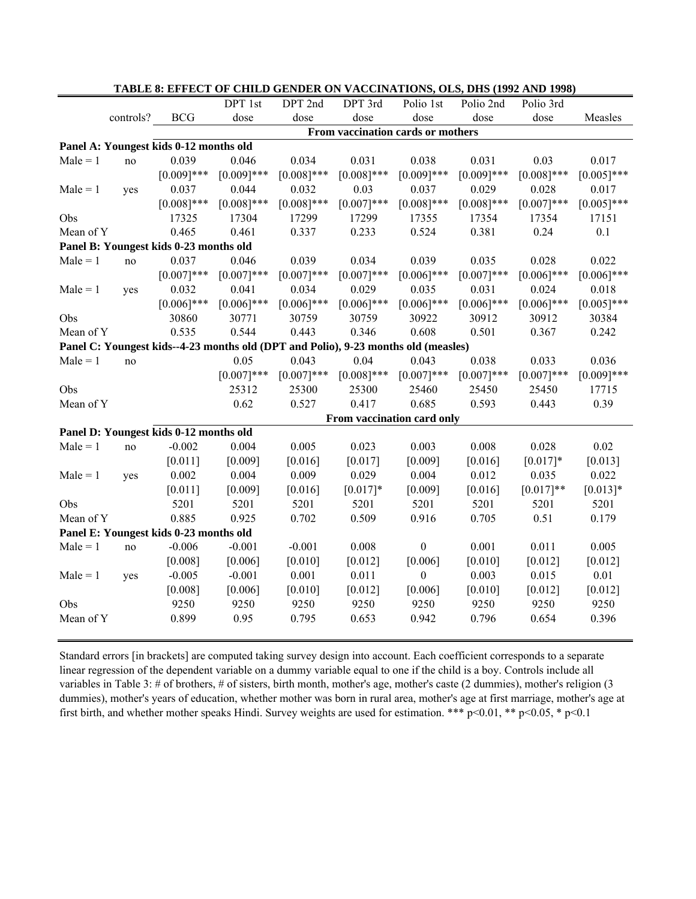|            |           |                                        |                                                                                    |               |                                   |                  |               | TADLE 6; EFFECT OF CHILD GENDER ON VACCINATIONS, OLS, DHS (1992 AND 1996) |               |
|------------|-----------|----------------------------------------|------------------------------------------------------------------------------------|---------------|-----------------------------------|------------------|---------------|---------------------------------------------------------------------------|---------------|
|            |           |                                        | DPT 1st                                                                            | DPT 2nd       | DPT 3rd                           | Polio 1st        | Polio 2nd     | Polio 3rd                                                                 |               |
|            | controls? | <b>BCG</b>                             | dose                                                                               | dose          | dose                              | dose             | dose          | dose                                                                      | Measles       |
|            |           |                                        |                                                                                    |               | From vaccination cards or mothers |                  |               |                                                                           |               |
|            |           | Panel A: Youngest kids 0-12 months old |                                                                                    |               |                                   |                  |               |                                                                           |               |
| $Male = 1$ | no        | 0.039                                  | 0.046                                                                              | 0.034         | 0.031                             | 0.038            | 0.031         | 0.03                                                                      | 0.017         |
|            |           | $[0.009]***$                           | $[0.009]$ ***                                                                      | $[0.008]$ *** | $[0.008]$ ***                     | $[0.009]$ ***    | $[0.009]$ *** | $[0.008]$ ***                                                             | $[0.005]$ *** |
| $Male = 1$ | yes       | 0.037                                  | 0.044                                                                              | 0.032         | 0.03                              | 0.037            | 0.029         | 0.028                                                                     | 0.017         |
|            |           | $[0.008]$ ***                          | $[0.008]$ ***                                                                      | $[0.008]$ *** | $[0.007]***$                      | $[0.008]***$     | $[0.008]$ *** | $[0.007]***$                                                              | $[0.005]$ *** |
| Obs        |           | 17325                                  | 17304                                                                              | 17299         | 17299                             | 17355            | 17354         | 17354                                                                     | 17151         |
| Mean of Y  |           | 0.465                                  | 0.461                                                                              | 0.337         | 0.233                             | 0.524            | 0.381         | 0.24                                                                      | 0.1           |
|            |           | Panel B: Youngest kids 0-23 months old |                                                                                    |               |                                   |                  |               |                                                                           |               |
| $Male = 1$ | no        | 0.037                                  | 0.046                                                                              | 0.039         | 0.034                             | 0.039            | 0.035         | 0.028                                                                     | 0.022         |
|            |           | $[0.007]***$                           | $[0.007]***$                                                                       | $[0.007]***$  | $[0.007]***$                      | $[0.006]$ ***    | $[0.007]***$  | $[0.006]$ ***                                                             | $[0.006]$ *** |
| $Male = 1$ | yes       | 0.032                                  | 0.041                                                                              | 0.034         | 0.029                             | 0.035            | 0.031         | 0.024                                                                     | 0.018         |
|            |           | $[0.006]$ ***                          | $[0.006]$ ***                                                                      | $[0.006]$ *** | $[0.006]$ ***                     | $[0.006]$ ***    | $[0.006]$ *** | $[0.006]$ ***                                                             | $[0.005]$ *** |
| Obs        |           | 30860                                  | 30771                                                                              | 30759         | 30759                             | 30922            | 30912         | 30912                                                                     | 30384         |
| Mean of Y  |           | 0.535                                  | 0.544                                                                              | 0.443         | 0.346                             | 0.608            | 0.501         | 0.367                                                                     | 0.242         |
|            |           |                                        | Panel C: Youngest kids--4-23 months old (DPT and Polio), 9-23 months old (measles) |               |                                   |                  |               |                                                                           |               |
| $Male = 1$ | no        |                                        | 0.05                                                                               | 0.043         | 0.04                              | 0.043            | 0.038         | 0.033                                                                     | 0.036         |
|            |           |                                        | $[0.007]***$                                                                       | $[0.007]***$  | $[0.008]$ ***                     | $[0.007]***$     | $[0.007]***$  | $[0.007]***$                                                              | $[0.009]$ *** |
| Obs        |           |                                        | 25312                                                                              | 25300         | 25300                             | 25460            | 25450         | 25450                                                                     | 17715         |
| Mean of Y  |           |                                        | 0.62                                                                               | 0.527         | 0.417                             | 0.685            | 0.593         | 0.443                                                                     | 0.39          |
|            |           |                                        |                                                                                    |               | From vaccination card only        |                  |               |                                                                           |               |
|            |           | Panel D: Youngest kids 0-12 months old |                                                                                    |               |                                   |                  |               |                                                                           |               |
| $Male = 1$ | no        | $-0.002$                               | 0.004                                                                              | 0.005         | 0.023                             | 0.003            | 0.008         | 0.028                                                                     | 0.02          |
|            |           | [0.011]                                | [0.009]                                                                            | [0.016]       | [0.017]                           | [0.009]          | [0.016]       | $[0.017]*$                                                                | [0.013]       |
| $Male = 1$ | yes       | 0.002                                  | 0.004                                                                              | 0.009         | 0.029                             | 0.004            | 0.012         | 0.035                                                                     | 0.022         |
|            |           | [0.011]                                | [0.009]                                                                            | [0.016]       | $[0.017]*$                        | [0.009]          | [0.016]       | $[0.017]**$                                                               | $[0.013]*$    |
| Obs        |           | 5201                                   | 5201                                                                               | 5201          | 5201                              | 5201             | 5201          | 5201                                                                      | 5201          |
| Mean of Y  |           | 0.885                                  | 0.925                                                                              | 0.702         | 0.509                             | 0.916            | 0.705         | 0.51                                                                      | 0.179         |
|            |           | Panel E: Youngest kids 0-23 months old |                                                                                    |               |                                   |                  |               |                                                                           |               |
| $Male = 1$ | no        | $-0.006$                               | $-0.001$                                                                           | $-0.001$      | 0.008                             | $\mathbf{0}$     | 0.001         | 0.011                                                                     | 0.005         |
|            |           | [0.008]                                | [0.006]                                                                            | [0.010]       | [0.012]                           | [0.006]          | [0.010]       | [0.012]                                                                   | $[0.012]$     |
| $Male = 1$ | yes       | $-0.005$                               | $-0.001$                                                                           | 0.001         | 0.011                             | $\boldsymbol{0}$ | 0.003         | 0.015                                                                     | $0.01\,$      |
|            |           | [0.008]                                | [0.006]                                                                            | [0.010]       | [0.012]                           | [0.006]          | [0.010]       | [0.012]                                                                   | [0.012]       |
| Obs        |           | 9250                                   | 9250                                                                               | 9250          | 9250                              | 9250             | 9250          | 9250                                                                      | 9250          |
| Mean of Y  |           | 0.899                                  | 0.95                                                                               | 0.795         | 0.653                             | 0.942            | 0.796         | 0.654                                                                     | 0.396         |
|            |           |                                        |                                                                                    |               |                                   |                  |               |                                                                           |               |

# **TABLE 8: EFFECT OF CHILD GENDER ON VACCINATIONS, OLS, DHS (1992 AND 1998)**

Standard errors [in brackets] are computed taking survey design into account. Each coefficient corresponds to a separate linear regression of the dependent variable on a dummy variable equal to one if the child is a boy. Controls include all variables in Table 3: # of brothers, # of sisters, birth month, mother's age, mother's caste (2 dummies), mother's religion (3 dummies), mother's years of education, whether mother was born in rural area, mother's age at first marriage, mother's age at first birth, and whether mother speaks Hindi. Survey weights are used for estimation. \*\*\*  $p<0.01$ , \*\*  $p<0.05$ , \*  $p<0.1$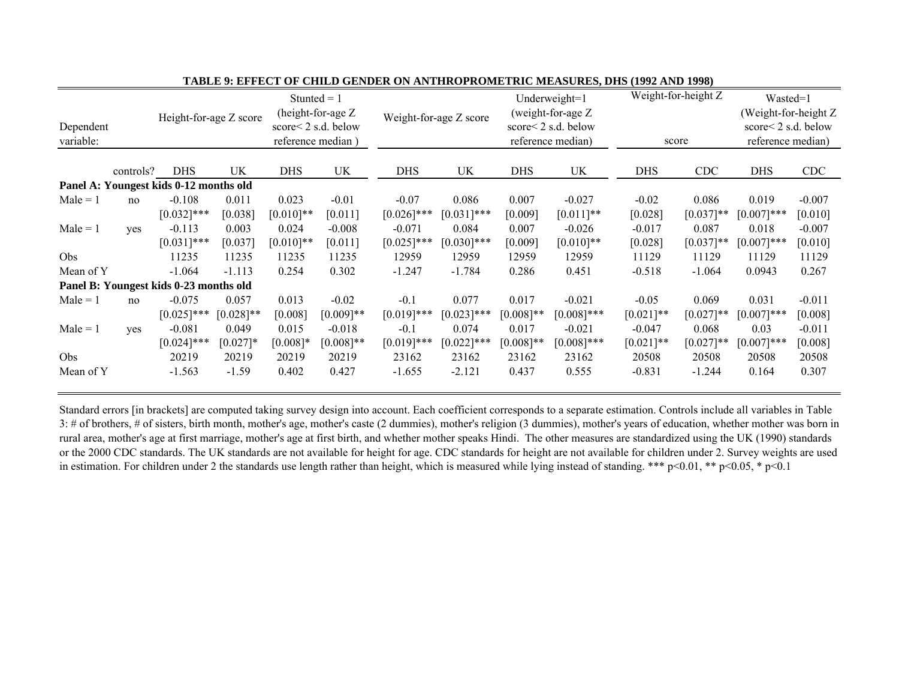|            |           |                                        |              | Stunted $= 1$      |              |               |                        |                           | Underweight=1     |              | Weight-for-height Z | Wasted=1              |                           |  |
|------------|-----------|----------------------------------------|--------------|--------------------|--------------|---------------|------------------------|---------------------------|-------------------|--------------|---------------------|-----------------------|---------------------------|--|
|            |           | Height-for-age Z score                 |              | (height-for-age Z  |              |               | Weight-for-age Z score |                           | (weight-for-age Z |              |                     | (Weight-for-height Z) |                           |  |
| Dependent  |           |                                        |              | score<2 s.d. below |              |               |                        | score $\leq$ 2 s.d. below |                   |              |                     |                       | score $\leq$ 2 s.d. below |  |
| variable:  |           |                                        |              | reference median)  |              |               |                        |                           | reference median) | score        |                     | reference median)     |                           |  |
|            | controls? | <b>DHS</b>                             | UK           | <b>DHS</b>         | UK           | <b>DHS</b>    | UK                     | <b>DHS</b>                | UK                | <b>DHS</b>   | <b>CDC</b>          | <b>DHS</b>            | <b>CDC</b>                |  |
|            |           | Panel A: Youngest kids 0-12 months old |              |                    |              |               |                        |                           |                   |              |                     |                       |                           |  |
| $Male = 1$ |           | $-0.108$                               | 0.011        | 0.023              | $-0.01$      | $-0.07$       | 0.086                  | 0.007                     | $-0.027$          | $-0.02$      | 0.086               | 0.019                 | $-0.007$                  |  |
|            | no        |                                        |              |                    |              |               |                        |                           |                   |              |                     |                       |                           |  |
|            |           | $[0.032]$ ***                          | [0.038]      | $[0.010]$ **       | [0.011]      | $[0.026]$ *** | $[0.031]$ ***          | [0.009]                   | $[0.011]**$       | [0.028]      | $[0.037]**$         | $[0.007]***$          | [0.010]                   |  |
| $Male = 1$ | yes       | $-0.113$                               | 0.003        | 0.024              | $-0.008$     | $-0.071$      | 0.084                  | 0.007                     | $-0.026$          | $-0.017$     | 0.087               | 0.018                 | $-0.007$                  |  |
|            |           | $[0.031]$ ***                          | [0.037]      | $[0.010]$ **       | [0.011]      | $[0.025]$ *** | $[0.030]$ ***          | [0.009]                   | $[0.010]**$       | [0.028]      | $[0.037]**$         | $[0.007]***$          | [0.010]                   |  |
| <b>Obs</b> |           | 11235                                  | 11235        | 11235              | 11235        | 12959         | 12959                  | 12959                     | 12959             | 11129        | 11129               | 11129                 | 11129                     |  |
| Mean of Y  |           | $-1.064$                               | $-1.113$     | 0.254              | 0.302        | $-1.247$      | $-1.784$               | 0.286                     | 0.451             | $-0.518$     | $-1.064$            | 0.0943                | 0.267                     |  |
|            |           | Panel B: Youngest kids 0-23 months old |              |                    |              |               |                        |                           |                   |              |                     |                       |                           |  |
| $Male = 1$ | no        | $-0.075$                               | 0.057        | 0.013              | $-0.02$      | $-0.1$        | 0.077                  | 0.017                     | $-0.021$          | $-0.05$      | 0.069               | 0.031                 | $-0.011$                  |  |
|            |           | $[0.025]$ ***                          | $[0.028]$ ** | [0.008]            | $[0.009]**$  | $[0.019]$ *** | $[0.023]$ ***          | $[0.008]**$               | $[0.008]$ ***     | $[0.021]$ ** | $[0.027]**$         | $[0.007]***$          | [0.008]                   |  |
| $Male = 1$ | yes       | $-0.081$                               | 0.049        | 0.015              | $-0.018$     | $-0.1$        | 0.074                  | 0.017                     | $-0.021$          | $-0.047$     | 0.068               | 0.03                  | $-0.011$                  |  |
|            |           | $[0.024]$ ***                          | $[0.027]*$   | $[0.008]*$         | $[0.008]$ ** | $[0.019]$ *** | $[0.022]$ ***          | $[0.008]**$               | $[0.008]$ ***     | $[0.021]$ ** | $[0.027]**$         | $[0.007]***$          | [0.008]                   |  |
| <b>Obs</b> |           | 20219                                  | 20219        | 20219              | 20219        | 23162         | 23162                  | 23162                     | 23162             | 20508        | 20508               | 20508                 | 20508                     |  |
| Mean of Y  |           | $-1.563$                               | $-1.59$      | 0.402              | 0.427        | $-1.655$      | $-2.121$               | 0.437                     | 0.555             | $-0.831$     | $-1.244$            | 0.164                 | 0.307                     |  |

**TABLE 9: EFFECT OF CHILD GENDER ON ANTHROPROMETRIC MEASURES, DHS (1992 AND 1998)**

Standard errors [in brackets] are computed taking survey design into account. Each coefficient corresponds to a separate estimation. Controls include all variables in Table 3: # of brothers, # of sisters, birth month, mother's age, mother's caste (2 dummies), mother's religion (3 dummies), mother's years of education, whether mother was born in rural area, mother's age at first marriage, mother's age at first birth, and whether mother speaks Hindi. The other measures are standardized using the UK (1990) standards or the 2000 CDC standards. The UK standards are not available for height for age. CDC standards for height are not available for children under 2. Survey weights are used in estimation. For children under 2 the standards use length rather than height, which is measured while lying instead of standing. \*\*\* p<0.01, \*\* p<0.05, \* p<0.1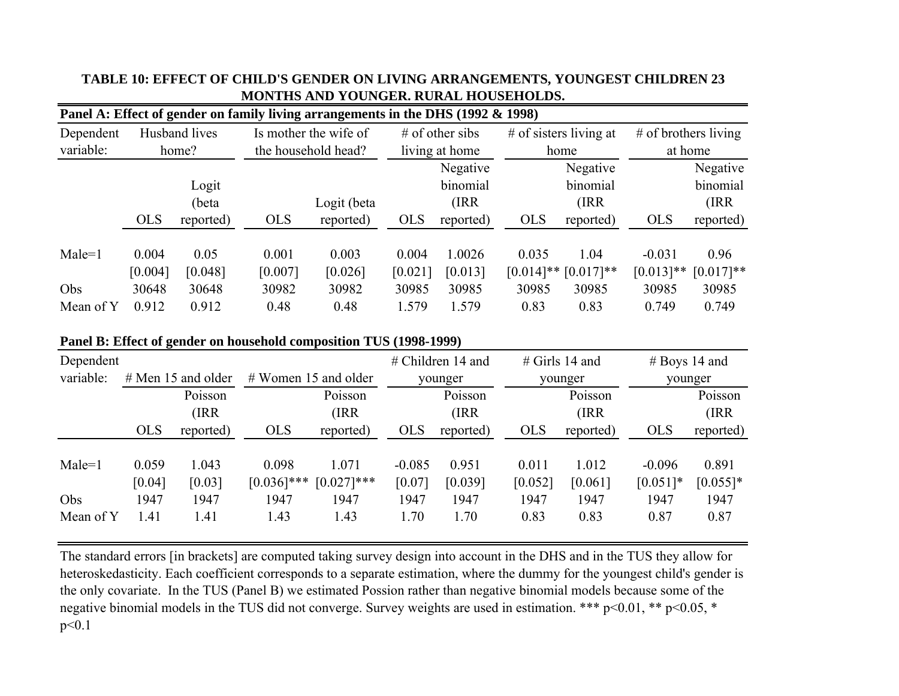|                              |                                    |                                   |                                   | Panel A: Effect of gender on family living arrangements in the DHS (1992 & 1998) |                                    |                                            |                                        |                                            |                                           |                                           |
|------------------------------|------------------------------------|-----------------------------------|-----------------------------------|----------------------------------------------------------------------------------|------------------------------------|--------------------------------------------|----------------------------------------|--------------------------------------------|-------------------------------------------|-------------------------------------------|
| Dependent<br>variable:       |                                    | Husband lives<br>home?            |                                   | Is mother the wife of<br>the household head?                                     |                                    | $#$ of other sibs<br>living at home        |                                        | # of sisters living at<br>home             | $#$ of brothers living<br>at home         |                                           |
|                              | <b>OLS</b>                         | Logit<br>(beta<br>reported)       | <b>OLS</b>                        | Logit (beta<br>reported)                                                         | <b>OLS</b>                         | Negative<br>binomial<br>(IRR)<br>reported) | <b>OLS</b>                             | Negative<br>binomial<br>(IRR)<br>reported) | <b>OLS</b>                                | Negative<br>binomial<br>(IRR<br>reported) |
| $Male=1$<br>Obs<br>Mean of Y | 0.004<br>[0.004]<br>30648<br>0.912 | 0.05<br>[0.048]<br>30648<br>0.912 | 0.001<br>[0.007]<br>30982<br>0.48 | 0.003<br>[0.026]<br>30982<br>0.48                                                | 0.004<br>[0.021]<br>30985<br>1.579 | 1.0026<br>[0.013]<br>30985<br>1.579        | 0.035<br>$[0.014]$ **<br>30985<br>0.83 | 1.04<br>$[0.017]**$<br>30985<br>0.83       | $-0.031$<br>$[0.013]**$<br>30985<br>0.749 | 0.96<br>$[0.017]**$<br>30985<br>0.749     |

# **TABLE 10: EFFECT OF CHILD'S GENDER ON LIVING ARRANGEMENTS, YOUNGEST CHILDREN 23 MONTHS AND YOUNGER. RURAL HOUSEHOLDS.**

## **Panel B: Effect of gender on household composition TUS (1998-1999)**

| Dependent                    |                                 |                                 |                                        |                                       | $#$ Children 14 and                |                                  | $#$ Girls 14 and                 |                                  | $#$ Boys 14 and                         |                                     |
|------------------------------|---------------------------------|---------------------------------|----------------------------------------|---------------------------------------|------------------------------------|----------------------------------|----------------------------------|----------------------------------|-----------------------------------------|-------------------------------------|
| variable:                    | $#$ Men 15 and older            |                                 |                                        | $#$ Women 15 and older                |                                    | younger                          |                                  | younger                          |                                         | younger                             |
|                              | Poisson<br>(IRR                 |                                 |                                        | Poisson<br>(IRR)                      |                                    | Poisson<br>(IRR)                 | Poisson<br>(IRR)                 |                                  |                                         | Poisson<br>(IRR)                    |
|                              | <b>OLS</b>                      | reported)                       | <b>OLS</b>                             | reported)                             | <b>OLS</b>                         | reported)                        | <b>OLS</b>                       | reported)                        | <b>OLS</b>                              | reported)                           |
| $Male=1$<br>Obs<br>Mean of Y | 0.059<br>[0.04]<br>1947<br>1.41 | 1.043<br>[0.03]<br>1947<br>1.41 | 0.098<br>$[0.036]$ ***<br>1947<br>1.43 | 1.071<br>$[0.027]***$<br>1947<br>1.43 | $-0.085$<br>[0.07]<br>1947<br>1.70 | 0.951<br>[0.039]<br>1947<br>1.70 | 0.011<br>[0.052]<br>1947<br>0.83 | 1.012<br>[0.061]<br>1947<br>0.83 | $-0.096$<br>$[0.051]$ *<br>1947<br>0.87 | 0.891<br>$[0.055]*$<br>1947<br>0.87 |

The standard errors [in brackets] are computed taking survey design into account in the DHS and in the TUS they allow for heteroskedasticity. Each coefficient corresponds to a separate estimation, where the dummy for the youngest child's gender is the only covariate. In the TUS (Panel B) we estimated Possion rather than negative binomial models because some of the negative binomial models in the TUS did not converge. Survey weights are used in estimation. \*\*\* p<0.01, \*\* p<0.05, \* p<0.1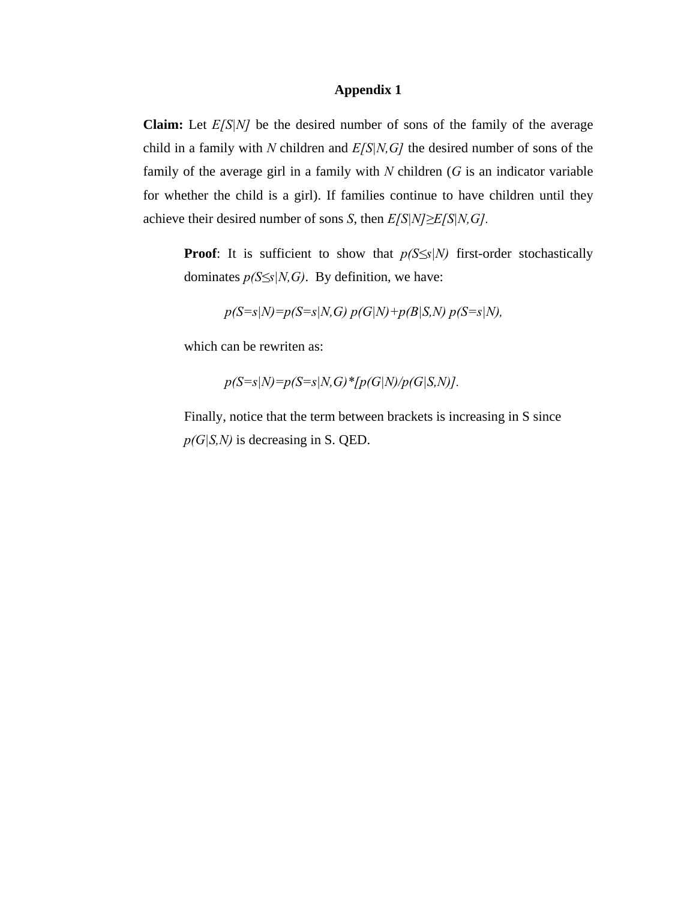### **Appendix 1**

**Claim:** Let *E[S|N]* be the desired number of sons of the family of the average child in a family with *N* children and *E[S|N,G]* the desired number of sons of the family of the average girl in a family with *N* children (*G* is an indicator variable for whether the child is a girl). If families continue to have children until they achieve their desired number of sons *S*, then *E[S|N]≥E[S|N,G].*

**Proof**: It is sufficient to show that  $p(S \leq s|N)$  first-order stochastically dominates  $p(S \leq s | N, G)$ . By definition, we have:

$$
p(S=s|N)=p(S=s|N,G)
$$
  $p(G|N)+p(B|S,N)$   $p(S=s|N)$ ,

which can be rewriten as:

$$
p(S=s|N)=p(S=s|N,G)*[p(G|N)/p(G|S,N)].
$$

Finally, notice that the term between brackets is increasing in S since *p(G|S,N)* is decreasing in S. QED.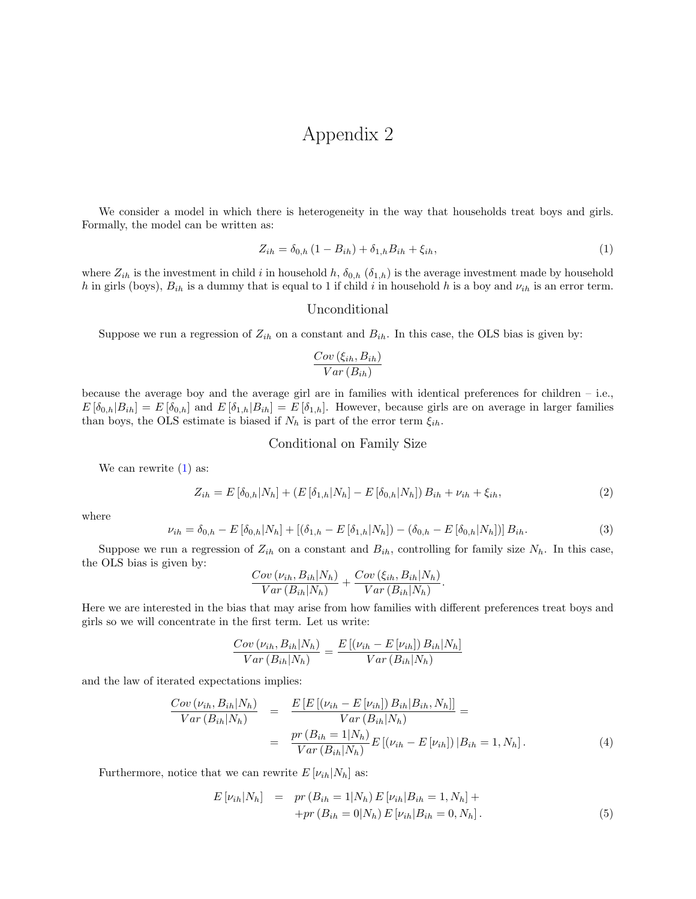# Appendix 2

We consider a model in which there is heterogeneity in the way that households treat boys and girls. Formally, the model can be written as:

<span id="page-42-0"></span>
$$
Z_{ih} = \delta_{0,h} \left( 1 - B_{ih} \right) + \delta_{1,h} B_{ih} + \xi_{ih}, \tag{1}
$$

where  $Z_{ih}$  is the investment in child i in household h,  $\delta_{0,h}$  ( $\delta_{1,h}$ ) is the average investment made by household h in girls (boys),  $B_{ih}$  is a dummy that is equal to 1 if child i in household h is a boy and  $\nu_{ih}$  is an error term.

#### Unconditional

Suppose we run a regression of  $Z_{ih}$  on a constant and  $B_{ih}$ . In this case, the OLS bias is given by:

$$
\frac{Cov\left(\xi_{ih}, B_{ih}\right)}{Var\left(B_{ih}\right)}
$$

because the average boy and the average girl are in families with identical preferences for children – i.e.,  $E[\delta_{0,h}|B_{ih}] = E[\delta_{0,h}]$  and  $E[\delta_{1,h}|B_{ih}] = E[\delta_{1,h}]$ . However, because girls are on average in larger families than boys, the OLS estimate is biased if  $N_h$  is part of the error term  $\xi_{ih}$ .

#### Conditional on Family Size

We can rewrite  $(1)$  as:

$$
Z_{ih} = E\left[\delta_{0,h}|N_h\right] + \left(E\left[\delta_{1,h}|N_h\right] - E\left[\delta_{0,h}|N_h\right]\right)B_{ih} + \nu_{ih} + \xi_{ih},\tag{2}
$$

where

$$
\nu_{ih} = \delta_{0,h} - E\left[\delta_{0,h}|N_h\right] + \left[\left(\delta_{1,h} - E\left[\delta_{1,h}|N_h\right]\right) - \left(\delta_{0,h} - E\left[\delta_{0,h}|N_h\right]\right)\right]B_{ih}.\tag{3}
$$

Suppose we run a regression of  $Z_{ih}$  on a constant and  $B_{ih}$ , controlling for family size  $N_h$ . In this case, the OLS bias is given by:

$$
\frac{Cov(\nu_{ih}, B_{ih}|N_h)}{Var(B_{ih}|N_h)} + \frac{Cov(\xi_{ih}, B_{ih}|N_h)}{Var(B_{ih}|N_h)}.
$$

Here we are interested in the bias that may arise from how families with different preferences treat boys and girls so we will concentrate in the first term. Let us write:

$$
\frac{Cov(\nu_{ih}, B_{ih}|N_h)}{Var(B_{ih}|N_h)} = \frac{E[(\nu_{ih} - E[\nu_{ih}])B_{ih}|N_h]}{Var(B_{ih}|N_h)}
$$

and the law of iterated expectations implies:

<span id="page-42-2"></span>
$$
\frac{Cov(\nu_{ih}, B_{ih}|N_h)}{Var(B_{ih}|N_h)} = \frac{E[E[(\nu_{ih} - E[\nu_{ih}]) B_{ih}|B_{ih}, N_h]]}{Var(B_{ih}|N_h)} = \frac{pr(B_{ih} = 1|N_h)}{Var(B_{ih}|N_h)} E[(\nu_{ih} - E[\nu_{ih}])|B_{ih} = 1, N_h].
$$
\n(4)

Furthermore, notice that we can rewrite  $E[\nu_{ih}|N_h]$  as:

<span id="page-42-1"></span>
$$
E[\nu_{ih}|N_h] = pr(B_{ih} = 1|N_h) E[\nu_{ih}|B_{ih} = 1, N_h] ++ pr(B_{ih} = 0|N_h) E[\nu_{ih}|B_{ih} = 0, N_h].
$$
\n(5)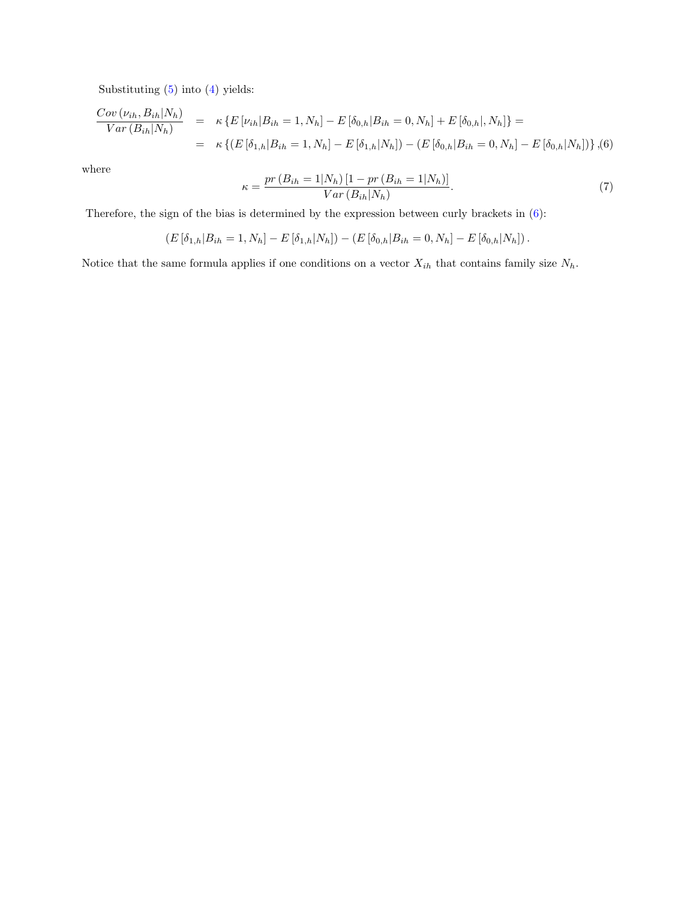Substituting [\(5\)](#page-42-1) into [\(4\)](#page-42-2) yields:

<span id="page-43-0"></span>
$$
\frac{Cov(\nu_{ih}, B_{ih}|N_h)}{Var(B_{ih}|N_h)} = \kappa \{ E[\nu_{ih}|B_{ih}=1, N_h] - E[\delta_{0,h}|B_{ih}=0, N_h] + E[\delta_{0,h}|, N_h] \} =
$$
  
=  $\kappa \{ (E[\delta_{1,h}|B_{ih}=1, N_h] - E[\delta_{1,h}|N_h]) - (E[\delta_{0,h}|B_{ih}=0, N_h] - E[\delta_{0,h}|N_h]) \} , (6)$ 

where

$$
\kappa = \frac{pr(B_{ih} = 1|N_h) [1 - pr(B_{ih} = 1|N_h)]}{Var(B_{ih}|N_h)}.
$$
\n(7)

Therefore, the sign of the bias is determined by the expression between curly brackets in [\(6\)](#page-43-0):

$$
(E[\delta_{1,h}|B_{ih}=1,N_h]-E[\delta_{1,h}|N_h])-(E[\delta_{0,h}|B_{ih}=0,N_h]-E[\delta_{0,h}|N_h]).
$$

Notice that the same formula applies if one conditions on a vector  $X_{ih}$  that contains family size  $N_h$ .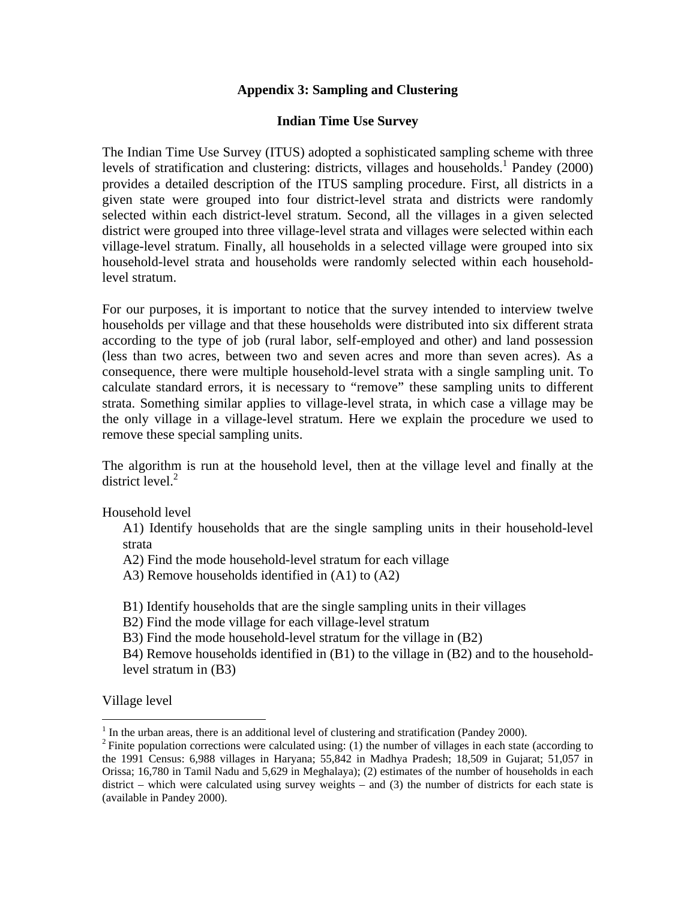# **Appendix 3: Sampling and Clustering**

# **Indian Time Use Survey**

The Indian Time Use Survey (ITUS) adopted a sophisticated sampling scheme with three levels of stratification and clustering: districts, villages and households.<sup>1</sup> Pandey (2000) provides a detailed description of the ITUS sampling procedure. First, all districts in a given state were grouped into four district-level strata and districts were randomly selected within each district-level stratum. Second, all the villages in a given selected district were grouped into three village-level strata and villages were selected within each village-level stratum. Finally, all households in a selected village were grouped into six household-level strata and households were randomly selected within each householdlevel stratum.

For our purposes, it is important to notice that the survey intended to interview twelve households per village and that these households were distributed into six different strata according to the type of job (rural labor, self-employed and other) and land possession (less than two acres, between two and seven acres and more than seven acres). As a consequence, there were multiple household-level strata with a single sampling unit. To calculate standard errors, it is necessary to "remove" these sampling units to different strata. Something similar applies to village-level strata, in which case a village may be the only village in a village-level stratum. Here we explain the procedure we used to remove these special sampling units.

The algorithm is run at the household level, then at the village level and finally at the district level. $2$ 

Household level

A1) Identify households that are the single sampling units in their household-level strata

A2) Find the mode household-level stratum for each village

A3) Remove households identified in (A1) to (A2)

B1) Identify households that are the single sampling units in their villages

B2) Find the mode village for each village-level stratum

B3) Find the mode household-level stratum for the village in (B2)

B4) Remove households identified in (B1) to the village in (B2) and to the householdlevel stratum in (B3)

Village level

 $\overline{a}$ 

 $1$  In the urban areas, there is an additional level of clustering and stratification (Pandey 2000).

<sup>&</sup>lt;sup>2</sup> Finite population corrections were calculated using: (1) the number of villages in each state (according to the 1991 Census: 6,988 villages in Haryana; 55,842 in Madhya Pradesh; 18,509 in Gujarat; 51,057 in Orissa; 16,780 in Tamil Nadu and 5,629 in Meghalaya); (2) estimates of the number of households in each district – which were calculated using survey weights – and (3) the number of districts for each state is (available in Pandey 2000).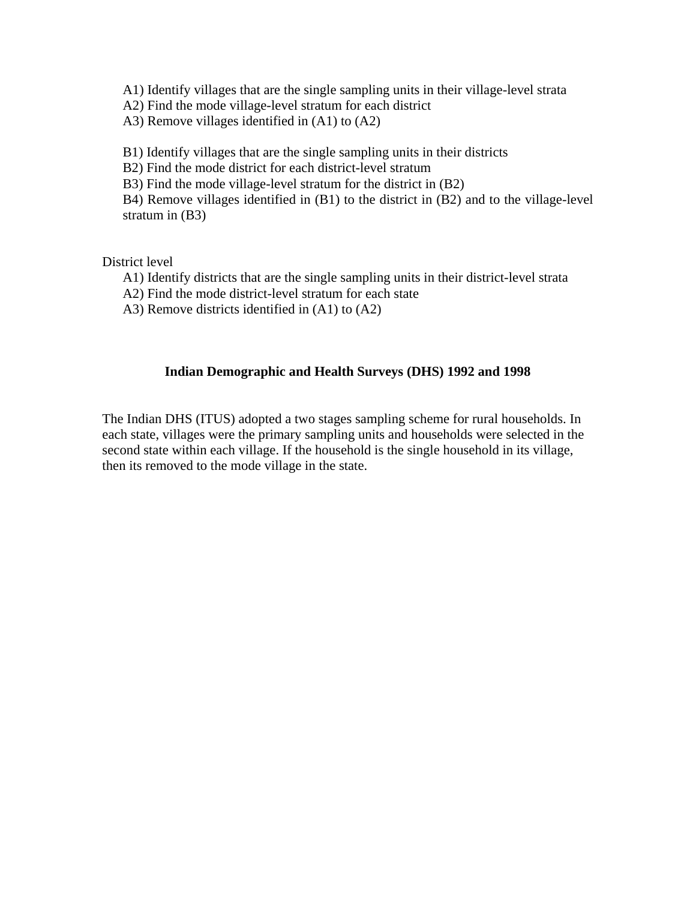A1) Identify villages that are the single sampling units in their village-level strata

A2) Find the mode village-level stratum for each district

A3) Remove villages identified in (A1) to (A2)

B1) Identify villages that are the single sampling units in their districts

B2) Find the mode district for each district-level stratum

B3) Find the mode village-level stratum for the district in (B2)

B4) Remove villages identified in (B1) to the district in (B2) and to the village-level stratum in (B3)

District level

A1) Identify districts that are the single sampling units in their district-level strata

- A2) Find the mode district-level stratum for each state
- A3) Remove districts identified in (A1) to (A2)

# **Indian Demographic and Health Surveys (DHS) 1992 and 1998**

The Indian DHS (ITUS) adopted a two stages sampling scheme for rural households. In each state, villages were the primary sampling units and households were selected in the second state within each village. If the household is the single household in its village, then its removed to the mode village in the state.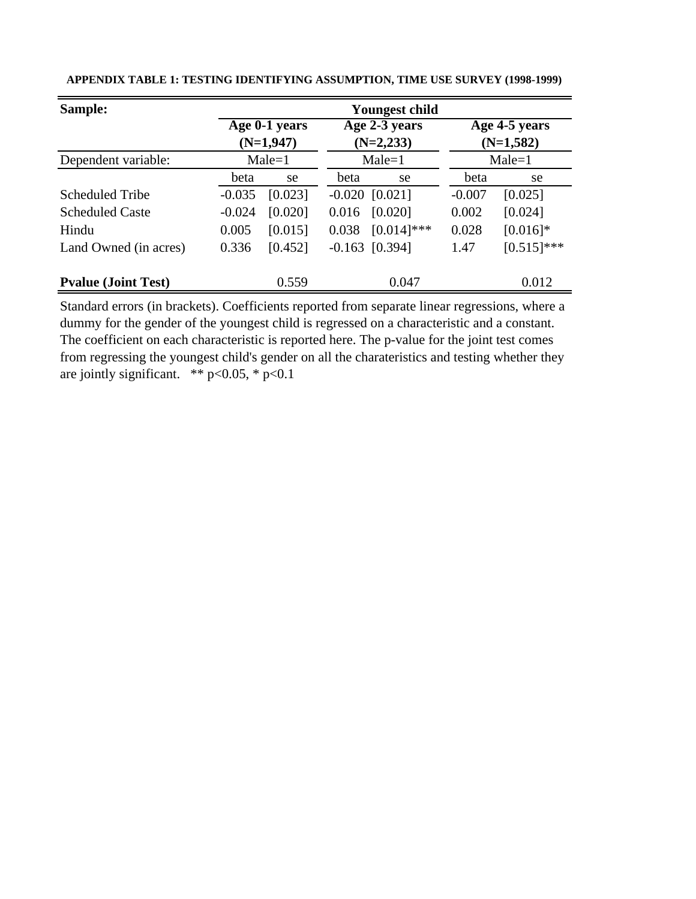| Sample:                    |          | <b>Youngest child</b> |       |                  |             |                            |  |  |  |  |
|----------------------------|----------|-----------------------|-------|------------------|-------------|----------------------------|--|--|--|--|
|                            |          | Age 0-1 years         |       | Age 2-3 years    |             | $\overline{Age}$ 4-5 years |  |  |  |  |
|                            |          | $(N=1,947)$           |       | $(N=2,233)$      | $(N=1,582)$ |                            |  |  |  |  |
| Dependent variable:        |          | $Male=1$              |       | $Male = 1$       | $Male=1$    |                            |  |  |  |  |
|                            | beta     | se                    | beta  | se               | beta        | se                         |  |  |  |  |
| <b>Scheduled Tribe</b>     | $-0.035$ | [0.023]               |       | $-0.020$ [0.021] | $-0.007$    | [0.025]                    |  |  |  |  |
| <b>Scheduled Caste</b>     | $-0.024$ | [0.020]               | 0.016 | [0.020]          | 0.002       | [0.024]                    |  |  |  |  |
| Hindu                      | 0.005    | [0.015]               | 0.038 | $[0.014]$ ***    | 0.028       | $[0.016]$ *                |  |  |  |  |
| Land Owned (in acres)      | 0.336    | [0.452]               |       | $-0.163$ [0.394] | 1.47        | $[0.515]$ ***              |  |  |  |  |
| <b>Pyalue (Joint Test)</b> |          | 0.559                 |       | 0.047            |             | 0.012                      |  |  |  |  |

**APPENDIX TABLE 1: TESTING IDENTIFYING ASSUMPTION, TIME USE SURVEY (1998-1999)** 

Standard errors (in brackets). Coefficients reported from separate linear regressions, where a dummy for the gender of the youngest child is regressed on a characteristic and a constant. The coefficient on each characteristic is reported here. The p-value for the joint test comes from regressing the youngest child's gender on all the charateristics and testing whether they are jointly significant.  $*$   $p < 0.05$ ,  $*$   $p < 0.1$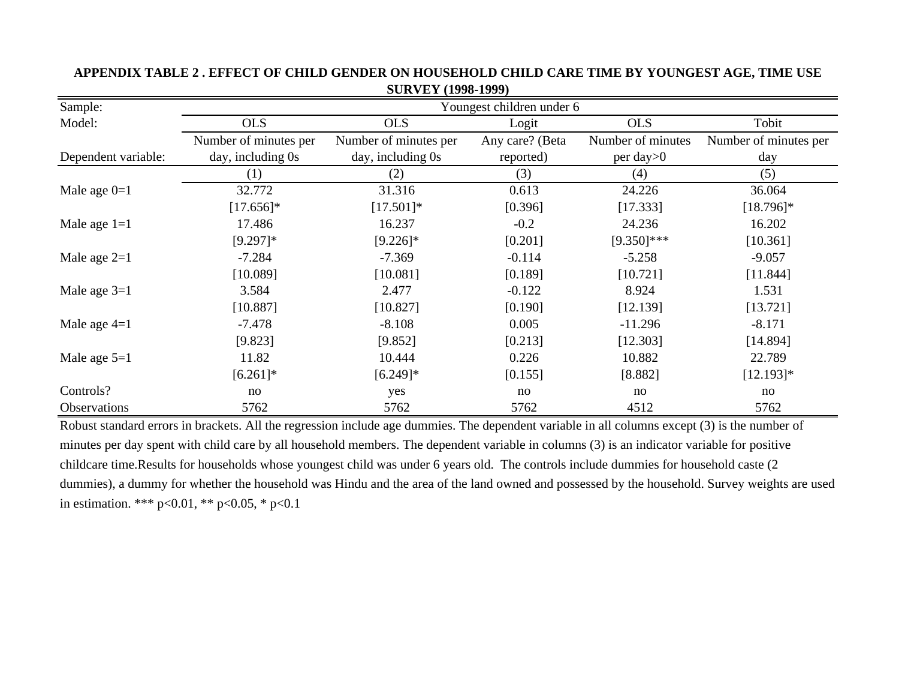| Sample:             | Youngest children under 6 |                       |                 |                   |                       |  |  |  |  |  |  |
|---------------------|---------------------------|-----------------------|-----------------|-------------------|-----------------------|--|--|--|--|--|--|
| Model:              | <b>OLS</b>                | <b>OLS</b>            | Logit           | <b>OLS</b>        | Tobit                 |  |  |  |  |  |  |
|                     | Number of minutes per     | Number of minutes per | Any care? (Beta | Number of minutes | Number of minutes per |  |  |  |  |  |  |
| Dependent variable: | day, including 0s         | day, including 0s     | reported)       | $per$ day $>0$    | day                   |  |  |  |  |  |  |
|                     | (1)                       | (2)                   | (3)             | (4)               | (5)                   |  |  |  |  |  |  |
| Male age $0=1$      | 32.772                    | 31.316                | 0.613           | 24.226            | 36.064                |  |  |  |  |  |  |
|                     | $[17.656]$ *              | $[17.501]*$           | [0.396]         | [17.333]          | $[18.796]$ *          |  |  |  |  |  |  |
| Male age $1=1$      | 17.486                    | 16.237                | $-0.2$          | 24.236            | 16.202                |  |  |  |  |  |  |
|                     | $[9.297]$ *               | $[9.226]$ *           | [0.201]         | $[9.350]$ ***     | [10.361]              |  |  |  |  |  |  |
| Male age $2=1$      | $-7.284$                  | $-7.369$              | $-0.114$        | $-5.258$          | $-9.057$              |  |  |  |  |  |  |
|                     | [10.089]                  | [10.081]              | [0.189]         | [10.721]          | [11.844]              |  |  |  |  |  |  |
| Male age $3=1$      | 3.584                     | 2.477                 | $-0.122$        | 8.924             | 1.531                 |  |  |  |  |  |  |
|                     | [10.887]                  | [10.827]              | [0.190]         | [12.139]          | [13.721]              |  |  |  |  |  |  |
| Male age $4=1$      | $-7.478$                  | $-8.108$              | 0.005           | $-11.296$         | $-8.171$              |  |  |  |  |  |  |
|                     | [9.823]                   | [9.852]               | [0.213]         | [12.303]          | [14.894]              |  |  |  |  |  |  |
| Male age $5=1$      | 11.82                     | 10.444                | 0.226           | 10.882            | 22.789                |  |  |  |  |  |  |
|                     | $[6.261]$ *               | $[6.249]$ *           | [0.155]         | [8.882]           | $[12.193]*$           |  |  |  |  |  |  |
| Controls?           | no                        | yes                   | no              | no                | no                    |  |  |  |  |  |  |
| Observations        | 5762                      | 5762                  | 5762            | 4512              | 5762                  |  |  |  |  |  |  |

# **APPENDIX TABLE 2 . EFFECT OF CHILD GENDER ON HOUSEHOLD CHILD CARE TIME BY YOUNGEST AGE, TIME USE SURVEY (1998-1999)**

Robust standard errors in brackets. All the regression include age dummies. The dependent variable in all columns except (3) is the number of minutes per day spent with child care by all household members. The dependent variable in columns (3) is an indicator variable for positive childcare time.Results for households whose youngest child was under 6 years old. The controls include dummies for household caste (2 dummies), a dummy for whether the household was Hindu and the area of the land owned and possessed by the household. Survey weights are used in estimation. \*\*\* p<0.01, \*\* p<0.05, \* p<0.1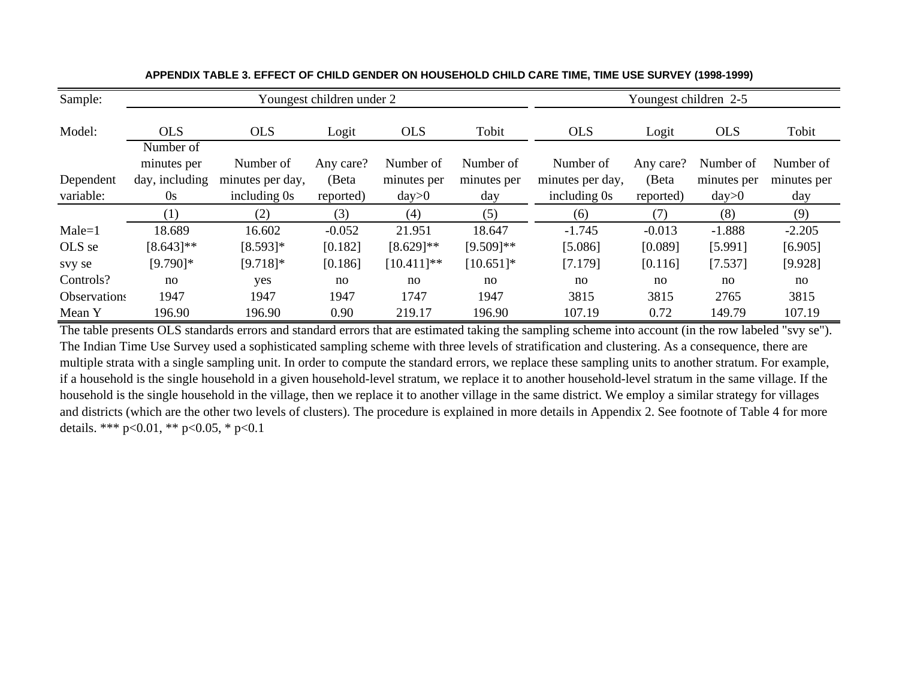| Sample:      |                |                  | Youngest children under 2 |               |              | Youngest children 2-5 |           |             |             |  |  |
|--------------|----------------|------------------|---------------------------|---------------|--------------|-----------------------|-----------|-------------|-------------|--|--|
| Model:       | <b>OLS</b>     | <b>OLS</b>       | Logit                     | <b>OLS</b>    | Tobit        | <b>OLS</b>            | Logit     | <b>OLS</b>  | Tobit       |  |  |
|              | Number of      |                  |                           |               |              |                       |           |             |             |  |  |
|              | minutes per    | Number of        | Any care?                 | Number of     | Number of    | Number of             | Any care? | Number of   | Number of   |  |  |
| Dependent    | day, including | minutes per day, | (Beta                     | minutes per   | minutes per  | minutes per day,      | (Beta     | minutes per | minutes per |  |  |
| variable:    | 0s             | including 0s     | reported)                 | day>0         | day          | including 0s          | reported) | day>0       | day         |  |  |
|              | (1)            | (2)              | (3)                       | (4)           | (5)          | (6)                   | (7)       | (8)         | (9)         |  |  |
| $Male = 1$   | 18.689         | 16.602           | $-0.052$                  | 21.951        | 18.647       | $-1.745$              | $-0.013$  | $-1.888$    | $-2.205$    |  |  |
| OLS se       | $[8.643]$ **   | $[8.593]$ *      | [0.182]                   | $[8.629]$ **  | $[9.509]$ ** | [5.086]               | [0.089]   | [5.991]     | [6.905]     |  |  |
| svy se       | $[9.790]$ *    | $[9.718]$ *      | [0.186]                   | $[10.411]$ ** | $[10.651]$ * | [7.179]               | [0.116]   | [7.537]     | [9.928]     |  |  |
| Controls?    | no             | yes              | no                        | no            | no           | no                    | no        | no          | no          |  |  |
| Observations | 1947           | 1947             | 1947                      | 1747          | 1947         | 3815                  | 3815      | 2765        | 3815        |  |  |
| Mean Y       | 196.90         | 196.90           | 0.90                      | 219.17        | 196.90       | 107.19                | 0.72      | 149.79      | 107.19      |  |  |

**APPENDIX TABLE 3. EFFECT OF CHILD GENDER ON HOUSEHOLD CHILD CARE TIME, TIME USE SURVEY (1998-1999)** 

The table presents OLS standards errors and standard errors that are estimated taking the sampling scheme into account (in the row labeled "svy se"). The Indian Time Use Survey used a sophisticated sampling scheme with three levels of stratification and clustering. As a consequence, there are multiple strata with a single sampling unit. In order to compute the standard errors, we replace these sampling units to another stratum. For example, if a household is the single household in a given household-level stratum, we replace it to another household-level stratum in the same village. If the household is the single household in the village, then we replace it to another village in the same district. We employ a similar strategy for villages and districts (which are the other two levels of clusters). The procedure is explained in more details in Appendix 2. See footnote of Table 4 for more details. \*\*\* p<0.01, \*\* p<0.05, \* p<0.1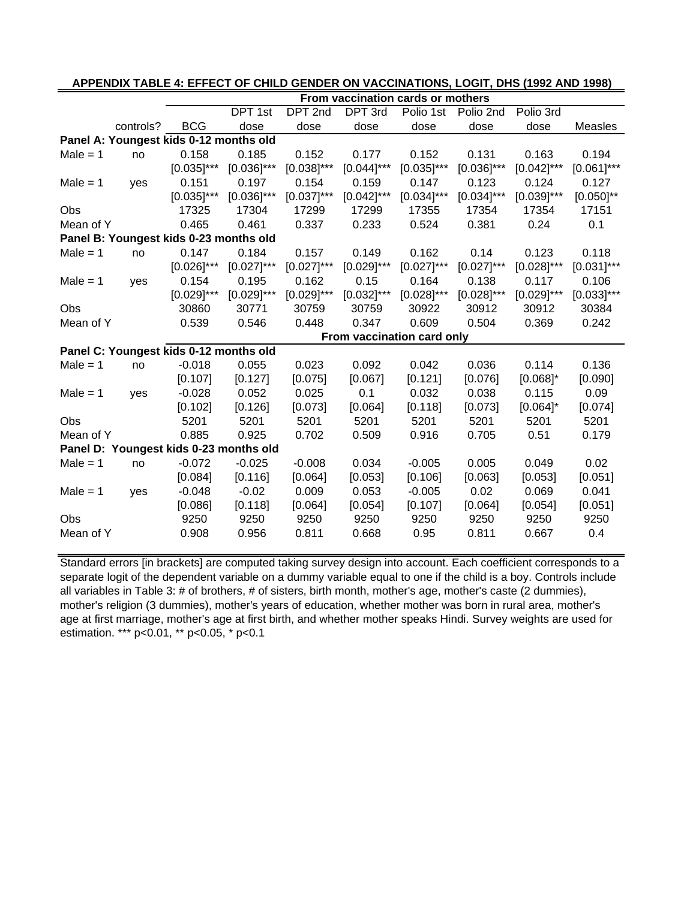|            |                                        |               |               |               |               | From vaccination cards or mothers |               |               |                |
|------------|----------------------------------------|---------------|---------------|---------------|---------------|-----------------------------------|---------------|---------------|----------------|
|            |                                        |               | DPT 1st       | DPT 2nd       | DPT 3rd       | Polio 1st                         | Polio 2nd     | Polio 3rd     |                |
|            | controls?                              | <b>BCG</b>    | dose          | dose          | dose          | dose                              | dose          | dose          | Measles        |
|            | Panel A: Youngest kids 0-12 months old |               |               |               |               |                                   |               |               |                |
| $Male = 1$ | no                                     | 0.158         | 0.185         | 0.152         | 0.177         | 0.152                             | 0.131         | 0.163         | 0.194          |
|            |                                        | $[0.035]$ *** | $[0.036]$ *** | $[0.038]$ *** | $[0.044]$ *** | $[0.035]$ ***                     | $[0.036]$ *** | $[0.042]$ *** | $[0.061]$ ***  |
| Male $= 1$ | yes                                    | 0.151         | 0.197         | 0.154         | 0.159         | 0.147                             | 0.123         | 0.124         | 0.127          |
|            |                                        | $[0.035]$ *** | $[0.036]$ *** | $[0.037]$ *** | $[0.042]$ *** | $[0.034]$ ***                     | $[0.034]$ *** | $[0.039]$ *** | $[0.050]^{**}$ |
| Obs        |                                        | 17325         | 17304         | 17299         | 17299         | 17355                             | 17354         | 17354         | 17151          |
| Mean of Y  |                                        | 0.465         | 0.461         | 0.337         | 0.233         | 0.524                             | 0.381         | 0.24          | 0.1            |
|            | Panel B: Youngest kids 0-23 months old |               |               |               |               |                                   |               |               |                |
| $Male = 1$ | no                                     | 0.147         | 0.184         | 0.157         | 0.149         | 0.162                             | 0.14          | 0.123         | 0.118          |
|            |                                        | $[0.026]$ *** | $[0.027]$ *** | $[0.027]$ *** | $[0.029]$ *** | $[0.027]$ ***                     | $[0.027]$ *** | $[0.028]$ *** | $[0.031]$ ***  |
| Male $= 1$ | yes                                    | 0.154         | 0.195         | 0.162         | 0.15          | 0.164                             | 0.138         | 0.117         | 0.106          |
|            |                                        | $[0.029]$ *** | $[0.029]$ *** | $[0.029]$ *** | $[0.032]$ *** | $[0.028]$ ***                     | $[0.028]$ *** | $[0.029]$ *** | $[0.033]$ ***  |
| <b>Obs</b> |                                        | 30860         | 30771         | 30759         | 30759         | 30922                             | 30912         | 30912         | 30384          |
| Mean of Y  |                                        | 0.539         | 0.546         | 0.448         | 0.347         | 0.609                             | 0.504         | 0.369         | 0.242          |
|            |                                        |               |               |               |               | From vaccination card only        |               |               |                |
|            | Panel C: Youngest kids 0-12 months old |               |               |               |               |                                   |               |               |                |
| $Male = 1$ | no                                     | $-0.018$      | 0.055         | 0.023         | 0.092         | 0.042                             | 0.036         | 0.114         | 0.136          |
|            |                                        | [0.107]       | [0.127]       | [0.075]       | [0.067]       | [0.121]                           | [0.076]       | $[0.068]$ *   | [0.090]        |
| $Male = 1$ | yes                                    | $-0.028$      | 0.052         | 0.025         | 0.1           | 0.032                             | 0.038         | 0.115         | 0.09           |
|            |                                        | [0.102]       | [0.126]       | [0.073]       | [0.064]       | [0.118]                           | [0.073]       | $[0.064]$ *   | [0.074]        |
| <b>Obs</b> |                                        | 5201          | 5201          | 5201          | 5201          | 5201                              | 5201          | 5201          | 5201           |
| Mean of Y  |                                        | 0.885         | 0.925         | 0.702         | 0.509         | 0.916                             | 0.705         | 0.51          | 0.179          |
|            | Panel D: Youngest kids 0-23 months old |               |               |               |               |                                   |               |               |                |
| $Male = 1$ | no                                     | $-0.072$      | $-0.025$      | $-0.008$      | 0.034         | $-0.005$                          | 0.005         | 0.049         | 0.02           |
|            |                                        | [0.084]       | [0.116]       | [0.064]       | [0.053]       | [0.106]                           | [0.063]       | [0.053]       | [0.051]        |
| $Male = 1$ | yes                                    | $-0.048$      | $-0.02$       | 0.009         | 0.053         | $-0.005$                          | 0.02          | 0.069         | 0.041          |
|            |                                        | [0.086]       | [0.118]       | [0.064]       | [0.054]       | [0.107]                           | [0.064]       | [0.054]       | [0.051]        |
| Obs        |                                        | 9250          | 9250          | 9250          | 9250          | 9250                              | 9250          | 9250          | 9250           |
| Mean of Y  |                                        | 0.908         | 0.956         | 0.811         | 0.668         | 0.95                              | 0.811         | 0.667         | 0.4            |

# **APPENDIX TABLE 4: EFFECT OF CHILD GENDER ON VACCINATIONS, LOGIT, DHS (1992 AND 1998)**

Standard errors [in brackets] are computed taking survey design into account. Each coefficient corresponds to a separate logit of the dependent variable on a dummy variable equal to one if the child is a boy. Controls include all variables in Table 3: # of brothers, # of sisters, birth month, mother's age, mother's caste (2 dummies), mother's religion (3 dummies), mother's years of education, whether mother was born in rural area, mother's age at first marriage, mother's age at first birth, and whether mother speaks Hindi. Survey weights are used for estimation. \*\*\* p<0.01, \*\* p<0.05, \* p<0.1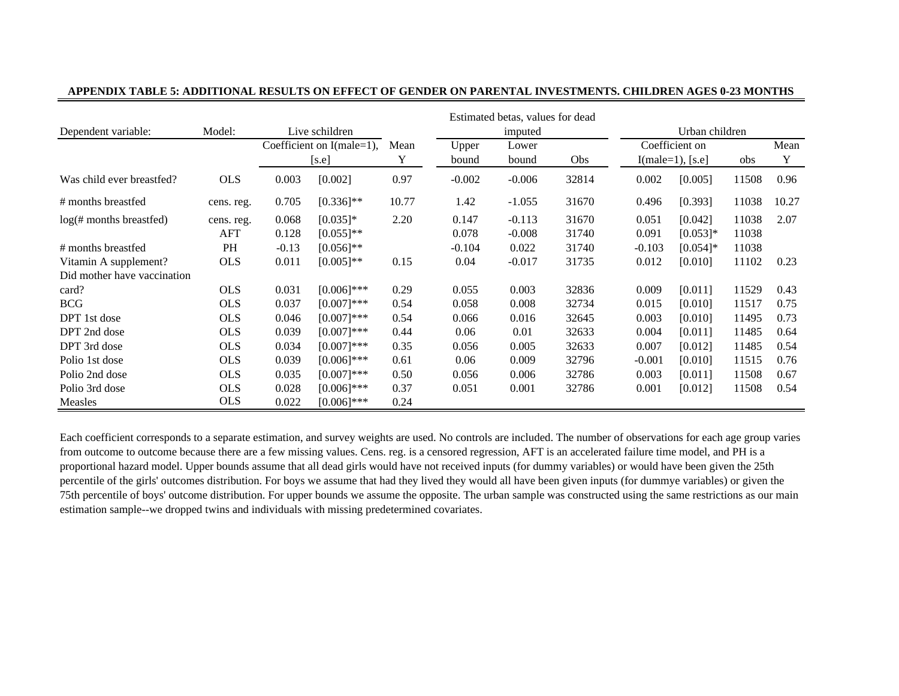|                             |            |                                             |                |       |          | Estimated betas, values for dead |       |          |                     |       |       |
|-----------------------------|------------|---------------------------------------------|----------------|-------|----------|----------------------------------|-------|----------|---------------------|-------|-------|
| Dependent variable:         | Model:     | Live schildren<br>Coefficient on I(male=1), |                |       |          | imputed                          |       |          | Urban children      |       |       |
|                             |            |                                             |                | Mean  | Upper    | Lower                            |       |          | Coefficient on      |       | Mean  |
|                             |            |                                             | [s.e]          | Y     | bound    | bound                            | Obs   |          | $I(male=1)$ , [s.e] | obs   | Y     |
| Was child ever breastfed?   | <b>OLS</b> | 0.003                                       | [0.002]        | 0.97  | $-0.002$ | $-0.006$                         | 32814 | 0.002    | [0.005]             | 11508 | 0.96  |
| # months breastfed          | cens. reg. | 0.705                                       | $[0.336]^{**}$ | 10.77 | 1.42     | $-1.055$                         | 31670 | 0.496    | [0.393]             | 11038 | 10.27 |
| $log(\#$ months breastfed)  | cens. reg. | 0.068                                       | $[0.035]*$     | 2.20  | 0.147    | $-0.113$                         | 31670 | 0.051    | [0.042]             | 11038 | 2.07  |
|                             | AFT        | 0.128                                       | $[0.055]$ **   |       | 0.078    | $-0.008$                         | 31740 | 0.091    | $[0.053]$ *         | 11038 |       |
| # months breastfed          | PH         | $-0.13$                                     | $[0.056]$ **   |       | $-0.104$ | 0.022                            | 31740 | $-0.103$ | $[0.054]$ *         | 11038 |       |
| Vitamin A supplement?       | <b>OLS</b> | 0.011                                       | $[0.005]$ **   | 0.15  | 0.04     | $-0.017$                         | 31735 | 0.012    | [0.010]             | 11102 | 0.23  |
| Did mother have vaccination |            |                                             |                |       |          |                                  |       |          |                     |       |       |
| card?                       | <b>OLS</b> | 0.031                                       | $[0.006]$ ***  | 0.29  | 0.055    | 0.003                            | 32836 | 0.009    | [0.011]             | 11529 | 0.43  |
| <b>BCG</b>                  | <b>OLS</b> | 0.037                                       | $[0.007]***$   | 0.54  | 0.058    | 0.008                            | 32734 | 0.015    | [0.010]             | 11517 | 0.75  |
| DPT 1st dose                | <b>OLS</b> | 0.046                                       | $[0.007]***$   | 0.54  | 0.066    | 0.016                            | 32645 | 0.003    | [0.010]             | 11495 | 0.73  |
| DPT 2nd dose                | <b>OLS</b> | 0.039                                       | $[0.007]***$   | 0.44  | 0.06     | 0.01                             | 32633 | 0.004    | [0.011]             | 11485 | 0.64  |
| DPT 3rd dose                | <b>OLS</b> | 0.034                                       | $[0.007]***$   | 0.35  | 0.056    | 0.005                            | 32633 | 0.007    | [0.012]             | 11485 | 0.54  |
| Polio 1st dose              | <b>OLS</b> | 0.039                                       | $[0.006]$ ***  | 0.61  | 0.06     | 0.009                            | 32796 | $-0.001$ | [0.010]             | 11515 | 0.76  |
| Polio 2nd dose              | <b>OLS</b> | 0.035                                       | $[0.007]***$   | 0.50  | 0.056    | 0.006                            | 32786 | 0.003    | [0.011]             | 11508 | 0.67  |
| Polio 3rd dose              | <b>OLS</b> | 0.028                                       | $[0.006]$ ***  | 0.37  | 0.051    | 0.001                            | 32786 | 0.001    | [0.012]             | 11508 | 0.54  |
| Measles                     | <b>OLS</b> | 0.022                                       | $[0.006]$ ***  | 0.24  |          |                                  |       |          |                     |       |       |

#### **APPENDIX TABLE 5: ADDITIONAL RESULTS ON EFFECT OF GENDER ON PARENTAL INVESTMENTS. CHILDREN AGES 0-23 MONTHS**

Each coefficient corresponds to a separate estimation, and survey weights are used. No controls are included. The number of observations for each age group varies from outcome to outcome because there are a few missing values. Cens. reg. is a censored regression, AFT is an accelerated failure time model, and PH is a proportional hazard model. Upper bounds assume that all dead girls would have not received inputs (for dummy variables) or would have been given the 25th percentile of the girls' outcomes distribution. For boys we assume that had they lived they would all have been given inputs (for dummye variables) or given the 75th percentile of boys' outcome distribution. For upper bounds we assume the opposite. The urban sample was constructed using the same restrictions as our main estimation sample--we dropped twins and individuals with missing predetermined covariates.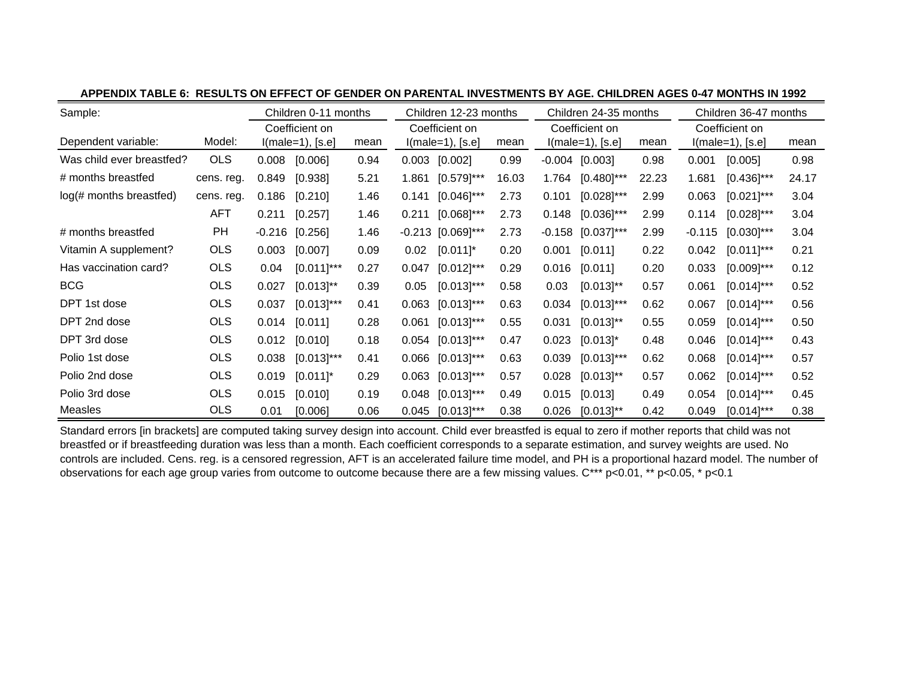| Sample:                   |            | Children 0-11 months |                    | Children 12-23 months |                   |                     |       | Children 24-35 months |                    | Children 36-47 months |                |                    |       |
|---------------------------|------------|----------------------|--------------------|-----------------------|-------------------|---------------------|-------|-----------------------|--------------------|-----------------------|----------------|--------------------|-------|
|                           |            |                      | Coefficient on     |                       |                   | Coefficient on      |       | Coefficient on        |                    |                       | Coefficient on |                    |       |
| Dependent variable:       | Model:     |                      | $l(male=1), [s.e]$ | mean                  |                   | $I(male=1), [s.e]$  | mean  |                       | $l(male=1), [s.e]$ | mean                  |                | $l(male=1), [s.e]$ | mean  |
| Was child ever breastfed? | <b>OLS</b> | 0.008                | [0.006]            | 0.94                  | 0.003             | [0.002]             | 0.99  |                       | $-0.004$ [0.003]   | 0.98                  | 0.001          | [0.005]            | 0.98  |
| # months breastfed        | cens. reg. | 0.849                | [0.938]            | 5.21                  | 1.861             | $[0.579]$ ***       | 16.03 | 1.764                 | $[0.480]$ ***      | 22.23                 | 1.681          | $[0.436]$ ***      | 24.17 |
| log(# months breastfed)   | cens. reg. | 0.186                | [0.210]            | 1.46                  | 0.141             | $[0.046]$ ***       | 2.73  | 0.101                 | $[0.028]$ ***      | 2.99                  | 0.063          | $[0.021]$ ***      | 3.04  |
|                           | <b>AFT</b> | 0.211                | [0.257]            | 1.46                  | 0.211             | $[0.068]$ ***       | 2.73  | 0.148                 | $[0.036]$ ***      | 2.99                  | 0.114          | $[0.028]$ ***      | 3.04  |
| # months breastfed        | PH         | $-0.216$             | [0.256]            | 1.46                  |                   | $-0.213$ [0.069]*** | 2.73  | $-0.158$              | $[0.037]$ ***      | 2.99                  | $-0.115$       | $[0.030]$ ***      | 3.04  |
| Vitamin A supplement?     | <b>OLS</b> | 0.003                | [0.007]            | 0.09                  | 0.02 <sub>1</sub> | $[0.011]$ *         | 0.20  | 0.001                 | [0.011]            | 0.22                  | 0.042          | $[0.011]$ ***      | 0.21  |
| Has vaccination card?     | <b>OLS</b> | 0.04                 | $[0.011]$ ***      | 0.27                  | 0.047             | $[0.012]$ ***       | 0.29  | 0.016                 | [0.011]            | 0.20                  | 0.033          | $[0.009]$ ***      | 0.12  |
| <b>BCG</b>                | <b>OLS</b> | 0.027                | $[0.013]^{**}$     | 0.39                  | 0.05              | $[0.013]$ ***       | 0.58  | 0.03                  | $[0.013]^{**}$     | 0.57                  | 0.061          | $[0.014]$ ***      | 0.52  |
| DPT 1st dose              | <b>OLS</b> | 0.037                | $[0.013]$ ***      | 0.41                  | 0.063             | $[0.013]$ ***       | 0.63  | 0.034                 | $[0.013]$ ***      | 0.62                  | 0.067          | $[0.014]$ ***      | 0.56  |
| DPT 2nd dose              | <b>OLS</b> | 0.014                | [0.011]            | 0.28                  | 0.061             | $[0.013]$ ***       | 0.55  | 0.031                 | $[0.013]^{**}$     | 0.55                  | 0.059          | $[0.014]$ ***      | 0.50  |
| DPT 3rd dose              | <b>OLS</b> | 0.012                | [0.010]            | 0.18                  | 0.054             | $[0.013]$ ***       | 0.47  | 0.023                 | $[0.013]$ *        | 0.48                  | 0.046          | $[0.014]$ ***      | 0.43  |
| Polio 1st dose            | <b>OLS</b> | 0.038                | $[0.013]$ ***      | 0.41                  | 0.066             | $[0.013]$ ***       | 0.63  | 0.039                 | $[0.013]$ ***      | 0.62                  | 0.068          | $[0.014]$ ***      | 0.57  |
| Polio 2nd dose            | <b>OLS</b> | 0.019                | $[0.011]$ *        | 0.29                  | 0.063             | $[0.013]$ ***       | 0.57  | 0.028                 | $[0.013]^{**}$     | 0.57                  | 0.062          | $[0.014]$ ***      | 0.52  |
| Polio 3rd dose            | <b>OLS</b> | 0.015                | [0.010]            | 0.19                  | 0.048             | $[0.013]$ ***       | 0.49  | 0.015                 | [0.013]            | 0.49                  | 0.054          | $[0.014]$ ***      | 0.45  |
| Measles                   | <b>OLS</b> | 0.01                 | [0.006]            | 0.06                  | 0.045             | $[0.013]$ ***       | 0.38  | 0.026                 | $[0.013]^{**}$     | 0.42                  | 0.049          | $[0.014]$ ***      | 0.38  |

Standard errors [in brackets] are computed taking survey design into account. Child ever breastfed is equal to zero if mother reports that child was not breastfed or if breastfeeding duration was less than a month. Each coefficient corresponds to a separate estimation, and survey weights are used. No controls are included. Cens. reg. is a censored regression, AFT is an accelerated failure time model, and PH is a proportional hazard model. The number of observations for each age group varies from outcome to outcome because there are a few missing values. C\*\*\* p<0.01, \*\* p<0.05, \* p<0.1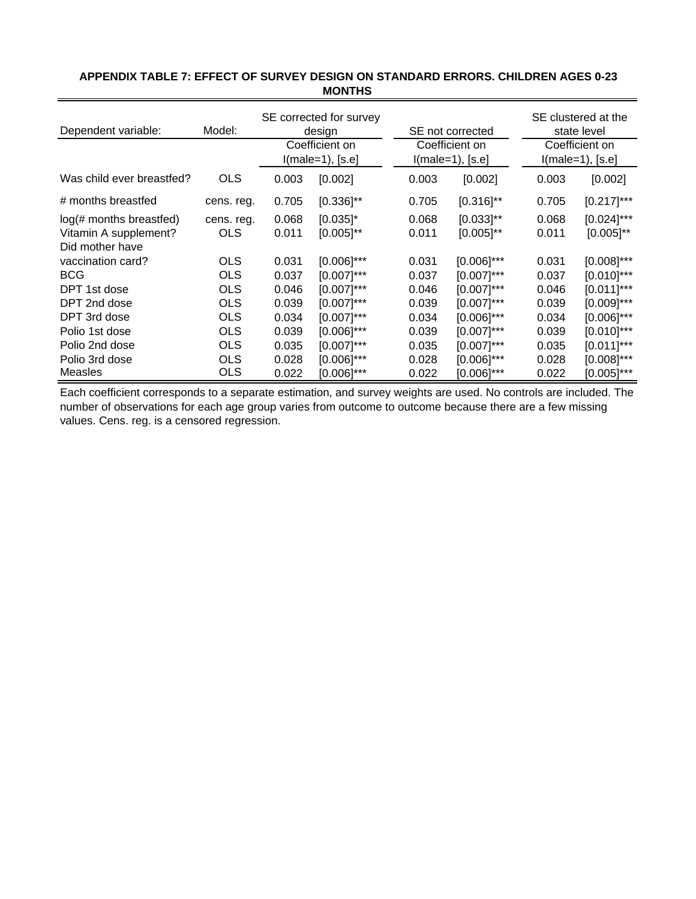| Dependent variable:       | SE not corrected |                                      | SE clustered at the<br>state level |       |                                      |       |                                      |  |  |
|---------------------------|------------------|--------------------------------------|------------------------------------|-------|--------------------------------------|-------|--------------------------------------|--|--|
|                           |                  | Coefficient on<br>$I(male=1), [s.e]$ |                                    |       | Coefficient on<br>$l(male=1), [s.e]$ |       | Coefficient on<br>$I(male=1), [s.e]$ |  |  |
| Was child ever breastfed? | <b>OLS</b>       | 0.003                                | [0.002]                            |       | 0.003<br>[0.002]                     | 0.003 | [0.002]                              |  |  |
| # months breastfed        | cens. reg.       | 0.705                                | $[0.336]$ **                       | 0.705 | $[0.316]^{**}$                       | 0.705 | $[0.217]$ ***                        |  |  |
| log(# months breastfed)   | cens. reg.       | 0.068                                | $[0.035]$ *                        | 0.068 | $[0.033]^{**}$                       | 0.068 | $[0.024]$ ***                        |  |  |
| Vitamin A supplement?     | <b>OLS</b>       | 0.011                                | $[0.005]^{**}$                     | 0.011 | $[0.005]^{**}$                       | 0.011 | $[0.005]^{**}$                       |  |  |
| Did mother have           |                  |                                      |                                    |       |                                      |       |                                      |  |  |
| vaccination card?         | <b>OLS</b>       | 0.031                                | $[0.006]$ ***                      | 0.031 | $[0.006]$ ***                        | 0.031 | $[0.008]$ ***                        |  |  |
| <b>BCG</b>                | <b>OLS</b>       | 0.037                                | $[0.007]$ ***                      | 0.037 | $[0.007]$ ***                        | 0.037 | $[0.010]$ ***                        |  |  |
| DPT 1st dose              | <b>OLS</b>       | 0.046                                | $[0.007]$ ***                      | 0.046 | $[0.007]$ ***                        | 0.046 | $[0.011]^{***}$                      |  |  |
| DPT 2nd dose              | <b>OLS</b>       | 0.039                                | $[0.007]$ ***                      | 0.039 | $[0.007]$ ***                        | 0.039 | $[0.009]$ ***                        |  |  |
| DPT 3rd dose              | OLS              | 0.034                                | $[0.007]$ ***                      | 0.034 | $[0.006]$ ***                        | 0.034 | $[0.006]$ ***                        |  |  |
| Polio 1st dose            | <b>OLS</b>       | 0.039                                | $[0.006]$ ***                      | 0.039 | $[0.007]$ ***                        | 0.039 | $[0.010]$ ***                        |  |  |
| Polio 2nd dose            | <b>OLS</b>       | 0.035                                | $[0.007]$ ***                      | 0.035 | $[0.007]$ ***                        | 0.035 | $[0.011]$ ***                        |  |  |
| Polio 3rd dose            | <b>OLS</b>       | 0.028                                | $[0.006]$ ***                      | 0.028 | $[0.006]$ ***                        | 0.028 | $[0.008]$ ***                        |  |  |
| Measles                   | OLS              | 0.022                                | [0.006]***                         | 0.022 | $[0.006]$ ***                        | 0.022 | [0.005]***                           |  |  |

# **APPENDIX TABLE 7: EFFECT OF SURVEY DESIGN ON STANDARD ERRORS. CHILDREN AGES 0-23 MONTHS**

Each coefficient corresponds to a separate estimation, and survey weights are used. No controls are included. The number of observations for each age group varies from outcome to outcome because there are a few missing values. Cens. reg. is a censored regression.